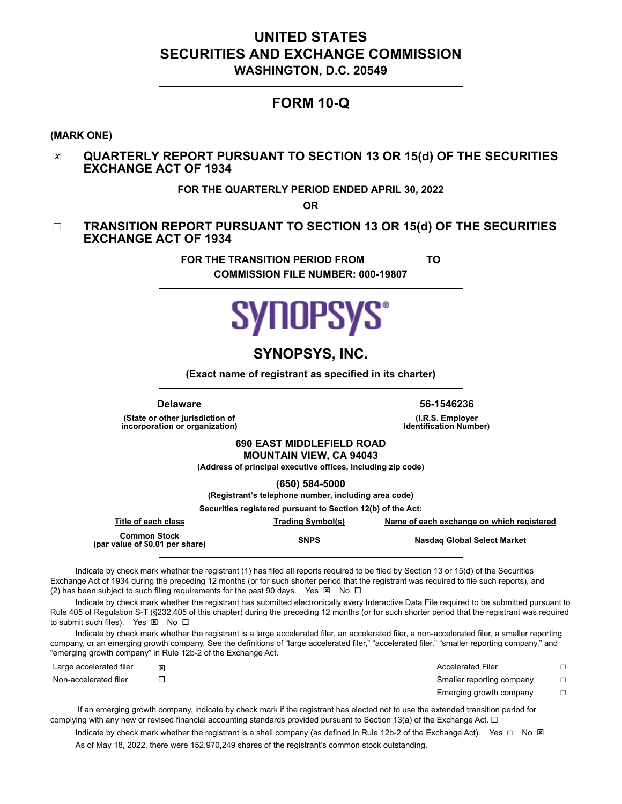# **UNITED STATES SECURITIES AND EXCHANGE COMMISSION WASHINGTON, D.C. 20549**

# **FORM 10-Q**

#### **(MARK ONE)**

## ☒ **QUARTERLY REPORT PURSUANT TO SECTION 13 OR 15(d) OF THE SECURITIES EXCHANGE ACT OF 1934**

#### **FOR THE QUARTERLY PERIOD ENDED APRIL 30, 2022**

**OR**

## ☐ **TRANSITION REPORT PURSUANT TO SECTION 13 OR 15(d) OF THE SECURITIES EXCHANGE ACT OF 1934**

**FOR THE TRANSITION PERIOD FROM TO**

**COMMISSION FILE NUMBER: 000-19807**

# SYHUPSYS

# **SYNOPSYS, INC.**

**(Exact name of registrant as specified in its charter)**

**(State or other jurisdiction of incorporation or organization)**

**Delaware 56-1546236**

**(I.R.S. Employer Identification Number)**

#### **690 EAST MIDDLEFIELD ROAD MOUNTAIN VIEW, CA 94043**

**(Address of principal executive offices, including zip code)**

**(650) 584-5000**

**(Registrant's telephone number, including area code)**

**Securities registered pursuant to Section 12(b) of the Act:**

| Title of each class                                    | <b>Trading Symbol(s)</b> | Name of each exchange on which registered |
|--------------------------------------------------------|--------------------------|-------------------------------------------|
| <b>Common Stock</b><br>(par value of \$0.01 per share) | <b>SNPS</b>              | <b>Nasdag Global Select Market</b>        |

Indicate by check mark whether the registrant (1) has filed all reports required to be filed by Section 13 or 15(d) of the Securities Exchange Act of 1934 during the preceding 12 months (or for such shorter period that the registrant was required to file such reports), and (2) has been subject to such filing requirements for the past 90 days. Yes  $\boxtimes$  No  $\Box$ 

Indicate by check mark whether the registrant has submitted electronically every Interactive Data File required to be submitted pursuant to Rule 405 of Regulation S-T (§232.405 of this chapter) during the preceding 12 months (or for such shorter period that the registrant was required to submit such files). Yes  $\boxtimes$  No  $\square$ 

Indicate by check mark whether the registrant is a large accelerated filer, an accelerated filer, a non-accelerated filer, a smaller reporting company, or an emerging growth company. See the definitions of "large accelerated filer," "accelerated filer," "smaller reporting company," and "emerging growth company" in Rule 12b-2 of the Exchange Act.

| Large accelerated filer | <b>Accelerated Filer</b>  |  |
|-------------------------|---------------------------|--|
| Non-accelerated filer   | Smaller reporting company |  |
|                         | Emerging growth company   |  |

If an emerging growth company, indicate by check mark if the registrant has elected not to use the extended transition period for complying with any new or revised financial accounting standards provided pursuant to Section 13(a) of the Exchange Act.  $\Box$ 

Indicate by check mark whether the registrant is a shell company (as defined in Rule 12b-2 of the Exchange Act). Yes  $\Box$  No  $\boxtimes$ As of May 18, 2022, there were 152,970,249 shares of the registrant's common stock outstanding.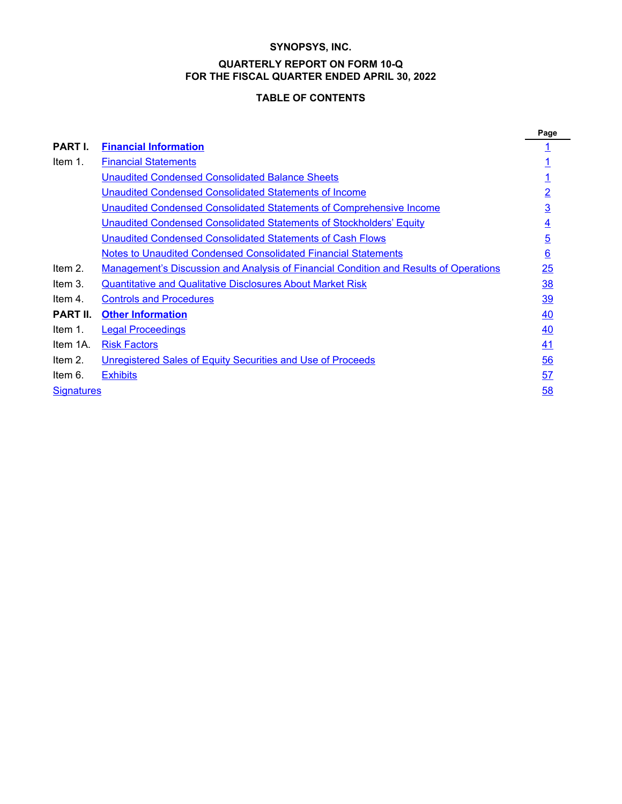## **QUARTERLY REPORT ON FORM 10-Q FOR THE FISCAL QUARTER ENDED APRIL 30, 2022**

## **TABLE OF CONTENTS**

|                   |                                                                                       | Page            |
|-------------------|---------------------------------------------------------------------------------------|-----------------|
| <b>PART I.</b>    | <b>Financial Information</b>                                                          | 1               |
| Item 1.           | <b>Financial Statements</b>                                                           |                 |
|                   | <b>Unaudited Condensed Consolidated Balance Sheets</b>                                | <u>1</u>        |
|                   | Unaudited Condensed Consolidated Statements of Income                                 | $\overline{2}$  |
|                   | Unaudited Condensed Consolidated Statements of Comprehensive Income                   | $\overline{3}$  |
|                   | Unaudited Condensed Consolidated Statements of Stockholders' Equity                   | $\overline{4}$  |
|                   | <b>Unaudited Condensed Consolidated Statements of Cash Flows</b>                      | <u>5</u>        |
|                   | <b>Notes to Unaudited Condensed Consolidated Financial Statements</b>                 | $\underline{6}$ |
| Item $2.$         | Management's Discussion and Analysis of Financial Condition and Results of Operations | 25              |
| Item $3.$         | <b>Quantitative and Qualitative Disclosures About Market Risk</b>                     | 38              |
| Item 4.           | <b>Controls and Procedures</b>                                                        | <u>39</u>       |
| <b>PART II.</b>   | <b>Other Information</b>                                                              | 40              |
| Item 1.           | <b>Legal Proceedings</b>                                                              | 40              |
| Item 1A.          | <b>Risk Factors</b>                                                                   | 41              |
| Item 2.           | Unregistered Sales of Equity Securities and Use of Proceeds                           | 56              |
| Item 6.           | <b>Exhibits</b>                                                                       | 57              |
| <b>Signatures</b> |                                                                                       | 58              |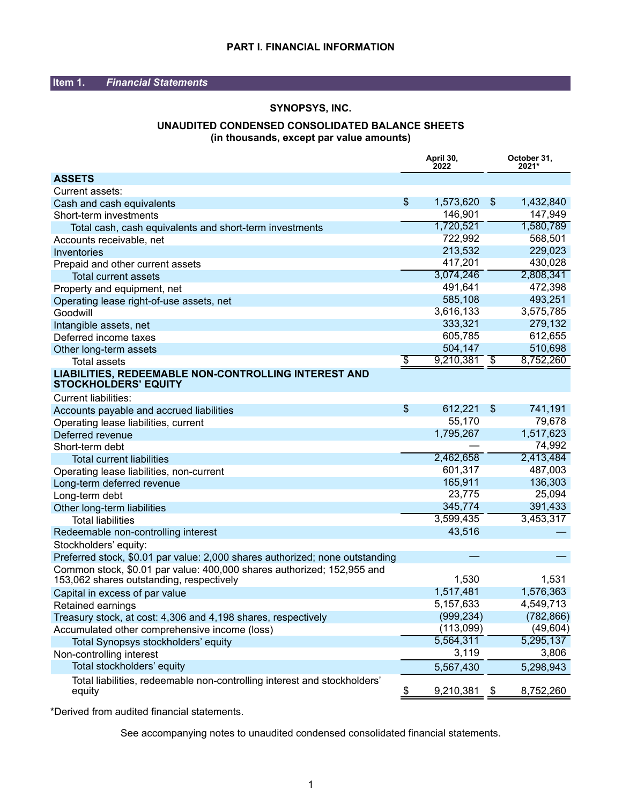# **UNAUDITED CONDENSED CONSOLIDATED BALANCE SHEETS**

**(in thousands, except par value amounts)**

<span id="page-2-0"></span>

|                                                                                                                    | April 30,<br>2022 |                           | October 31,<br>2021* |
|--------------------------------------------------------------------------------------------------------------------|-------------------|---------------------------|----------------------|
| <b>ASSETS</b>                                                                                                      |                   |                           |                      |
| Current assets:                                                                                                    |                   |                           |                      |
| Cash and cash equivalents                                                                                          | \$<br>1,573,620   | $\boldsymbol{\mathsf{S}}$ | 1,432,840            |
| Short-term investments                                                                                             | 146,901           |                           | 147,949              |
| Total cash, cash equivalents and short-term investments                                                            | 1,720,521         |                           | 1,580,789            |
| Accounts receivable, net                                                                                           | 722,992           |                           | 568,501              |
| Inventories                                                                                                        | 213,532           |                           | 229,023              |
| Prepaid and other current assets                                                                                   | 417,201           |                           | 430,028              |
| Total current assets                                                                                               | 3,074,246         |                           | 2,808,341            |
| Property and equipment, net                                                                                        | 491,641           |                           | 472,398              |
| Operating lease right-of-use assets, net                                                                           | 585,108           |                           | 493,251              |
| Goodwill                                                                                                           | 3,616,133         |                           | 3,575,785            |
| Intangible assets, net                                                                                             | 333,321           |                           | 279,132              |
| Deferred income taxes                                                                                              | 605,785           |                           | 612,655              |
| Other long-term assets                                                                                             | 504,147           |                           | 510,698              |
| <b>Total assets</b>                                                                                                | \$<br>9,210,381   | \$                        | 8,752,260            |
| LIABILITIES, REDEEMABLE NON-CONTROLLING INTEREST AND<br><b>STOCKHOLDERS' EQUITY</b>                                |                   |                           |                      |
| <b>Current liabilities:</b>                                                                                        |                   |                           |                      |
| Accounts payable and accrued liabilities                                                                           | \$<br>612,221     | \$                        | 741,191              |
| Operating lease liabilities, current                                                                               | 55,170            |                           | 79,678               |
| Deferred revenue                                                                                                   | 1,795,267         |                           | 1,517,623            |
| Short-term debt                                                                                                    |                   |                           | 74,992               |
| <b>Total current liabilities</b>                                                                                   | 2,462,658         |                           | 2,413,484            |
| Operating lease liabilities, non-current                                                                           | 601,317           |                           | 487,003              |
| Long-term deferred revenue                                                                                         | 165,911           |                           | 136,303              |
| Long-term debt                                                                                                     | 23,775            |                           | 25,094               |
| Other long-term liabilities                                                                                        | 345,774           |                           | 391,433              |
| <b>Total liabilities</b>                                                                                           | 3,599,435         |                           | 3,453,317            |
| Redeemable non-controlling interest                                                                                | 43,516            |                           |                      |
| Stockholders' equity:                                                                                              |                   |                           |                      |
| Preferred stock, \$0.01 par value: 2,000 shares authorized; none outstanding                                       |                   |                           |                      |
| Common stock, \$0.01 par value: 400,000 shares authorized; 152,955 and<br>153,062 shares outstanding, respectively | 1,530             |                           | 1,531                |
| Capital in excess of par value                                                                                     | 1,517,481         |                           | 1,576,363            |
| <b>Retained earnings</b>                                                                                           | 5,157,633         |                           | 4,549,713            |
| Treasury stock, at cost: 4,306 and 4,198 shares, respectively                                                      | (999, 234)        |                           | (782, 866)           |
| Accumulated other comprehensive income (loss)                                                                      | (113,099)         |                           | (49, 604)            |
| Total Synopsys stockholders' equity                                                                                | 5,564,311         |                           | 5,295,137            |
| Non-controlling interest                                                                                           | 3,119             |                           | 3,806                |
| Total stockholders' equity                                                                                         | 5,567,430         |                           | 5,298,943            |
| Total liabilities, redeemable non-controlling interest and stockholders'                                           |                   |                           |                      |
| equity                                                                                                             | \$<br>9,210,381   | - \$                      | 8,752,260            |

\*Derived from audited financial statements.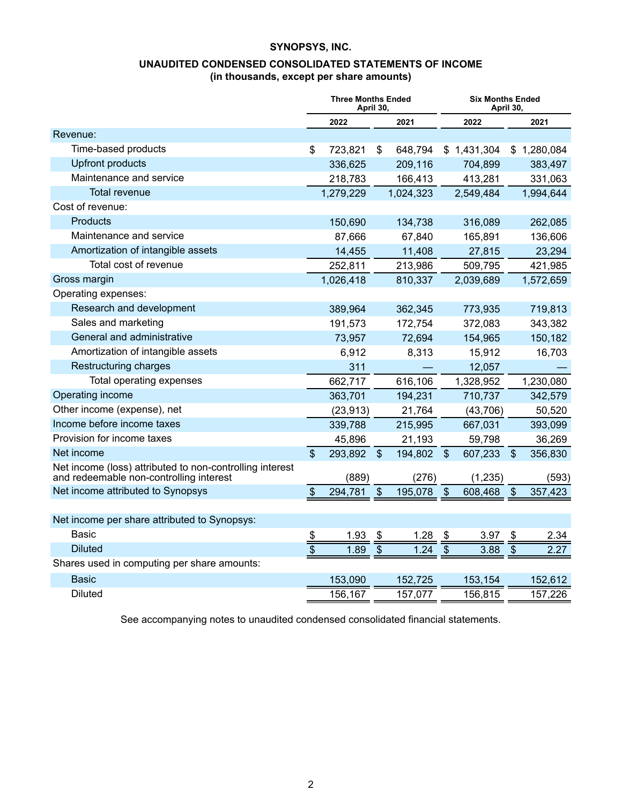## **UNAUDITED CONDENSED CONSOLIDATED STATEMENTS OF INCOME (in thousands, except per share amounts)**

<span id="page-3-0"></span>

|                                                                                                     | <b>Three Months Ended</b><br>April 30, |           |                           |           |                           | <b>Six Months Ended</b><br>April 30, |                           |             |
|-----------------------------------------------------------------------------------------------------|----------------------------------------|-----------|---------------------------|-----------|---------------------------|--------------------------------------|---------------------------|-------------|
|                                                                                                     |                                        | 2022      |                           | 2021      | 2022                      |                                      |                           | 2021        |
| Revenue:                                                                                            |                                        |           |                           |           |                           |                                      |                           |             |
| Time-based products                                                                                 | \$                                     | 723,821   | \$                        | 648,794   |                           | \$1,431,304                          |                           | \$1,280,084 |
| <b>Upfront products</b>                                                                             |                                        | 336,625   |                           | 209,116   |                           | 704,899                              |                           | 383,497     |
| Maintenance and service                                                                             |                                        | 218,783   |                           | 166,413   |                           | 413,281                              |                           | 331,063     |
| Total revenue                                                                                       |                                        | 1,279,229 |                           | 1,024,323 |                           | 2,549,484                            |                           | 1,994,644   |
| Cost of revenue:                                                                                    |                                        |           |                           |           |                           |                                      |                           |             |
| <b>Products</b>                                                                                     |                                        | 150,690   |                           | 134,738   |                           | 316,089                              |                           | 262,085     |
| Maintenance and service                                                                             |                                        | 87,666    |                           | 67,840    |                           | 165,891                              |                           | 136,606     |
| Amortization of intangible assets                                                                   |                                        | 14,455    |                           | 11,408    |                           | 27,815                               |                           | 23,294      |
| Total cost of revenue                                                                               |                                        | 252,811   |                           | 213,986   |                           | 509,795                              |                           | 421,985     |
| Gross margin                                                                                        |                                        | 1,026,418 |                           | 810,337   |                           | 2,039,689                            |                           | 1,572,659   |
| Operating expenses:                                                                                 |                                        |           |                           |           |                           |                                      |                           |             |
| Research and development                                                                            |                                        | 389,964   |                           | 362,345   |                           | 773,935                              |                           | 719,813     |
| Sales and marketing                                                                                 |                                        | 191,573   |                           | 172,754   |                           | 372,083                              |                           | 343,382     |
| General and administrative                                                                          |                                        | 73,957    |                           | 72,694    |                           | 154,965                              |                           | 150,182     |
| Amortization of intangible assets                                                                   |                                        | 6,912     |                           | 8,313     |                           | 15,912                               |                           | 16,703      |
| Restructuring charges                                                                               |                                        | 311       |                           |           |                           | 12,057                               |                           |             |
| Total operating expenses                                                                            |                                        | 662,717   |                           | 616,106   |                           | 1,328,952                            |                           | 1,230,080   |
| Operating income                                                                                    |                                        | 363,701   |                           | 194,231   |                           | 710,737                              |                           | 342,579     |
| Other income (expense), net                                                                         |                                        | (23, 913) |                           | 21,764    |                           | (43, 706)                            |                           | 50,520      |
| Income before income taxes                                                                          |                                        | 339,788   |                           | 215,995   |                           | 667,031                              |                           | 393,099     |
| Provision for income taxes                                                                          |                                        | 45,896    |                           | 21,193    |                           | 59,798                               |                           | 36,269      |
| Net income                                                                                          | $\mathbb{S}$                           | 293,892   | $\mathbb{S}$              | 194,802   | $\sqrt[6]{3}$             | 607,233                              | $\mathbb{S}$              | 356,830     |
| Net income (loss) attributed to non-controlling interest<br>and redeemable non-controlling interest |                                        | (889)     |                           | (276)     |                           | (1, 235)                             |                           | (593)       |
| Net income attributed to Synopsys                                                                   | $\mathbb{S}$                           | 294,781   | $\boldsymbol{\mathsf{S}}$ | 195,078   | $\boldsymbol{\mathsf{S}}$ | 608,468                              | $\boldsymbol{\mathsf{S}}$ | 357,423     |
|                                                                                                     |                                        |           |                           |           |                           |                                      |                           |             |
| Net income per share attributed to Synopsys:                                                        |                                        |           |                           |           |                           |                                      |                           |             |
| Basic                                                                                               | $rac{1}{3}$                            | 1.93      | \$                        | 1.28      | \$                        | 3.97                                 | \$                        | 2.34        |
| <b>Diluted</b>                                                                                      |                                        | 1.89      | $\overline{\mathcal{S}}$  | 1.24      | $\overline{\$}$           | 3.88                                 |                           | 2.27        |
| Shares used in computing per share amounts:                                                         |                                        |           |                           |           |                           |                                      |                           |             |
| <b>Basic</b>                                                                                        |                                        | 153,090   |                           | 152,725   |                           | 153,154                              |                           | 152,612     |
| <b>Diluted</b>                                                                                      |                                        | 156,167   |                           | 157,077   |                           | 156,815                              |                           | 157,226     |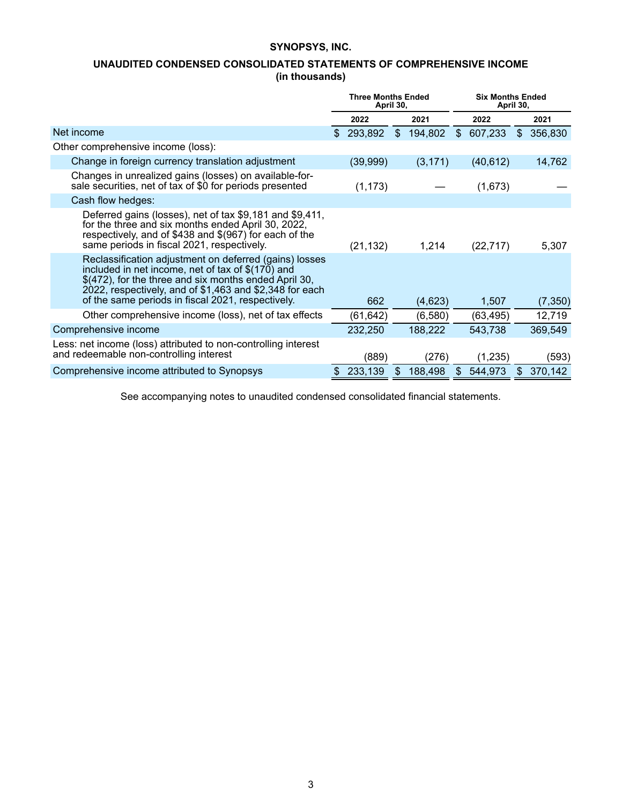## **UNAUDITED CONDENSED CONSOLIDATED STATEMENTS OF COMPREHENSIVE INCOME (in thousands)**

<span id="page-4-0"></span>

|                                                                                                                                                                                                                                                                                       | <b>Three Months Ended</b><br>April 30, |           |              |          |      | <b>Six Months Ended</b><br>April 30, |     |          |
|---------------------------------------------------------------------------------------------------------------------------------------------------------------------------------------------------------------------------------------------------------------------------------------|----------------------------------------|-----------|--------------|----------|------|--------------------------------------|-----|----------|
|                                                                                                                                                                                                                                                                                       | 2022                                   |           |              | 2021     | 2022 |                                      |     | 2021     |
| Net income                                                                                                                                                                                                                                                                            | \$.                                    | 293,892   | $\mathbb{S}$ | 194,802  | \$.  | 607,233                              | \$. | 356,830  |
| Other comprehensive income (loss):                                                                                                                                                                                                                                                    |                                        |           |              |          |      |                                      |     |          |
| Change in foreign currency translation adjustment                                                                                                                                                                                                                                     |                                        | (39, 999) |              | (3, 171) |      | (40, 612)                            |     | 14,762   |
| Changes in unrealized gains (losses) on available-for-<br>sale securities, net of tax of \$0 for periods presented                                                                                                                                                                    |                                        | (1, 173)  |              |          |      | (1,673)                              |     |          |
| Cash flow hedges:                                                                                                                                                                                                                                                                     |                                        |           |              |          |      |                                      |     |          |
| Deferred gains (losses), net of tax \$9,181 and \$9,411,<br>for the three and six months ended April 30, 2022,<br>respectively, and of \$438 and \$(967) for each of the<br>same periods in fiscal 2021, respectively.                                                                |                                        | (21, 132) |              | 1,214    |      | (22, 717)                            |     | 5,307    |
| Reclassification adjustment on deferred (gains) losses<br>included in net income, net of tax of $$(170)$ and<br>\$(472), for the three and six months ended April 30,<br>2022, respectively, and of \$1,463 and \$2,348 for each<br>of the same periods in fiscal 2021, respectively. |                                        | 662       |              | (4,623)  |      | 1,507                                |     | (7, 350) |
| Other comprehensive income (loss), net of tax effects                                                                                                                                                                                                                                 |                                        | (61,642)  |              | (6,580)  |      | (63,495)                             |     | 12,719   |
| Comprehensive income                                                                                                                                                                                                                                                                  |                                        | 232,250   |              | 188,222  |      | 543,738                              |     | 369,549  |
| Less: net income (loss) attributed to non-controlling interest<br>and redeemable non-controlling interest                                                                                                                                                                             |                                        | (889)     |              | (276)    |      | (1,235)                              |     | (593)    |
| Comprehensive income attributed to Synopsys                                                                                                                                                                                                                                           |                                        | 233,139   | \$           | 188,498  | \$   | 544,973                              | S   | 370,142  |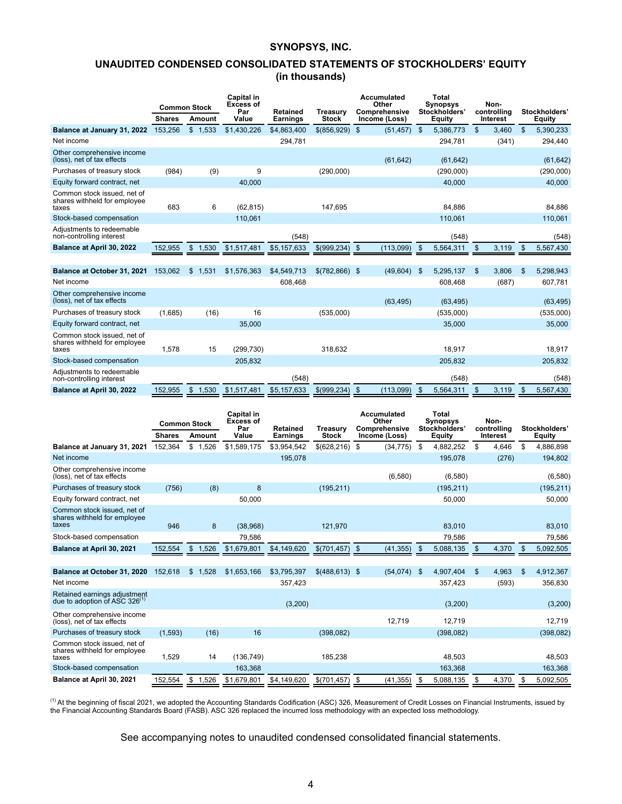#### **UNAUDITED CONDENSED CONSOLIDATED STATEMENTS OF STOCKHOLDERS' EQUITY (in thousands)**

<span id="page-5-0"></span>

|                                                                      | <b>Common Stock</b><br><b>Shares</b> | Amount      | <b>Capital in</b><br><b>Excess of</b><br>Par<br>Value | <b>Retained</b><br><b>Earnings</b> | <b>Treasurv</b><br><b>Stock</b> |                | <b>Accumulated</b><br>Other<br><b>Comprehensive</b><br>Income (Loss) | <b>Total</b><br><b>Synopsys</b><br>Stockholders'<br>Equity | Non-<br>controlling<br><b>Interest</b> |                | Stockholders'<br>Equity |
|----------------------------------------------------------------------|--------------------------------------|-------------|-------------------------------------------------------|------------------------------------|---------------------------------|----------------|----------------------------------------------------------------------|------------------------------------------------------------|----------------------------------------|----------------|-------------------------|
| Balance at January 31, 2022                                          | 153,256                              | \$1,533     | \$1,430,226                                           | \$4,863,400                        | \$(856,929)                     | $\mathfrak{s}$ | (51, 457)                                                            | \$<br>5,386,773                                            | \$<br>3,460                            | $\mathfrak{s}$ | 5,390,233               |
| Net income                                                           |                                      |             |                                                       | 294,781                            |                                 |                |                                                                      | 294,781                                                    | (341)                                  |                | 294,440                 |
| Other comprehensive income<br>(loss), net of tax effects             |                                      |             |                                                       |                                    |                                 |                | (61, 642)                                                            | (61, 642)                                                  |                                        |                | (61, 642)               |
| Purchases of treasury stock                                          | (984)                                | (9)         | 9                                                     |                                    | (290,000)                       |                |                                                                      | (290,000)                                                  |                                        |                | (290,000)               |
| Equity forward contract, net                                         |                                      |             | 40.000                                                |                                    |                                 |                |                                                                      | 40.000                                                     |                                        |                | 40.000                  |
| Common stock issued, net of<br>shares withheld for employee<br>taxes | 683                                  | 6           | (62, 815)                                             |                                    | 147,695                         |                |                                                                      | 84,886                                                     |                                        |                | 84,886                  |
| Stock-based compensation                                             |                                      |             | 110,061                                               |                                    |                                 |                |                                                                      | 110,061                                                    |                                        |                | 110,061                 |
| Adjustments to redeemable<br>non-controlling interest                |                                      |             |                                                       | (548)                              |                                 |                |                                                                      | (548)                                                      |                                        |                | (548)                   |
| Balance at April 30, 2022                                            | 152,955                              | \$<br>1,530 | \$1,517,481                                           | \$5,157,633                        | \$(999,234)                     | $\frac{1}{2}$  | (113,099)                                                            | \$<br>5,564,311                                            | \$<br>3,119                            | \$             | 5,567,430               |
|                                                                      |                                      |             |                                                       |                                    |                                 |                |                                                                      |                                                            |                                        |                |                         |
| Balance at October 31, 2021                                          | 153.062                              | \$1.531     | \$1.576.363                                           | \$4,549,713                        | $$(782,866)$ \;                 |                | (49,604)                                                             | \$<br>5,295,137                                            | \$<br>3,806                            | \$             | 5,298,943               |
| Net income                                                           |                                      |             |                                                       | 608,468                            |                                 |                |                                                                      | 608.468                                                    | (687)                                  |                | 607,781                 |
| Other comprehensive income<br>(loss), net of tax effects             |                                      |             |                                                       |                                    |                                 |                | (63, 495)                                                            | (63, 495)                                                  |                                        |                | (63, 495)               |
| Purchases of treasury stock                                          | (1,685)                              | (16)        | 16                                                    |                                    | (535,000)                       |                |                                                                      | (535,000)                                                  |                                        |                | (535,000)               |
| Equity forward contract, net                                         |                                      |             | 35,000                                                |                                    |                                 |                |                                                                      | 35,000                                                     |                                        |                | 35,000                  |
| Common stock issued, net of<br>shares withheld for employee<br>taxes | 1,578                                | 15          | (299, 730)                                            |                                    | 318,632                         |                |                                                                      | 18,917                                                     |                                        |                | 18.917                  |
| Stock-based compensation                                             |                                      |             | 205,832                                               |                                    |                                 |                |                                                                      | 205.832                                                    |                                        |                | 205,832                 |
| Adjustments to redeemable<br>non-controlling interest                |                                      |             |                                                       | (548)                              |                                 |                |                                                                      | (548)                                                      |                                        |                | (548)                   |
| Balance at April 30, 2022                                            | 152.955                              | \$1,530     | \$1,517,481                                           | \$5,157,633                        | $$(999,234)$ \\$                |                | (113,099)                                                            | \$<br>5,564,311                                            | \$<br>3,119                            | \$             | 5,567,430               |

|                                                                      |               | <b>Common Stock</b> | Capital in<br>Excess of<br>Par | <b>Retained</b> | <b>Treasurv</b>  | Accumulated<br>Other<br><b>Comprehensive</b> |      | Total<br><b>Synopsys</b><br>Stockholders' | Non-<br>controlling |     | Stockholders' |
|----------------------------------------------------------------------|---------------|---------------------|--------------------------------|-----------------|------------------|----------------------------------------------|------|-------------------------------------------|---------------------|-----|---------------|
|                                                                      | <b>Shares</b> | Amount              | Value                          | <b>Earnings</b> | <b>Stock</b>     | Income (Loss)                                |      | Equity                                    | Interest            |     | Equity        |
| Balance at January 31, 2021                                          | 152,364       | \$<br>1,526         | \$1,589,175                    | \$3,954,542     | $$(628, 216)$ \, | (34, 775)                                    | \$   | 4,882,252                                 | \$<br>4,646         | \$  | 4,886,898     |
| Net income                                                           |               |                     |                                | 195,078         |                  |                                              |      | 195,078                                   | (276)               |     | 194,802       |
| Other comprehensive income<br>(loss), net of tax effects             |               |                     |                                |                 |                  | (6,580)                                      |      | (6,580)                                   |                     |     | (6,580)       |
| Purchases of treasury stock                                          | (756)         | (8)                 | 8                              |                 | (195, 211)       |                                              |      | (195, 211)                                |                     |     | (195, 211)    |
| Equity forward contract, net                                         |               |                     | 50,000                         |                 |                  |                                              |      | 50,000                                    |                     |     | 50,000        |
| Common stock issued, net of<br>shares withheld for employee<br>taxes |               |                     |                                |                 |                  |                                              |      |                                           |                     |     |               |
|                                                                      | 946           | 8                   | (38,968)                       |                 | 121,970          |                                              |      | 83,010                                    |                     |     | 83,010        |
| Stock-based compensation                                             |               |                     | 79.586                         |                 |                  |                                              |      | 79.586                                    |                     |     | 79,586        |
| Balance at April 30, 2021                                            | 152,554       | 1,526<br>\$         | \$1,679,801                    | \$4,149,620     | $$(701,457)$ \;  | (41, 355)                                    | - \$ | 5,088,135                                 | 4,370               | - 5 | 5,092,505     |
|                                                                      |               |                     |                                |                 |                  |                                              |      |                                           |                     |     |               |
| Balance at October 31, 2020                                          | 152,618       | \$1,528             | \$1,653,166                    | \$3,795,397     | $$(488,613)$ \;  | (54, 074)                                    | \$   | 4,907,404                                 | \$<br>4,963         | \$  | 4,912,367     |
| Net income                                                           |               |                     |                                | 357,423         |                  |                                              |      | 357,423                                   | (593)               |     | 356,830       |
| Retained earnings adjustment<br>due to adoption of ASC $326^{(1)}$   |               |                     |                                | (3,200)         |                  |                                              |      | (3,200)                                   |                     |     | (3,200)       |
| Other comprehensive income<br>(loss), net of tax effects             |               |                     |                                |                 |                  | 12,719                                       |      | 12,719                                    |                     |     | 12,719        |
| Purchases of treasury stock                                          | (1,593)       | (16)                | 16                             |                 | (398, 082)       |                                              |      | (398, 082)                                |                     |     | (398, 082)    |
| Common stock issued, net of<br>shares withheld for employee<br>taxes | 1,529         | 14                  | (136, 749)                     |                 | 185,238          |                                              |      | 48,503                                    |                     |     | 48,503        |
| Stock-based compensation                                             |               |                     | 163.368                        |                 |                  |                                              |      | 163,368                                   |                     |     | 163,368       |
| Balance at April 30, 2021                                            | 152.554       | \$<br>1,526         | \$1,679,801                    | \$4,149,620     | $$(701,457)$ \;  | (41, 355)                                    | S    | 5,088,135                                 | \$<br>4,370         | \$  | 5.092.505     |

 $^{(1)}$  At the beginning of fiscal 2021, we adopted the Accounting Standards Codification (ASC) 326, Measurement of Credit Losses on Financial Instruments, issued by the Financial Accounting Standards Board (FASB). ASC 326 replaced the incurred loss methodology with an expected loss methodology.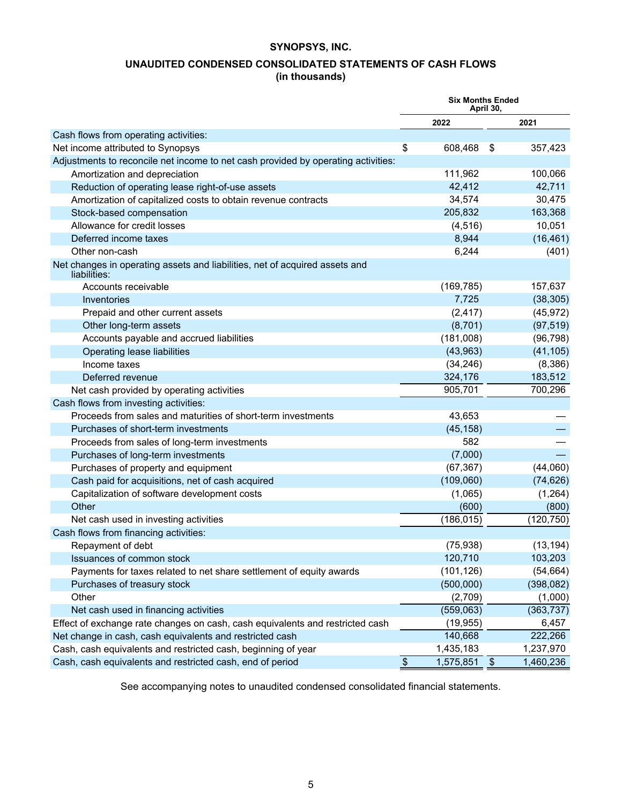# **UNAUDITED CONDENSED CONSOLIDATED STATEMENTS OF CASH FLOWS**

**(in thousands)**

<span id="page-6-0"></span>

|                                                                                             |                          | <b>Six Months Ended</b><br>April 30, |               |            |
|---------------------------------------------------------------------------------------------|--------------------------|--------------------------------------|---------------|------------|
|                                                                                             |                          | 2022                                 |               | 2021       |
| Cash flows from operating activities:                                                       |                          |                                      |               |            |
| Net income attributed to Synopsys                                                           | \$                       | 608,468                              | \$            | 357,423    |
| Adjustments to reconcile net income to net cash provided by operating activities:           |                          |                                      |               |            |
| Amortization and depreciation                                                               |                          | 111,962                              |               | 100,066    |
| Reduction of operating lease right-of-use assets                                            |                          | 42,412                               |               | 42,711     |
| Amortization of capitalized costs to obtain revenue contracts                               |                          | 34,574                               |               | 30,475     |
| Stock-based compensation                                                                    |                          | 205,832                              |               | 163,368    |
| Allowance for credit losses                                                                 |                          | (4, 516)                             |               | 10,051     |
| Deferred income taxes                                                                       |                          | 8,944                                |               | (16, 461)  |
| Other non-cash                                                                              |                          | 6,244                                |               | (401)      |
| Net changes in operating assets and liabilities, net of acquired assets and<br>liabilities: |                          |                                      |               |            |
| Accounts receivable                                                                         |                          | (169, 785)                           |               | 157,637    |
| Inventories                                                                                 |                          | 7,725                                |               | (38, 305)  |
| Prepaid and other current assets                                                            |                          | (2, 417)                             |               | (45, 972)  |
| Other long-term assets                                                                      |                          | (8,701)                              |               | (97, 519)  |
| Accounts payable and accrued liabilities                                                    |                          | (181,008)                            |               | (96, 798)  |
| Operating lease liabilities                                                                 |                          | (43, 963)                            |               | (41, 105)  |
| Income taxes                                                                                |                          | (34, 246)                            |               | (8,386)    |
| Deferred revenue                                                                            |                          | 324,176                              |               | 183,512    |
| Net cash provided by operating activities                                                   |                          | 905,701                              |               | 700,296    |
| Cash flows from investing activities:                                                       |                          |                                      |               |            |
| Proceeds from sales and maturities of short-term investments                                |                          | 43,653                               |               |            |
| Purchases of short-term investments                                                         |                          | (45, 158)                            |               |            |
| Proceeds from sales of long-term investments                                                |                          | 582                                  |               |            |
| Purchases of long-term investments                                                          |                          | (7,000)                              |               |            |
| Purchases of property and equipment                                                         |                          | (67, 367)                            |               | (44,060)   |
| Cash paid for acquisitions, net of cash acquired                                            |                          | (109,060)                            |               | (74, 626)  |
| Capitalization of software development costs                                                |                          | (1,065)                              |               | (1, 264)   |
| Other                                                                                       |                          | (600)                                |               | (800)      |
| Net cash used in investing activities                                                       |                          | (186, 015)                           |               | (120, 750) |
| Cash flows from financing activities:                                                       |                          |                                      |               |            |
| Repayment of debt                                                                           |                          | (75, 938)                            |               | (13, 194)  |
| Issuances of common stock                                                                   |                          | 120,710                              |               | 103,203    |
| Payments for taxes related to net share settlement of equity awards                         |                          | (101, 126)                           |               | (54, 664)  |
| Purchases of treasury stock                                                                 |                          | (500,000)                            |               | (398, 082) |
| Other                                                                                       |                          | (2,709)                              |               | (1,000)    |
| Net cash used in financing activities                                                       |                          | (559,063)                            |               | (363, 737) |
| Effect of exchange rate changes on cash, cash equivalents and restricted cash               |                          | (19, 955)                            |               | 6,457      |
| Net change in cash, cash equivalents and restricted cash                                    |                          | 140,668                              |               | 222,266    |
| Cash, cash equivalents and restricted cash, beginning of year                               |                          | 1,435,183                            |               | 1,237,970  |
| Cash, cash equivalents and restricted cash, end of period                                   | $\overline{\mathcal{E}}$ | 1,575,851                            | $\sqrt[6]{3}$ | 1,460,236  |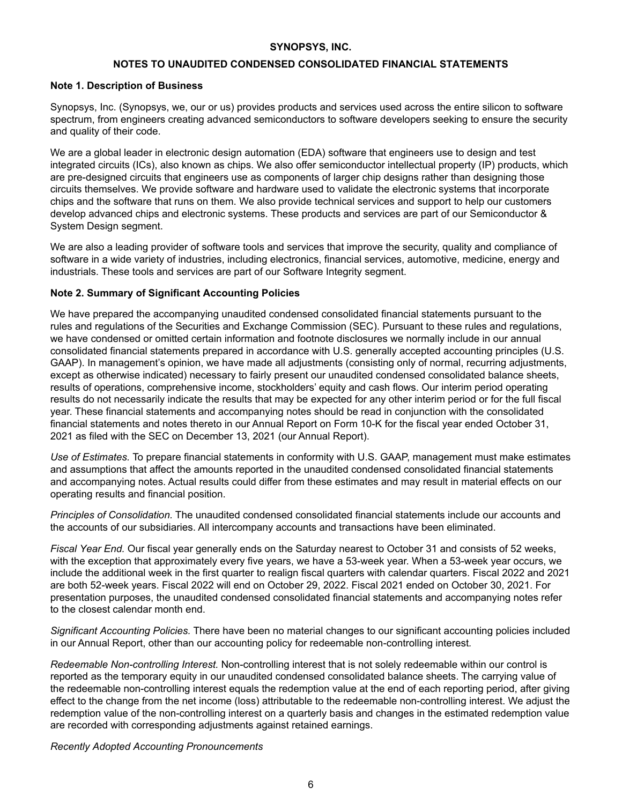#### **NOTES TO UNAUDITED CONDENSED CONSOLIDATED FINANCIAL STATEMENTS**

#### <span id="page-7-0"></span>**Note 1. Description of Business**

Synopsys, Inc. (Synopsys, we, our or us) provides products and services used across the entire silicon to software spectrum, from engineers creating advanced semiconductors to software developers seeking to ensure the security and quality of their code.

We are a global leader in electronic design automation (EDA) software that engineers use to design and test integrated circuits (ICs), also known as chips. We also offer semiconductor intellectual property (IP) products, which are pre-designed circuits that engineers use as components of larger chip designs rather than designing those circuits themselves. We provide software and hardware used to validate the electronic systems that incorporate chips and the software that runs on them. We also provide technical services and support to help our customers develop advanced chips and electronic systems. These products and services are part of our Semiconductor & System Design segment.

We are also a leading provider of software tools and services that improve the security, quality and compliance of software in a wide variety of industries, including electronics, financial services, automotive, medicine, energy and industrials. These tools and services are part of our Software Integrity segment.

#### **Note 2. Summary of Significant Accounting Policies**

We have prepared the accompanying unaudited condensed consolidated financial statements pursuant to the rules and regulations of the Securities and Exchange Commission (SEC). Pursuant to these rules and regulations, we have condensed or omitted certain information and footnote disclosures we normally include in our annual consolidated financial statements prepared in accordance with U.S. generally accepted accounting principles (U.S. GAAP). In management's opinion, we have made all adjustments (consisting only of normal, recurring adjustments, except as otherwise indicated) necessary to fairly present our unaudited condensed consolidated balance sheets, results of operations, comprehensive income, stockholders' equity and cash flows. Our interim period operating results do not necessarily indicate the results that may be expected for any other interim period or for the full fiscal year. These financial statements and accompanying notes should be read in conjunction with the consolidated financial statements and notes thereto in our Annual Report on Form 10-K for the fiscal year ended October 31, 2021 as filed with the SEC on December 13, 2021 (our Annual Report).

*Use of Estimates.* To prepare financial statements in conformity with U.S. GAAP, management must make estimates and assumptions that affect the amounts reported in the unaudited condensed consolidated financial statements and accompanying notes. Actual results could differ from these estimates and may result in material effects on our operating results and financial position.

*Principles of Consolidation.* The unaudited condensed consolidated financial statements include our accounts and the accounts of our subsidiaries. All intercompany accounts and transactions have been eliminated.

*Fiscal Year End.* Our fiscal year generally ends on the Saturday nearest to October 31 and consists of 52 weeks, with the exception that approximately every five years, we have a 53-week year. When a 53-week year occurs, we include the additional week in the first quarter to realign fiscal quarters with calendar quarters. Fiscal 2022 and 2021 are both 52-week years. Fiscal 2022 will end on October 29, 2022. Fiscal 2021 ended on October 30, 2021. For presentation purposes, the unaudited condensed consolidated financial statements and accompanying notes refer to the closest calendar month end.

*Significant Accounting Policies.* There have been no material changes to our significant accounting policies included in our Annual Report, other than our accounting policy for redeemable non-controlling interest*.* 

*Redeemable Non-controlling Interest.* Non-controlling interest that is not solely redeemable within our control is reported as the temporary equity in our unaudited condensed consolidated balance sheets. The carrying value of the redeemable non-controlling interest equals the redemption value at the end of each reporting period, after giving effect to the change from the net income (loss) attributable to the redeemable non-controlling interest. We adjust the redemption value of the non-controlling interest on a quarterly basis and changes in the estimated redemption value are recorded with corresponding adjustments against retained earnings.

*Recently Adopted Accounting Pronouncements*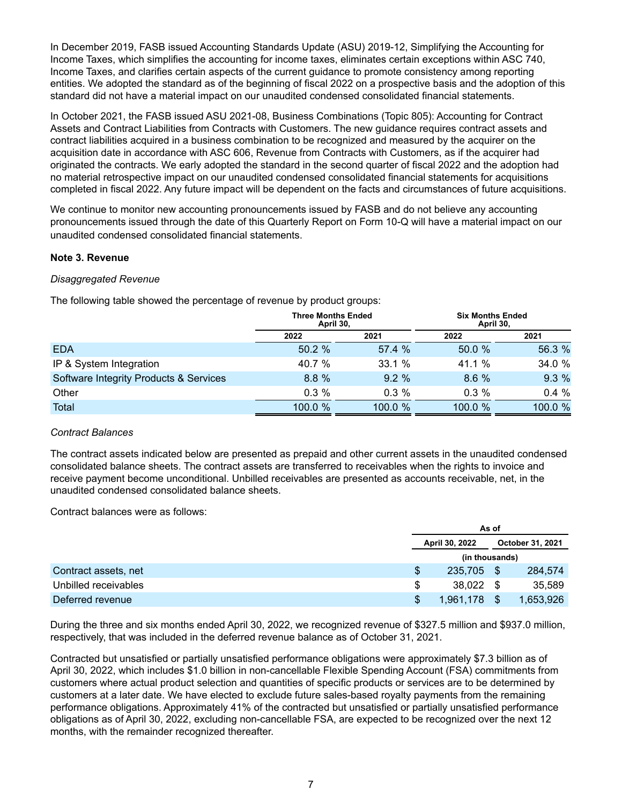In December 2019, FASB issued Accounting Standards Update (ASU) 2019-12, Simplifying the Accounting for Income Taxes, which simplifies the accounting for income taxes, eliminates certain exceptions within ASC 740, Income Taxes, and clarifies certain aspects of the current guidance to promote consistency among reporting entities. We adopted the standard as of the beginning of fiscal 2022 on a prospective basis and the adoption of this standard did not have a material impact on our unaudited condensed consolidated financial statements.

In October 2021, the FASB issued ASU 2021-08, Business Combinations (Topic 805): Accounting for Contract Assets and Contract Liabilities from Contracts with Customers. The new guidance requires contract assets and contract liabilities acquired in a business combination to be recognized and measured by the acquirer on the acquisition date in accordance with ASC 606, Revenue from Contracts with Customers, as if the acquirer had originated the contracts. We early adopted the standard in the second quarter of fiscal 2022 and the adoption had no material retrospective impact on our unaudited condensed consolidated financial statements for acquisitions completed in fiscal 2022. Any future impact will be dependent on the facts and circumstances of future acquisitions.

We continue to monitor new accounting pronouncements issued by FASB and do not believe any accounting pronouncements issued through the date of this Quarterly Report on Form 10-Q will have a material impact on our unaudited condensed consolidated financial statements.

## **Note 3. Revenue**

## *Disaggregated Revenue*

The following table showed the percentage of revenue by product groups:

|                                        | <b>Three Months Ended</b> | April 30, | <b>Six Months Ended</b><br>April 30, |         |
|----------------------------------------|---------------------------|-----------|--------------------------------------|---------|
|                                        | 2022                      | 2021      | 2022                                 | 2021    |
| <b>EDA</b>                             | $50.2 \%$                 | 57.4 %    | 50.0 %                               | 56.3 %  |
| IP & System Integration                | 40.7 %                    | 33.1%     | 41.1 %                               | 34.0 %  |
| Software Integrity Products & Services | 8.8%                      | $9.2 \%$  | $8.6\%$                              | 9.3%    |
| Other                                  | $0.3\%$                   | $0.3\%$   | $0.3\%$                              | 0.4%    |
| Total                                  | 100.0 $%$                 | 100.0 %   | 100.0 %                              | 100.0 % |

## *Contract Balances*

The contract assets indicated below are presented as prepaid and other current assets in the unaudited condensed consolidated balance sheets. The contract assets are transferred to receivables when the rights to invoice and receive payment become unconditional. Unbilled receivables are presented as accounts receivable, net, in the unaudited condensed consolidated balance sheets.

Contract balances were as follows:

|                      |   | As of          |                  |           |  |  |  |
|----------------------|---|----------------|------------------|-----------|--|--|--|
|                      |   | April 30, 2022 | October 31, 2021 |           |  |  |  |
|                      |   | (in thousands) |                  |           |  |  |  |
| Contract assets, net | S | 235,705        | -\$              | 284,574   |  |  |  |
| Unbilled receivables | S | 38,022         | S                | 35,589    |  |  |  |
| Deferred revenue     |   | 1,961,178      | -\$              | 1,653,926 |  |  |  |

During the three and six months ended April 30, 2022, we recognized revenue of \$327.5 million and \$937.0 million, respectively, that was included in the deferred revenue balance as of October 31, 2021.

Contracted but unsatisfied or partially unsatisfied performance obligations were approximately \$7.3 billion as of April 30, 2022, which includes \$1.0 billion in non-cancellable Flexible Spending Account (FSA) commitments from customers where actual product selection and quantities of specific products or services are to be determined by customers at a later date. We have elected to exclude future sales-based royalty payments from the remaining performance obligations. Approximately 41% of the contracted but unsatisfied or partially unsatisfied performance obligations as of April 30, 2022, excluding non-cancellable FSA, are expected to be recognized over the next 12 months, with the remainder recognized thereafter.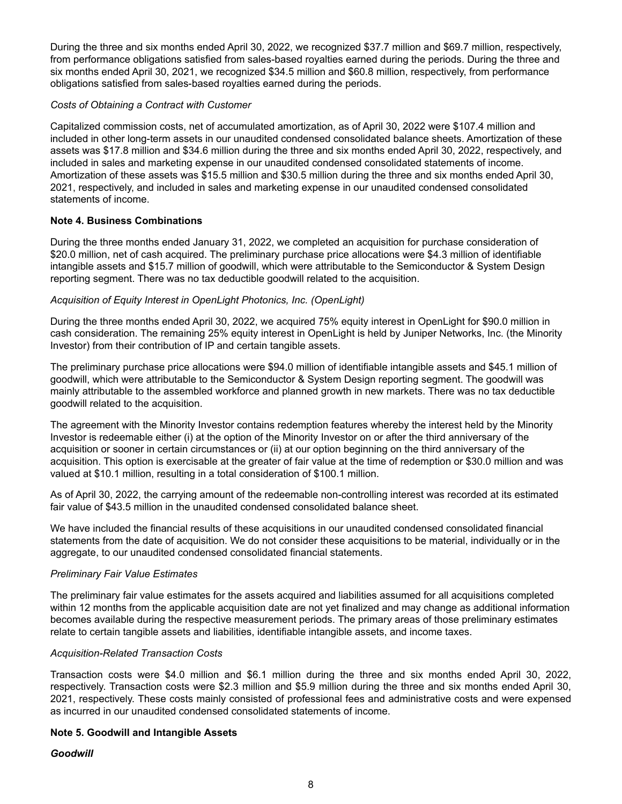During the three and six months ended April 30, 2022, we recognized \$37.7 million and \$69.7 million, respectively, from performance obligations satisfied from sales-based royalties earned during the periods. During the three and six months ended April 30, 2021, we recognized \$34.5 million and \$60.8 million, respectively, from performance obligations satisfied from sales-based royalties earned during the periods.

## *Costs of Obtaining a Contract with Customer*

Capitalized commission costs, net of accumulated amortization, as of April 30, 2022 were \$107.4 million and included in other long-term assets in our unaudited condensed consolidated balance sheets. Amortization of these assets was \$17.8 million and \$34.6 million during the three and six months ended April 30, 2022, respectively, and included in sales and marketing expense in our unaudited condensed consolidated statements of income. Amortization of these assets was \$15.5 million and \$30.5 million during the three and six months ended April 30, 2021, respectively, and included in sales and marketing expense in our unaudited condensed consolidated statements of income.

## **Note 4. Business Combinations**

During the three months ended January 31, 2022, we completed an acquisition for purchase consideration of \$20.0 million, net of cash acquired. The preliminary purchase price allocations were \$4.3 million of identifiable intangible assets and \$15.7 million of goodwill, which were attributable to the Semiconductor & System Design reporting segment. There was no tax deductible goodwill related to the acquisition.

## *Acquisition of Equity Interest in OpenLight Photonics, Inc. (OpenLight)*

During the three months ended April 30, 2022, we acquired 75% equity interest in OpenLight for \$90.0 million in cash consideration. The remaining 25% equity interest in OpenLight is held by Juniper Networks, Inc. (the Minority Investor) from their contribution of IP and certain tangible assets.

The preliminary purchase price allocations were \$94.0 million of identifiable intangible assets and \$45.1 million of goodwill, which were attributable to the Semiconductor & System Design reporting segment. The goodwill was mainly attributable to the assembled workforce and planned growth in new markets. There was no tax deductible goodwill related to the acquisition.

The agreement with the Minority Investor contains redemption features whereby the interest held by the Minority Investor is redeemable either (i) at the option of the Minority Investor on or after the third anniversary of the acquisition or sooner in certain circumstances or (ii) at our option beginning on the third anniversary of the acquisition. This option is exercisable at the greater of fair value at the time of redemption or \$30.0 million and was valued at \$10.1 million, resulting in a total consideration of \$100.1 million.

As of April 30, 2022, the carrying amount of the redeemable non-controlling interest was recorded at its estimated fair value of \$43.5 million in the unaudited condensed consolidated balance sheet.

We have included the financial results of these acquisitions in our unaudited condensed consolidated financial statements from the date of acquisition. We do not consider these acquisitions to be material, individually or in the aggregate, to our unaudited condensed consolidated financial statements.

## *Preliminary Fair Value Estimates*

The preliminary fair value estimates for the assets acquired and liabilities assumed for all acquisitions completed within 12 months from the applicable acquisition date are not yet finalized and may change as additional information becomes available during the respective measurement periods. The primary areas of those preliminary estimates relate to certain tangible assets and liabilities, identifiable intangible assets, and income taxes.

## *Acquisition-Related Transaction Costs*

Transaction costs were \$4.0 million and \$6.1 million during the three and six months ended April 30, 2022, respectively. Transaction costs were \$2.3 million and \$5.9 million during the three and six months ended April 30, 2021, respectively. These costs mainly consisted of professional fees and administrative costs and were expensed as incurred in our unaudited condensed consolidated statements of income.

## **Note 5. Goodwill and Intangible Assets**

*Goodwill*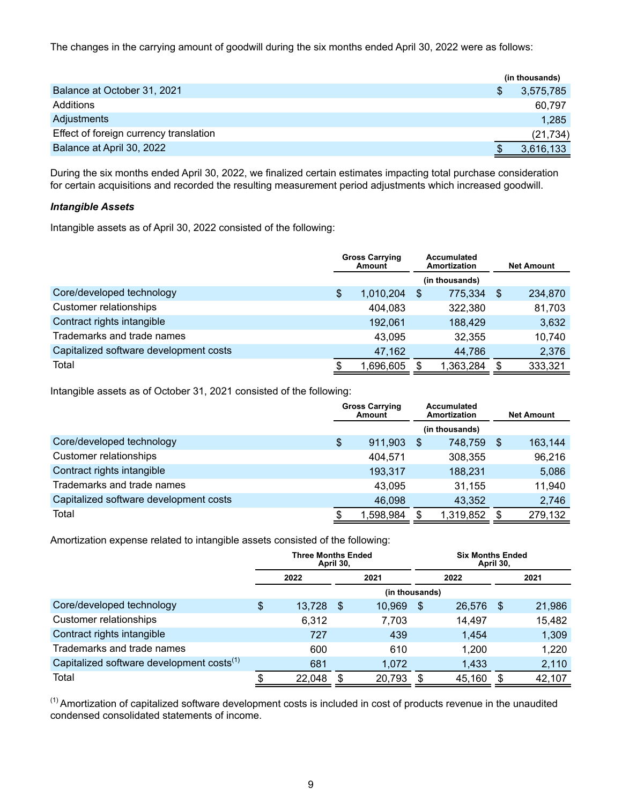The changes in the carrying amount of goodwill during the six months ended April 30, 2022 were as follows:

|                                        |    | (in thousands) |
|----------------------------------------|----|----------------|
| Balance at October 31, 2021            | \$ | 3,575,785      |
| Additions                              |    | 60.797         |
| Adjustments                            |    | 1,285          |
| Effect of foreign currency translation |    | (21, 734)      |
| Balance at April 30, 2022              | S  | 3,616,133      |

During the six months ended April 30, 2022, we finalized certain estimates impacting total purchase consideration for certain acquisitions and recorded the resulting measurement period adjustments which increased goodwill.

## *Intangible Assets*

Intangible assets as of April 30, 2022 consisted of the following:

|                                        | <b>Gross Carrying</b><br>Amount |           | <b>Accumulated</b><br>Amortization |                |      | <b>Net Amount</b> |
|----------------------------------------|---------------------------------|-----------|------------------------------------|----------------|------|-------------------|
|                                        |                                 |           |                                    | (in thousands) |      |                   |
| Core/developed technology              | \$                              | 1,010,204 | S                                  | 775.334        | - \$ | 234,870           |
| Customer relationships                 |                                 | 404,083   |                                    | 322,380        |      | 81,703            |
| Contract rights intangible             |                                 | 192,061   |                                    | 188,429        |      | 3,632             |
| Trademarks and trade names             |                                 | 43,095    |                                    | 32,355         |      | 10,740            |
| Capitalized software development costs |                                 | 47,162    |                                    | 44,786         |      | 2,376             |
| Total                                  |                                 | 1,696,605 |                                    | 1,363,284      | S    | 333,321           |

Intangible assets as of October 31, 2021 consisted of the following:

|                                        | <b>Gross Carrying</b><br>Amount |           | <b>Accumulated</b><br>Amortization |                | <b>Net Amount</b> |
|----------------------------------------|---------------------------------|-----------|------------------------------------|----------------|-------------------|
|                                        |                                 |           |                                    | (in thousands) |                   |
| Core/developed technology              | \$                              | 911,903   | \$                                 | 748,759        | \$<br>163,144     |
| <b>Customer relationships</b>          |                                 | 404,571   |                                    | 308,355        | 96,216            |
| Contract rights intangible             |                                 | 193,317   |                                    | 188,231        | 5,086             |
| Trademarks and trade names             |                                 | 43.095    |                                    | 31,155         | 11,940            |
| Capitalized software development costs |                                 | 46,098    |                                    | 43,352         | 2,746             |
| Total                                  |                                 | 1,598,984 |                                    | 1,319,852      | 279,132           |

Amortization expense related to intangible assets consisted of the following:

|                                                       | <b>Three Months Ended</b><br>April 30, |        |    |                | <b>Six Months Ended</b><br>April 30, |        |   |        |
|-------------------------------------------------------|----------------------------------------|--------|----|----------------|--------------------------------------|--------|---|--------|
|                                                       | 2022                                   |        |    | 2021           |                                      | 2022   |   | 2021   |
|                                                       |                                        |        |    | (in thousands) |                                      |        |   |        |
| Core/developed technology                             | \$                                     | 13,728 | \$ | 10,969         | \$                                   | 26,576 | S | 21,986 |
| <b>Customer relationships</b>                         |                                        | 6,312  |    | 7,703          |                                      | 14,497 |   | 15,482 |
| Contract rights intangible                            |                                        | 727    |    | 439            |                                      | 1,454  |   | 1,309  |
| Trademarks and trade names                            |                                        | 600    |    | 610            |                                      | 1,200  |   | 1,220  |
| Capitalized software development costs <sup>(1)</sup> |                                        | 681    |    | 1,072          |                                      | 1,433  |   | 2,110  |
| Total                                                 |                                        | 22,048 | S  | 20,793         |                                      | 45,160 |   | 42,107 |

(1) Amortization of capitalized software development costs is included in cost of products revenue in the unaudited condensed consolidated statements of income.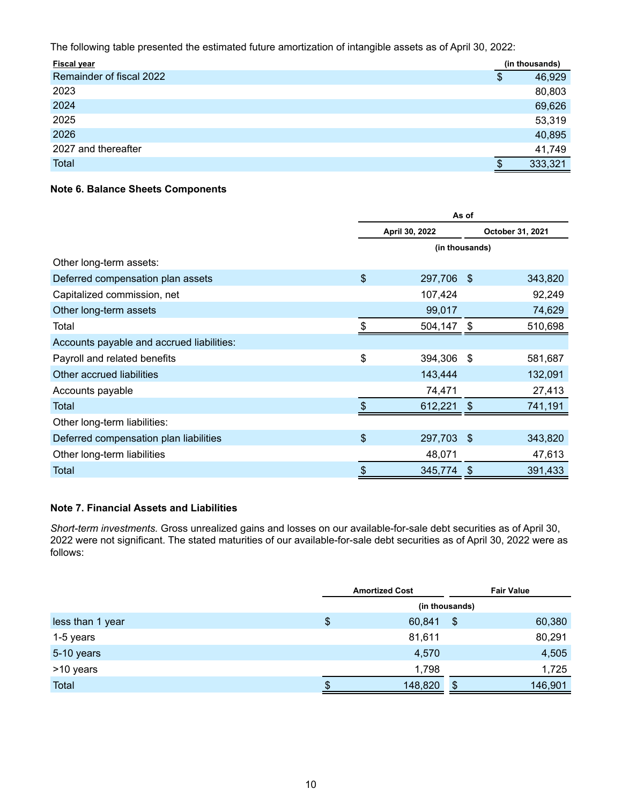The following table presented the estimated future amortization of intangible assets as of April 30, 2022:

| <b>Fiscal year</b>       |    | (in thousands) |
|--------------------------|----|----------------|
| Remainder of fiscal 2022 | \$ | 46,929         |
| 2023                     |    | 80,803         |
| 2024                     |    | 69,626         |
| 2025                     |    | 53,319         |
| 2026                     |    | 40,895         |
| 2027 and thereafter      |    | 41,749         |
| <b>Total</b>             | S. | 333,321        |

## **Note 6. Balance Sheets Components**

| October 31, 2021 |
|------------------|
|                  |
|                  |
| 343,820          |
| 92,249           |
| 74,629           |
| 510,698          |
|                  |
| 581,687          |
| 132,091          |
| 27,413           |
| 741,191          |
|                  |
| 343,820          |
| 47,613           |
| 391,433          |
|                  |

## **Note 7. Financial Assets and Liabilities**

*Short-term investments.* Gross unrealized gains and losses on our available-for-sale debt securities as of April 30, 2022 were not significant. The stated maturities of our available-for-sale debt securities as of April 30, 2022 were as follows:

|                  | <b>Amortized Cost</b> |         |            | <b>Fair Value</b> |
|------------------|-----------------------|---------|------------|-------------------|
|                  |                       |         |            |                   |
| less than 1 year | \$                    | 60,841  | \$         | 60,380            |
| 1-5 years        |                       | 81,611  |            | 80,291            |
| 5-10 years       |                       | 4,570   |            | 4,505             |
| >10 years        |                       | 1,798   |            | 1,725             |
| Total            | \$.                   | 148,820 | $\sqrt{3}$ | 146,901           |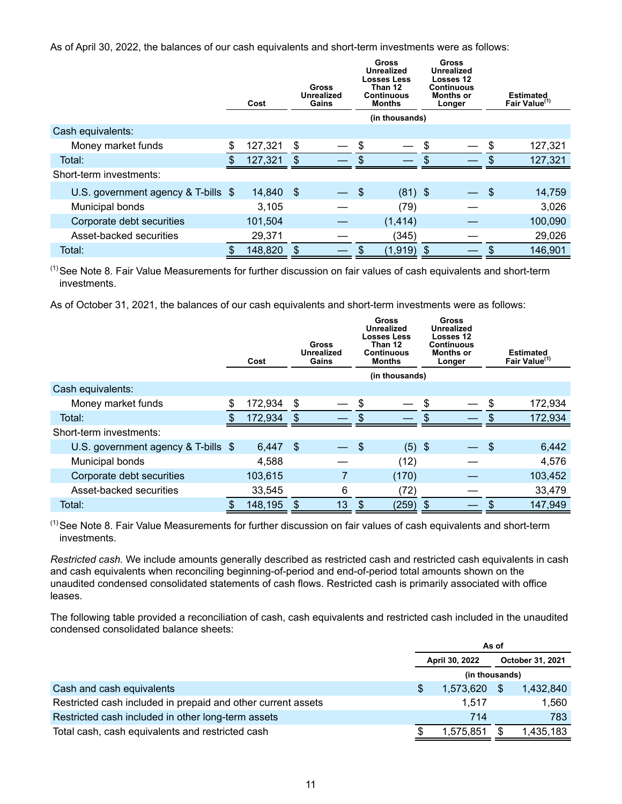As of April 30, 2022, the balances of our cash equivalents and short-term investments were as follows:

|                                     | Cost          |     | Gross<br><b>Unrealized</b><br>Gains | <b>Gross</b><br><b>Unrealized</b><br><b>Losses Less</b><br>Than 12<br><b>Continuous</b><br><b>Months</b> | <b>Gross</b><br>Unrealized<br>Losses 12<br>Continuous<br><b>Months</b> or<br>Longer | <b>Estimated</b><br>Fair Value <sup>(1)</sup> |
|-------------------------------------|---------------|-----|-------------------------------------|----------------------------------------------------------------------------------------------------------|-------------------------------------------------------------------------------------|-----------------------------------------------|
|                                     |               |     |                                     | (in thousands)                                                                                           |                                                                                     |                                               |
| Cash equivalents:                   |               |     |                                     |                                                                                                          |                                                                                     |                                               |
| Money market funds                  | 127,321       | \$  |                                     | \$                                                                                                       | \$                                                                                  | 127,321                                       |
| Total:                              | 127,321       | S   |                                     |                                                                                                          |                                                                                     | 127,321                                       |
| Short-term investments:             |               |     |                                     |                                                                                                          |                                                                                     |                                               |
| U.S. government agency & T-bills \$ | 14,840        | -\$ |                                     | \$<br>$(81)$ \$                                                                                          |                                                                                     | \$<br>14,759                                  |
| Municipal bonds                     | 3,105         |     |                                     | (79)                                                                                                     |                                                                                     | 3,026                                         |
| Corporate debt securities           | 101,504       |     |                                     | (1, 414)                                                                                                 |                                                                                     | 100,090                                       |
| Asset-backed securities             | 29,371        |     |                                     | (345)                                                                                                    |                                                                                     | 29,026                                        |
| Total:                              | \$<br>148,820 | S   |                                     | (1, 919)                                                                                                 | \$                                                                                  | 146,901                                       |

 $<sup>(1)</sup>$  See Note 8. Fair Value Measurements for further discussion on fair values of cash equivalents and short-term</sup> investments.

As of October 31, 2021, the balances of our cash equivalents and short-term investments were as follows:

|                                     | Cost    |      | Gross<br><b>Unrealized</b><br>Gains |               | Gross<br>Unrealized<br><b>Losses Less</b><br>Than 12<br><b>Continuous</b><br><b>Months</b> | Gross<br>Unrealized<br>Losses 12<br><b>Continuous</b><br><b>Months or</b><br>Longer |   | Estimated<br>Fair Value <sup>(1)</sup> |
|-------------------------------------|---------|------|-------------------------------------|---------------|--------------------------------------------------------------------------------------------|-------------------------------------------------------------------------------------|---|----------------------------------------|
|                                     |         |      |                                     |               | (in thousands)                                                                             |                                                                                     |   |                                        |
| Cash equivalents:                   |         |      |                                     |               |                                                                                            |                                                                                     |   |                                        |
| Money market funds                  | 172,934 | \$   |                                     | \$            |                                                                                            | \$                                                                                  |   | 172,934                                |
| Total:                              | 172,934 | S    |                                     |               |                                                                                            |                                                                                     |   | 172,934                                |
| Short-term investments:             |         |      |                                     |               |                                                                                            |                                                                                     |   |                                        |
| U.S. government agency & T-bills \$ | 6,447   | - \$ |                                     | $\sqrt[6]{3}$ | $(5)$ \$                                                                                   |                                                                                     | S | 6,442                                  |
| Municipal bonds                     | 4,588   |      |                                     |               | (12)                                                                                       |                                                                                     |   | 4,576                                  |
| Corporate debt securities           | 103,615 |      | 7                                   |               | (170)                                                                                      |                                                                                     |   | 103,452                                |
| Asset-backed securities             | 33,545  |      | 6                                   |               | (72)                                                                                       |                                                                                     |   | 33,479                                 |
| Total:                              | 148,195 | \$   | 13                                  | \$            | (259)                                                                                      | \$                                                                                  |   | 147,949                                |

 $<sup>(1)</sup>$  See Note 8. Fair Value Measurements for further discussion on fair values of cash equivalents and short-term</sup> investments.

*Restricted cash.* We include amounts generally described as restricted cash and restricted cash equivalents in cash and cash equivalents when reconciling beginning-of-period and end-of-period total amounts shown on the unaudited condensed consolidated statements of cash flows. Restricted cash is primarily associated with office leases.

The following table provided a reconciliation of cash, cash equivalents and restricted cash included in the unaudited condensed consolidated balance sheets:

|                                                              | As of          |                |  |                  |  |
|--------------------------------------------------------------|----------------|----------------|--|------------------|--|
|                                                              | April 30, 2022 |                |  | October 31, 2021 |  |
|                                                              |                | (in thousands) |  |                  |  |
| Cash and cash equivalents                                    |                | 1,573,620      |  | 1,432,840        |  |
| Restricted cash included in prepaid and other current assets |                | 1.517          |  | 1.560            |  |
| Restricted cash included in other long-term assets           |                | 714            |  | 783              |  |
| Total cash, cash equivalents and restricted cash             |                | 1,575,851      |  | 1,435,183        |  |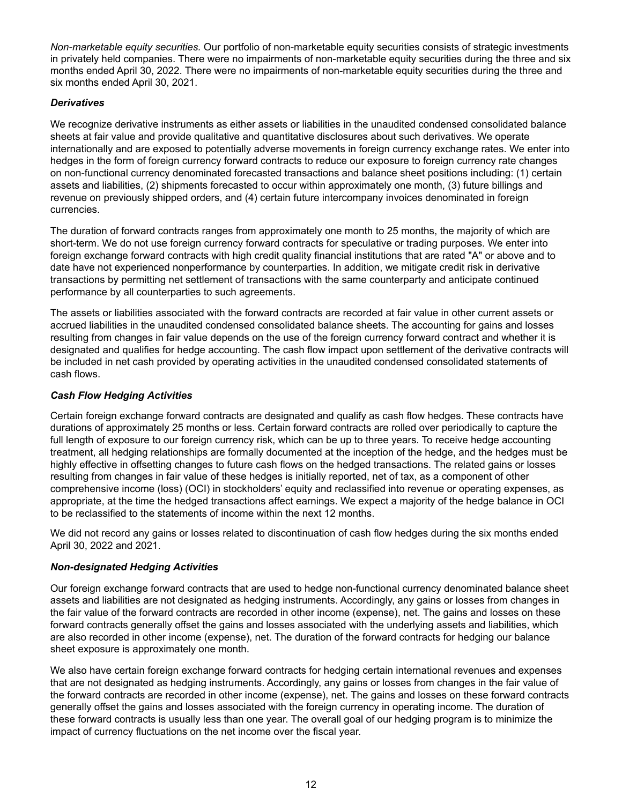*Non-marketable equity securities.* Our portfolio of non-marketable equity securities consists of strategic investments in privately held companies. There were no impairments of non-marketable equity securities during the three and six months ended April 30, 2022. There were no impairments of non-marketable equity securities during the three and six months ended April 30, 2021.

## *Derivatives*

We recognize derivative instruments as either assets or liabilities in the unaudited condensed consolidated balance sheets at fair value and provide qualitative and quantitative disclosures about such derivatives. We operate internationally and are exposed to potentially adverse movements in foreign currency exchange rates. We enter into hedges in the form of foreign currency forward contracts to reduce our exposure to foreign currency rate changes on non-functional currency denominated forecasted transactions and balance sheet positions including: (1) certain assets and liabilities, (2) shipments forecasted to occur within approximately one month, (3) future billings and revenue on previously shipped orders, and (4) certain future intercompany invoices denominated in foreign currencies.

The duration of forward contracts ranges from approximately one month to 25 months, the majority of which are short-term. We do not use foreign currency forward contracts for speculative or trading purposes. We enter into foreign exchange forward contracts with high credit quality financial institutions that are rated "A" or above and to date have not experienced nonperformance by counterparties. In addition, we mitigate credit risk in derivative transactions by permitting net settlement of transactions with the same counterparty and anticipate continued performance by all counterparties to such agreements.

The assets or liabilities associated with the forward contracts are recorded at fair value in other current assets or accrued liabilities in the unaudited condensed consolidated balance sheets. The accounting for gains and losses resulting from changes in fair value depends on the use of the foreign currency forward contract and whether it is designated and qualifies for hedge accounting. The cash flow impact upon settlement of the derivative contracts will be included in net cash provided by operating activities in the unaudited condensed consolidated statements of cash flows.

## *Cash Flow Hedging Activities*

Certain foreign exchange forward contracts are designated and qualify as cash flow hedges. These contracts have durations of approximately 25 months or less. Certain forward contracts are rolled over periodically to capture the full length of exposure to our foreign currency risk, which can be up to three years. To receive hedge accounting treatment, all hedging relationships are formally documented at the inception of the hedge, and the hedges must be highly effective in offsetting changes to future cash flows on the hedged transactions. The related gains or losses resulting from changes in fair value of these hedges is initially reported, net of tax, as a component of other comprehensive income (loss) (OCI) in stockholders' equity and reclassified into revenue or operating expenses, as appropriate, at the time the hedged transactions affect earnings. We expect a majority of the hedge balance in OCI to be reclassified to the statements of income within the next 12 months.

We did not record any gains or losses related to discontinuation of cash flow hedges during the six months ended April 30, 2022 and 2021.

## *Non-designated Hedging Activities*

Our foreign exchange forward contracts that are used to hedge non-functional currency denominated balance sheet assets and liabilities are not designated as hedging instruments. Accordingly, any gains or losses from changes in the fair value of the forward contracts are recorded in other income (expense), net. The gains and losses on these forward contracts generally offset the gains and losses associated with the underlying assets and liabilities, which are also recorded in other income (expense), net. The duration of the forward contracts for hedging our balance sheet exposure is approximately one month.

We also have certain foreign exchange forward contracts for hedging certain international revenues and expenses that are not designated as hedging instruments. Accordingly, any gains or losses from changes in the fair value of the forward contracts are recorded in other income (expense), net. The gains and losses on these forward contracts generally offset the gains and losses associated with the foreign currency in operating income. The duration of these forward contracts is usually less than one year. The overall goal of our hedging program is to minimize the impact of currency fluctuations on the net income over the fiscal year.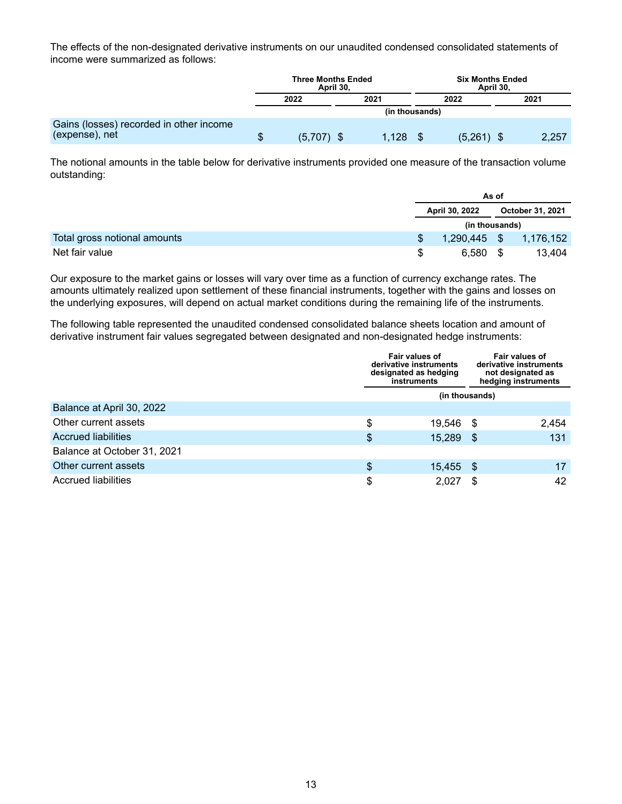The effects of the non-designated derivative instruments on our unaudited condensed consolidated statements of income were summarized as follows:

|                                                           | <b>Three Months Ended</b><br>April 30. |                |  | <b>Six Months Ended</b><br>April 30. |      |       |  |
|-----------------------------------------------------------|----------------------------------------|----------------|--|--------------------------------------|------|-------|--|
|                                                           | 2022<br>2021                           |                |  | 2022                                 | 2021 |       |  |
|                                                           |                                        | (in thousands) |  |                                      |      |       |  |
| Gains (losses) recorded in other income<br>(expense), net | \$<br>(5,707)                          | 1.128          |  | (5,261)                              |      | 2,257 |  |

The notional amounts in the table below for derivative instruments provided one measure of the transaction volume outstanding:

|                              | As of                                     |  |           |  |
|------------------------------|-------------------------------------------|--|-----------|--|
|                              | <b>October 31, 2021</b><br>April 30, 2022 |  |           |  |
|                              | (in thousands)                            |  |           |  |
| Total gross notional amounts | $1,290,445$ \$                            |  | 1,176,152 |  |
| Net fair value               | 6,580                                     |  |           |  |

Our exposure to the market gains or losses will vary over time as a function of currency exchange rates. The amounts ultimately realized upon settlement of these financial instruments, together with the gains and losses on the underlying exposures, will depend on actual market conditions during the remaining life of the instruments.

The following table represented the unaudited condensed consolidated balance sheets location and amount of derivative instrument fair values segregated between designated and non-designated hedge instruments:

|                             | <b>Fair values of</b><br>derivative instruments<br>designated as hedging<br>instruments |    | <b>Fair values of</b><br>derivative instruments<br>not designated as<br>hedging instruments |
|-----------------------------|-----------------------------------------------------------------------------------------|----|---------------------------------------------------------------------------------------------|
|                             | (in thousands)                                                                          |    |                                                                                             |
| Balance at April 30, 2022   |                                                                                         |    |                                                                                             |
| Other current assets        | \$<br>19,546 \$                                                                         |    | 2,454                                                                                       |
| Accrued liabilities         | \$<br>15,289 \$                                                                         |    | 131                                                                                         |
| Balance at October 31, 2021 |                                                                                         |    |                                                                                             |
| Other current assets        | \$<br>$15,455$ \$                                                                       |    | 17                                                                                          |
| Accrued liabilities         | \$<br>2,027                                                                             | S. | 42                                                                                          |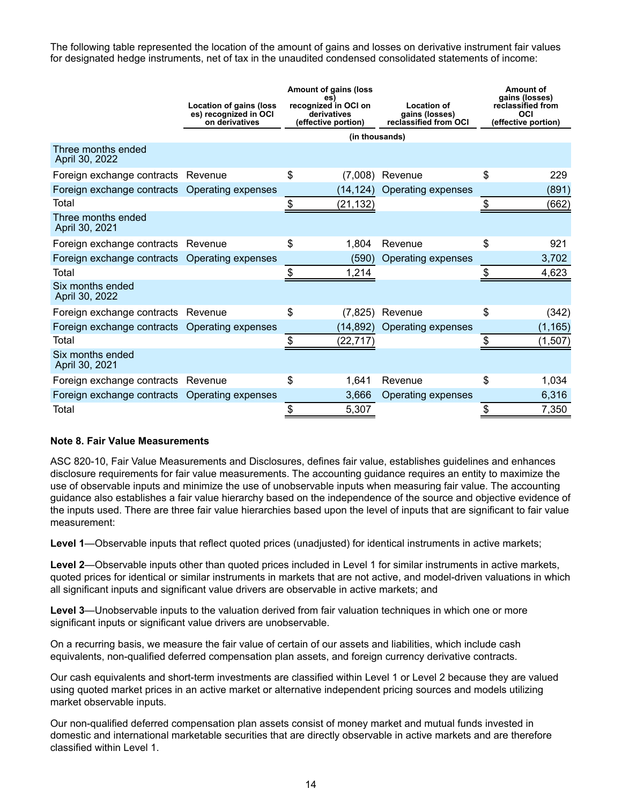The following table represented the location of the amount of gains and losses on derivative instrument fair values for designated hedge instruments, net of tax in the unaudited condensed consolidated statements of income:

|                                               |                                                                    | <b>Amount of gains (loss</b><br>es                         |                                                               | <b>Amount of</b><br>gains (losses)                     |
|-----------------------------------------------|--------------------------------------------------------------------|------------------------------------------------------------|---------------------------------------------------------------|--------------------------------------------------------|
|                                               | Location of gains (loss<br>es) recognized in OCI<br>on derivatives | recognized in OCI on<br>derivatives<br>(effective portion) | <b>Location of</b><br>gains (losses)<br>reclassified from OCI | reclassified from<br><b>OCI</b><br>(effective portion) |
|                                               |                                                                    |                                                            | (in thousands)                                                |                                                        |
| Three months ended<br>April 30, 2022          |                                                                    |                                                            |                                                               |                                                        |
| Foreign exchange contracts                    | Revenue                                                            | \$<br>(7,008)                                              | Revenue                                                       | \$<br>229                                              |
| Foreign exchange contracts Operating expenses |                                                                    | (14, 124)                                                  | Operating expenses                                            | (891)                                                  |
| Total                                         |                                                                    | \$<br>(21,132)                                             |                                                               | (662)                                                  |
| Three months ended<br>April 30, 2021          |                                                                    |                                                            |                                                               |                                                        |
| Foreign exchange contracts                    | Revenue                                                            | \$<br>1.804                                                | Revenue                                                       | \$<br>921                                              |
| Foreign exchange contracts Operating expenses |                                                                    | (590)                                                      | Operating expenses                                            | 3,702                                                  |
| Total                                         |                                                                    | \$<br>1,214                                                |                                                               | 4,623                                                  |
| Six months ended<br>April 30, 2022            |                                                                    |                                                            |                                                               |                                                        |
| Foreign exchange contracts                    | Revenue                                                            | \$<br>(7, 825)                                             | Revenue                                                       | \$<br>(342)                                            |
| Foreign exchange contracts Operating expenses |                                                                    | (14,892)                                                   | Operating expenses                                            | (1, 165)                                               |
| Total                                         |                                                                    | \$<br>(22,717                                              |                                                               | \$<br>(1,507)                                          |
| Six months ended<br>April 30, 2021            |                                                                    |                                                            |                                                               |                                                        |
| Foreign exchange contracts Revenue            |                                                                    | \$<br>1.641                                                | Revenue                                                       | \$<br>1,034                                            |
| Foreign exchange contracts Operating expenses |                                                                    | 3,666                                                      | Operating expenses                                            | 6,316                                                  |
| Total                                         |                                                                    | \$<br>5,307                                                |                                                               | \$<br>7,350                                            |

## **Note 8. Fair Value Measurements**

ASC 820-10, Fair Value Measurements and Disclosures, defines fair value, establishes guidelines and enhances disclosure requirements for fair value measurements. The accounting guidance requires an entity to maximize the use of observable inputs and minimize the use of unobservable inputs when measuring fair value. The accounting guidance also establishes a fair value hierarchy based on the independence of the source and objective evidence of the inputs used. There are three fair value hierarchies based upon the level of inputs that are significant to fair value measurement:

**Level 1**—Observable inputs that reflect quoted prices (unadjusted) for identical instruments in active markets;

**Level 2**—Observable inputs other than quoted prices included in Level 1 for similar instruments in active markets, quoted prices for identical or similar instruments in markets that are not active, and model-driven valuations in which all significant inputs and significant value drivers are observable in active markets; and

**Level 3**—Unobservable inputs to the valuation derived from fair valuation techniques in which one or more significant inputs or significant value drivers are unobservable.

On a recurring basis, we measure the fair value of certain of our assets and liabilities, which include cash equivalents, non-qualified deferred compensation plan assets, and foreign currency derivative contracts.

Our cash equivalents and short-term investments are classified within Level 1 or Level 2 because they are valued using quoted market prices in an active market or alternative independent pricing sources and models utilizing market observable inputs.

Our non-qualified deferred compensation plan assets consist of money market and mutual funds invested in domestic and international marketable securities that are directly observable in active markets and are therefore classified within Level 1.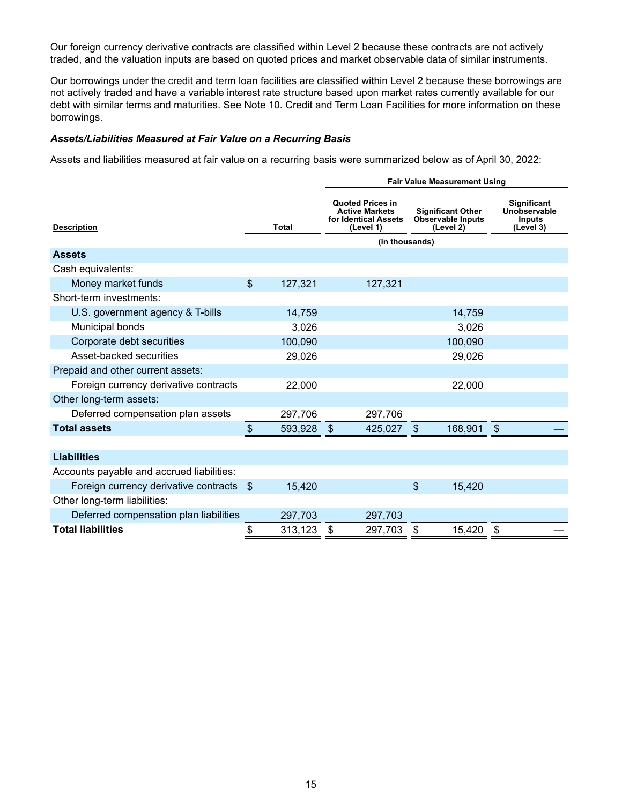Our foreign currency derivative contracts are classified within Level 2 because these contracts are not actively traded, and the valuation inputs are based on quoted prices and market observable data of similar instruments.

Our borrowings under the credit and term loan facilities are classified within Level 2 because these borrowings are not actively traded and have a variable interest rate structure based upon market rates currently available for our debt with similar terms and maturities. See Note 10. Credit and Term Loan Facilities for more information on these borrowings.

#### *Assets/Liabilities Measured at Fair Value on a Recurring Basis*

Assets and liabilities measured at fair value on a recurring basis were summarized below as of April 30, 2022:

|                                           |               | <b>Fair Value Measurement Using</b> |                                                                                       |                |                                                                   |                         |                                                                  |  |
|-------------------------------------------|---------------|-------------------------------------|---------------------------------------------------------------------------------------|----------------|-------------------------------------------------------------------|-------------------------|------------------------------------------------------------------|--|
| <b>Description</b>                        | Total         |                                     | <b>Quoted Prices in</b><br><b>Active Markets</b><br>for Identical Assets<br>(Level 1) |                | <b>Significant Other</b><br><b>Observable Inputs</b><br>(Level 2) |                         | <b>Significant</b><br>Unobservable<br><b>Inputs</b><br>(Level 3) |  |
|                                           |               |                                     | (in thousands)                                                                        |                |                                                                   |                         |                                                                  |  |
| <b>Assets</b>                             |               |                                     |                                                                                       |                |                                                                   |                         |                                                                  |  |
| Cash equivalents:                         |               |                                     |                                                                                       |                |                                                                   |                         |                                                                  |  |
| Money market funds                        | \$<br>127,321 |                                     | 127,321                                                                               |                |                                                                   |                         |                                                                  |  |
| Short-term investments:                   |               |                                     |                                                                                       |                |                                                                   |                         |                                                                  |  |
| U.S. government agency & T-bills          | 14,759        |                                     |                                                                                       |                | 14,759                                                            |                         |                                                                  |  |
| Municipal bonds                           | 3,026         |                                     |                                                                                       |                | 3,026                                                             |                         |                                                                  |  |
| Corporate debt securities                 | 100,090       |                                     |                                                                                       |                | 100,090                                                           |                         |                                                                  |  |
| Asset-backed securities                   | 29,026        |                                     |                                                                                       |                | 29,026                                                            |                         |                                                                  |  |
| Prepaid and other current assets:         |               |                                     |                                                                                       |                |                                                                   |                         |                                                                  |  |
| Foreign currency derivative contracts     | 22,000        |                                     |                                                                                       |                | 22,000                                                            |                         |                                                                  |  |
| Other long-term assets:                   |               |                                     |                                                                                       |                |                                                                   |                         |                                                                  |  |
| Deferred compensation plan assets         | 297,706       |                                     | 297,706                                                                               |                |                                                                   |                         |                                                                  |  |
| <b>Total assets</b>                       | \$<br>593,928 | $\sqrt[6]{3}$                       | 425,027                                                                               | $\mathfrak{L}$ | 168,901                                                           | $\sqrt[6]{\frac{1}{2}}$ |                                                                  |  |
|                                           |               |                                     |                                                                                       |                |                                                                   |                         |                                                                  |  |
| <b>Liabilities</b>                        |               |                                     |                                                                                       |                |                                                                   |                         |                                                                  |  |
| Accounts payable and accrued liabilities: |               |                                     |                                                                                       |                |                                                                   |                         |                                                                  |  |
| Foreign currency derivative contracts \$  | 15,420        |                                     |                                                                                       | $\mathfrak{S}$ | 15,420                                                            |                         |                                                                  |  |
| Other long-term liabilities:              |               |                                     |                                                                                       |                |                                                                   |                         |                                                                  |  |
| Deferred compensation plan liabilities    | 297,703       |                                     | 297,703                                                                               |                |                                                                   |                         |                                                                  |  |
| <b>Total liabilities</b>                  | \$<br>313,123 | \$                                  | 297,703                                                                               | \$             | 15,420                                                            | \$                      |                                                                  |  |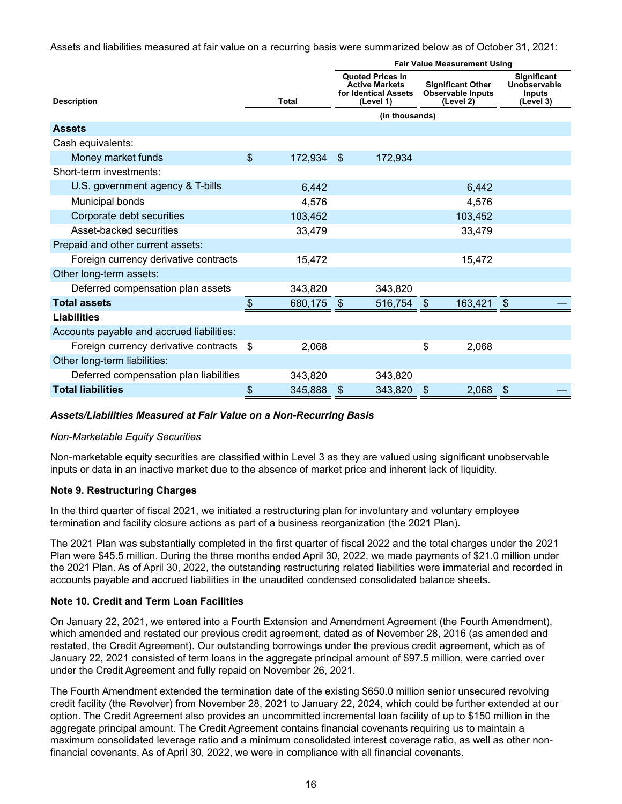Assets and liabilities measured at fair value on a recurring basis were summarized below as of October 31, 2021:

|                                           |                           |         | <b>Fair Value Measurement Using</b> |                                                                                       |                         |                                                                   |                                                                  |  |
|-------------------------------------------|---------------------------|---------|-------------------------------------|---------------------------------------------------------------------------------------|-------------------------|-------------------------------------------------------------------|------------------------------------------------------------------|--|
| <b>Description</b>                        |                           | Total   |                                     | <b>Quoted Prices in</b><br><b>Active Markets</b><br>for Identical Assets<br>(Level 1) |                         | <b>Significant Other</b><br><b>Observable Inputs</b><br>(Level 2) | <b>Significant</b><br>Unobservable<br><b>Inputs</b><br>(Level 3) |  |
|                                           |                           |         |                                     | (in thousands)                                                                        |                         |                                                                   |                                                                  |  |
| <b>Assets</b>                             |                           |         |                                     |                                                                                       |                         |                                                                   |                                                                  |  |
| Cash equivalents:                         |                           |         |                                     |                                                                                       |                         |                                                                   |                                                                  |  |
| Money market funds                        | $\boldsymbol{\mathsf{S}}$ | 172,934 | - \$                                | 172,934                                                                               |                         |                                                                   |                                                                  |  |
| Short-term investments:                   |                           |         |                                     |                                                                                       |                         |                                                                   |                                                                  |  |
| U.S. government agency & T-bills          |                           | 6,442   |                                     |                                                                                       |                         | 6,442                                                             |                                                                  |  |
| Municipal bonds                           |                           | 4,576   |                                     |                                                                                       |                         | 4,576                                                             |                                                                  |  |
| Corporate debt securities                 |                           | 103,452 |                                     |                                                                                       |                         | 103,452                                                           |                                                                  |  |
| Asset-backed securities                   |                           | 33,479  |                                     |                                                                                       |                         | 33,479                                                            |                                                                  |  |
| Prepaid and other current assets:         |                           |         |                                     |                                                                                       |                         |                                                                   |                                                                  |  |
| Foreign currency derivative contracts     |                           | 15,472  |                                     |                                                                                       |                         | 15,472                                                            |                                                                  |  |
| Other long-term assets:                   |                           |         |                                     |                                                                                       |                         |                                                                   |                                                                  |  |
| Deferred compensation plan assets         |                           | 343,820 |                                     | 343,820                                                                               |                         |                                                                   |                                                                  |  |
| <b>Total assets</b>                       | $\boldsymbol{\mathsf{S}}$ | 680,175 | $\mathfrak{L}$                      | 516,754                                                                               | $\sqrt[6]{\frac{1}{2}}$ | 163,421                                                           | $\sqrt[6]{\frac{1}{2}}$                                          |  |
| <b>Liabilities</b>                        |                           |         |                                     |                                                                                       |                         |                                                                   |                                                                  |  |
| Accounts payable and accrued liabilities: |                           |         |                                     |                                                                                       |                         |                                                                   |                                                                  |  |
| Foreign currency derivative contracts \$  |                           | 2,068   |                                     |                                                                                       | \$                      | 2,068                                                             |                                                                  |  |
| Other long-term liabilities:              |                           |         |                                     |                                                                                       |                         |                                                                   |                                                                  |  |
| Deferred compensation plan liabilities    |                           | 343,820 |                                     | 343,820                                                                               |                         |                                                                   |                                                                  |  |
| <b>Total liabilities</b>                  | \$                        | 345,888 | $\boldsymbol{\mathsf{S}}$           | 343,820                                                                               | $\$\$                   | 2,068                                                             | $\sqrt[6]{\frac{1}{2}}$                                          |  |

## *Assets/Liabilities Measured at Fair Value on a Non-Recurring Basis*

## *Non-Marketable Equity Securities*

Non-marketable equity securities are classified within Level 3 as they are valued using significant unobservable inputs or data in an inactive market due to the absence of market price and inherent lack of liquidity.

## **Note 9. Restructuring Charges**

In the third quarter of fiscal 2021, we initiated a restructuring plan for involuntary and voluntary employee termination and facility closure actions as part of a business reorganization (the 2021 Plan).

The 2021 Plan was substantially completed in the first quarter of fiscal 2022 and the total charges under the 2021 Plan were \$45.5 million. During the three months ended April 30, 2022, we made payments of \$21.0 million under the 2021 Plan. As of April 30, 2022, the outstanding restructuring related liabilities were immaterial and recorded in accounts payable and accrued liabilities in the unaudited condensed consolidated balance sheets.

#### **Note 10. Credit and Term Loan Facilities**

On January 22, 2021, we entered into a Fourth Extension and Amendment Agreement (the Fourth Amendment), which amended and restated our previous credit agreement, dated as of November 28, 2016 (as amended and restated, the Credit Agreement). Our outstanding borrowings under the previous credit agreement, which as of January 22, 2021 consisted of term loans in the aggregate principal amount of \$97.5 million, were carried over under the Credit Agreement and fully repaid on November 26, 2021.

The Fourth Amendment extended the termination date of the existing \$650.0 million senior unsecured revolving credit facility (the Revolver) from November 28, 2021 to January 22, 2024, which could be further extended at our option. The Credit Agreement also provides an uncommitted incremental loan facility of up to \$150 million in the aggregate principal amount. The Credit Agreement contains financial covenants requiring us to maintain a maximum consolidated leverage ratio and a minimum consolidated interest coverage ratio, as well as other nonfinancial covenants. As of April 30, 2022, we were in compliance with all financial covenants.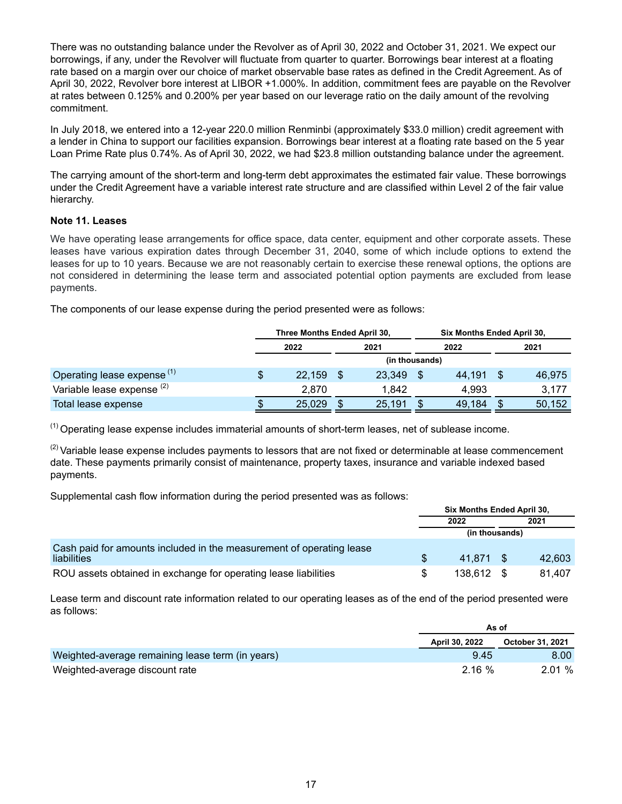There was no outstanding balance under the Revolver as of April 30, 2022 and October 31, 2021. We expect our borrowings, if any, under the Revolver will fluctuate from quarter to quarter. Borrowings bear interest at a floating rate based on a margin over our choice of market observable base rates as defined in the Credit Agreement. As of April 30, 2022, Revolver bore interest at LIBOR +1.000%. In addition, commitment fees are payable on the Revolver at rates between 0.125% and 0.200% per year based on our leverage ratio on the daily amount of the revolving commitment.

In July 2018, we entered into a 12-year 220.0 million Renminbi (approximately \$33.0 million) credit agreement with a lender in China to support our facilities expansion. Borrowings bear interest at a floating rate based on the 5 year Loan Prime Rate plus 0.74%. As of April 30, 2022, we had \$23.8 million outstanding balance under the agreement.

The carrying amount of the short-term and long-term debt approximates the estimated fair value. These borrowings under the Credit Agreement have a variable interest rate structure and are classified within Level 2 of the fair value hierarchy.

#### **Note 11. Leases**

We have operating lease arrangements for office space, data center, equipment and other corporate assets. These leases have various expiration dates through December 31, 2040, some of which include options to extend the leases for up to 10 years. Because we are not reasonably certain to exercise these renewal options, the options are not considered in determining the lease term and associated potential option payments are excluded from lease payments.

The components of our lease expense during the period presented were as follows:

|                                        | Three Months Ended April 30, |        |     |                | Six Months Ended April 30, |        |  |        |
|----------------------------------------|------------------------------|--------|-----|----------------|----------------------------|--------|--|--------|
|                                        | 2022                         |        |     | 2021           |                            | 2022   |  | 2021   |
|                                        |                              |        |     | (in thousands) |                            |        |  |        |
| Operating lease expense <sup>(1)</sup> | \$                           | 22.159 | \$. | 23,349         |                            | 44.191 |  | 46,975 |
| Variable lease expense (2)             |                              | 2.870  |     | 1.842          |                            | 4.993  |  | 3,177  |
| Total lease expense                    |                              | 25,029 |     | 25,191         |                            | 49.184 |  | 50,152 |

 $<sup>(1)</sup>$  Operating lease expense includes immaterial amounts of short-term leases, net of sublease income.</sup>

 $(2)$  Variable lease expense includes payments to lessors that are not fixed or determinable at lease commencement date. These payments primarily consist of maintenance, property taxes, insurance and variable indexed based payments.

Supplemental cash flow information during the period presented was as follows:

|                                                                                     |                | Six Months Ended April 30, |  |        |  |  |
|-------------------------------------------------------------------------------------|----------------|----------------------------|--|--------|--|--|
|                                                                                     |                | 2022                       |  | 2021   |  |  |
|                                                                                     | (in thousands) |                            |  |        |  |  |
| Cash paid for amounts included in the measurement of operating lease<br>liabilities |                | 41.871                     |  | 42,603 |  |  |
| ROU assets obtained in exchange for operating lease liabilities                     |                | 138.612                    |  | 81.407 |  |  |

Lease term and discount rate information related to our operating leases as of the end of the period presented were as follows:

|                                                  | As of          |                  |
|--------------------------------------------------|----------------|------------------|
|                                                  | April 30, 2022 | October 31, 2021 |
| Weighted-average remaining lease term (in years) | 9.45           | 8.00             |
| Weighted-average discount rate                   | $2.16 \%$      | 2.01%            |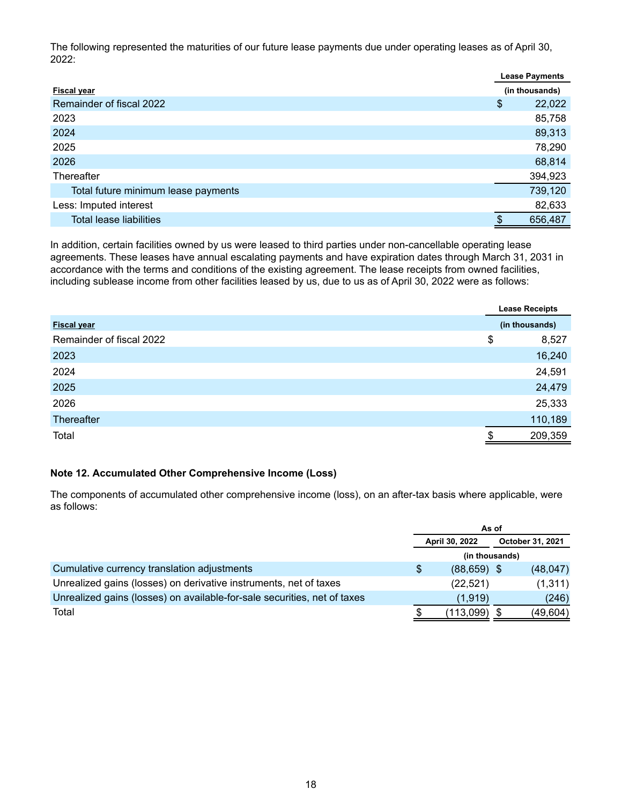The following represented the maturities of our future lease payments due under operating leases as of April 30, 2022:

|                                     | <b>Lease Payments</b> |
|-------------------------------------|-----------------------|
| <b>Fiscal year</b>                  | (in thousands)        |
| Remainder of fiscal 2022            | \$<br>22,022          |
| 2023                                | 85,758                |
| 2024                                | 89,313                |
| 2025                                | 78,290                |
| 2026                                | 68,814                |
| Thereafter                          | 394,923               |
| Total future minimum lease payments | 739,120               |
| Less: Imputed interest              | 82,633                |
| <b>Total lease liabilities</b>      | 656,487               |

In addition, certain facilities owned by us were leased to third parties under non-cancellable operating lease agreements. These leases have annual escalating payments and have expiration dates through March 31, 2031 in accordance with the terms and conditions of the existing agreement. The lease receipts from owned facilities, including sublease income from other facilities leased by us, due to us as of April 30, 2022 were as follows:

|                          | <b>Lease Receipts</b> |
|--------------------------|-----------------------|
| <b>Fiscal year</b>       | (in thousands)        |
| Remainder of fiscal 2022 | \$<br>8,527           |
| 2023                     | 16,240                |
| 2024                     | 24,591                |
| 2025                     | 24,479                |
| 2026                     | 25,333                |
| <b>Thereafter</b>        | 110,189               |
| Total                    | 209,359               |

## **Note 12. Accumulated Other Comprehensive Income (Loss)**

The components of accumulated other comprehensive income (loss), on an after-tax basis where applicable, were as follows:

|                                                                          |   | As of          |                  |
|--------------------------------------------------------------------------|---|----------------|------------------|
|                                                                          |   | April 30, 2022 | October 31, 2021 |
|                                                                          |   | (in thousands) |                  |
| Cumulative currency translation adjustments                              | S | $(88,659)$ \$  | (48, 047)        |
| Unrealized gains (losses) on derivative instruments, net of taxes        |   | (22, 521)      | (1, 311)         |
| Unrealized gains (losses) on available-for-sale securities, net of taxes |   | (1.919)        | (246)            |
| Total                                                                    |   | (113,099)      | (49,604)         |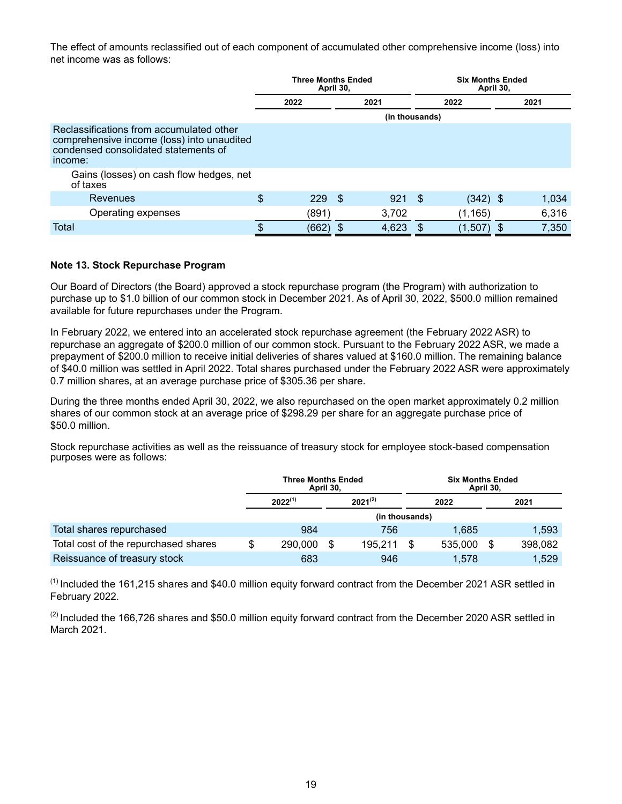The effect of amounts reclassified out of each component of accumulated other comprehensive income (loss) into net income was as follows:

|                                                                                                                                           | <b>Three Months Ended</b><br>April 30, |              |      |                |      | <b>Six Months Ended</b> | April 30, |       |  |
|-------------------------------------------------------------------------------------------------------------------------------------------|----------------------------------------|--------------|------|----------------|------|-------------------------|-----------|-------|--|
|                                                                                                                                           |                                        | 2021<br>2022 |      |                |      | 2022                    |           | 2021  |  |
|                                                                                                                                           |                                        |              |      | (in thousands) |      |                         |           |       |  |
| Reclassifications from accumulated other<br>comprehensive income (loss) into unaudited<br>condensed consolidated statements of<br>income: |                                        |              |      |                |      |                         |           |       |  |
| Gains (losses) on cash flow hedges, net<br>of taxes                                                                                       |                                        |              |      |                |      |                         |           |       |  |
| Revenues                                                                                                                                  | \$                                     | 229          | - \$ | 921            | - \$ | $(342)$ \$              |           | 1,034 |  |
| Operating expenses                                                                                                                        |                                        | (891)        |      | 3,702          |      | (1, 165)                |           | 6,316 |  |
| Total                                                                                                                                     |                                        | (662)        |      | 4,623          |      | (1,507)                 | \$        | 7,350 |  |

#### **Note 13. Stock Repurchase Program**

Our Board of Directors (the Board) approved a stock repurchase program (the Program) with authorization to purchase up to \$1.0 billion of our common stock in December 2021. As of April 30, 2022, \$500.0 million remained available for future repurchases under the Program.

In February 2022, we entered into an accelerated stock repurchase agreement (the February 2022 ASR) to repurchase an aggregate of \$200.0 million of our common stock. Pursuant to the February 2022 ASR, we made a prepayment of \$200.0 million to receive initial deliveries of shares valued at \$160.0 million. The remaining balance of \$40.0 million was settled in April 2022. Total shares purchased under the February 2022 ASR were approximately 0.7 million shares, at an average purchase price of \$305.36 per share.

During the three months ended April 30, 2022, we also repurchased on the open market approximately 0.2 million shares of our common stock at an average price of \$298.29 per share for an aggregate purchase price of \$50.0 million.

Stock repurchase activities as well as the reissuance of treasury stock for employee stock-based compensation purposes were as follows:

|                                      | <b>Three Months Ended</b><br>April 30, |  |                |  | <b>Six Months Ended</b> | April 30, |         |  |  |
|--------------------------------------|----------------------------------------|--|----------------|--|-------------------------|-----------|---------|--|--|
|                                      | $2022^{(1)}$                           |  | $2021^{(2)}$   |  | 2022                    |           | 2021    |  |  |
|                                      |                                        |  | (in thousands) |  |                         |           |         |  |  |
| Total shares repurchased             | 984                                    |  | 756            |  | 1.685                   |           | 1,593   |  |  |
| Total cost of the repurchased shares | \$<br>290,000                          |  | 195.211        |  | 535,000                 | S         | 398,082 |  |  |
| Reissuance of treasury stock         | 683                                    |  | 946            |  | 1.578                   |           | 1.529   |  |  |

 $<sup>(1)</sup>$  Included the 161,215 shares and \$40.0 million equity forward contract from the December 2021 ASR settled in</sup> February 2022.

 $^{(2)}$  Included the 166,726 shares and \$50.0 million equity forward contract from the December 2020 ASR settled in March 2021.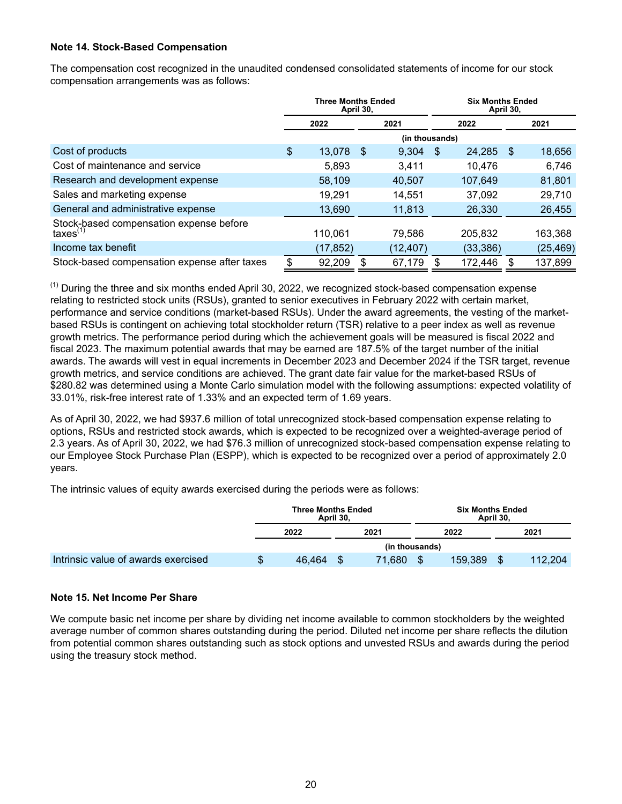#### **Note 14. Stock-Based Compensation**

The compensation cost recognized in the unaudited condensed consolidated statements of income for our stock compensation arrangements was as follows:

|                                                        | <b>Three Months Ended</b><br>April 30, |           |      |                |      | <b>Six Months Ended</b><br>April 30, |    |           |  |
|--------------------------------------------------------|----------------------------------------|-----------|------|----------------|------|--------------------------------------|----|-----------|--|
|                                                        | 2022                                   |           | 2021 |                | 2022 |                                      |    | 2021      |  |
|                                                        |                                        |           |      | (in thousands) |      |                                      |    |           |  |
| Cost of products                                       | \$                                     | 13,078    | -\$  | 9,304          | - \$ | 24,285                               | -S | 18,656    |  |
| Cost of maintenance and service                        |                                        | 5,893     |      | 3,411          |      | 10,476                               |    | 6,746     |  |
| Research and development expense                       |                                        | 58.109    |      | 40.507         |      | 107,649                              |    | 81,801    |  |
| Sales and marketing expense                            |                                        | 19,291    |      | 14,551         |      | 37,092                               |    | 29,710    |  |
| General and administrative expense                     |                                        | 13,690    |      | 11,813         |      | 26,330                               |    | 26,455    |  |
| Stock-based compensation expense before<br>taxes $(1)$ |                                        | 110,061   |      | 79.586         |      | 205,832                              |    | 163,368   |  |
| Income tax benefit                                     |                                        | (17, 852) |      | (12, 407)      |      | (33, 386)                            |    | (25, 469) |  |
| Stock-based compensation expense after taxes           | \$                                     | 92,209    |      | 67,179         |      | 172,446                              |    | 137,899   |  |

 $<sup>(1)</sup>$  During the three and six months ended April 30, 2022, we recognized stock-based compensation expense</sup> relating to restricted stock units (RSUs), granted to senior executives in February 2022 with certain market, performance and service conditions (market-based RSUs). Under the award agreements, the vesting of the marketbased RSUs is contingent on achieving total stockholder return (TSR) relative to a peer index as well as revenue growth metrics. The performance period during which the achievement goals will be measured is fiscal 2022 and fiscal 2023. The maximum potential awards that may be earned are 187.5% of the target number of the initial awards. The awards will vest in equal increments in December 2023 and December 2024 if the TSR target, revenue growth metrics, and service conditions are achieved. The grant date fair value for the market-based RSUs of \$280.82 was determined using a Monte Carlo simulation model with the following assumptions: expected volatility of 33.01%, risk-free interest rate of 1.33% and an expected term of 1.69 years.

As of April 30, 2022, we had \$937.6 million of total unrecognized stock-based compensation expense relating to options, RSUs and restricted stock awards, which is expected to be recognized over a weighted-average period of 2.3 years. As of April 30, 2022, we had \$76.3 million of unrecognized stock-based compensation expense relating to our Employee Stock Purchase Plan (ESPP), which is expected to be recognized over a period of approximately 2.0 years.

The intrinsic values of equity awards exercised during the periods were as follows:

|                                     | <b>Three Months Ended</b> | April 30.      |                |  | <b>Six Months Ended</b> |      |         |
|-------------------------------------|---------------------------|----------------|----------------|--|-------------------------|------|---------|
|                                     | 2022                      |                | 2021           |  | 2022                    | 2021 |         |
|                                     |                           |                | (in thousands) |  |                         |      |         |
| Intrinsic value of awards exercised | \$<br>46.464              | $\mathfrak{L}$ | .680<br>71     |  | 159.389                 | S    | 112.204 |

## **Note 15. Net Income Per Share**

We compute basic net income per share by dividing net income available to common stockholders by the weighted average number of common shares outstanding during the period. Diluted net income per share reflects the dilution from potential common shares outstanding such as stock options and unvested RSUs and awards during the period using the treasury stock method.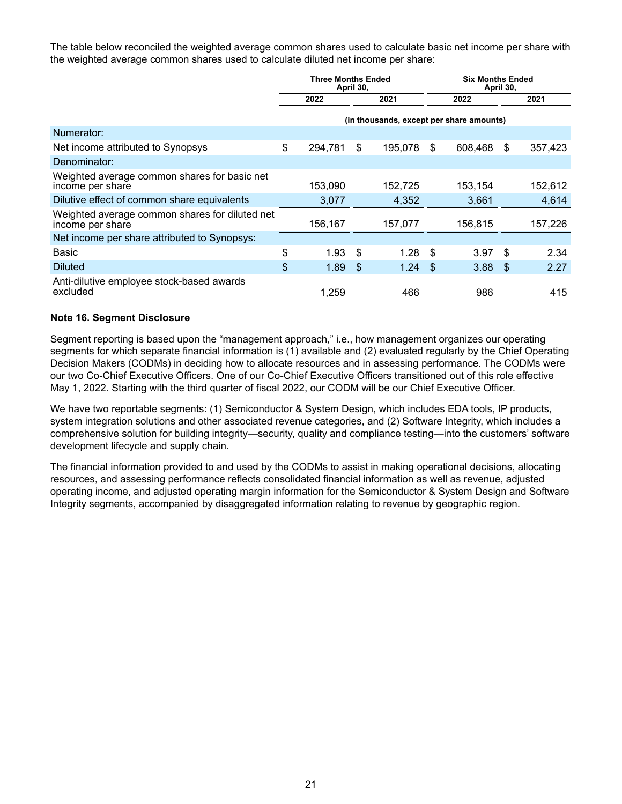The table below reconciled the weighted average common shares used to calculate basic net income per share with the weighted average common shares used to calculate diluted net income per share:

|                                                                    | <b>Three Months Ended</b><br>April 30, |         |      |                                          |      | <b>Six Months Ended</b><br>April 30, |     |         |  |
|--------------------------------------------------------------------|----------------------------------------|---------|------|------------------------------------------|------|--------------------------------------|-----|---------|--|
|                                                                    | 2022                                   |         |      | 2021                                     |      | 2022                                 |     | 2021    |  |
|                                                                    |                                        |         |      | (in thousands, except per share amounts) |      |                                      |     |         |  |
| Numerator:                                                         |                                        |         |      |                                          |      |                                      |     |         |  |
| Net income attributed to Synopsys                                  | \$                                     | 294,781 | \$   | 195,078                                  | S    | 608,468                              | \$  | 357,423 |  |
| Denominator:                                                       |                                        |         |      |                                          |      |                                      |     |         |  |
| Weighted average common shares for basic net<br>income per share   |                                        | 153.090 |      | 152,725                                  |      | 153,154                              |     | 152,612 |  |
| Dilutive effect of common share equivalents                        |                                        | 3,077   |      | 4,352                                    |      | 3,661                                |     | 4,614   |  |
| Weighted average common shares for diluted net<br>income per share |                                        | 156,167 |      | 157,077                                  |      | 156,815                              |     | 157,226 |  |
| Net income per share attributed to Synopsys:                       |                                        |         |      |                                          |      |                                      |     |         |  |
| <b>Basic</b>                                                       | \$                                     | 1.93    | \$   | 1.28                                     | - \$ | 3.97                                 | \$  | 2.34    |  |
| <b>Diluted</b>                                                     | \$                                     | 1.89    | - \$ | 1.24                                     | - \$ | 3.88                                 | -\$ | 2.27    |  |
| Anti-dilutive employee stock-based awards<br>excluded              |                                        | 1,259   |      | 466                                      |      | 986                                  |     | 415     |  |

#### **Note 16. Segment Disclosure**

Segment reporting is based upon the "management approach," i.e., how management organizes our operating segments for which separate financial information is (1) available and (2) evaluated regularly by the Chief Operating Decision Makers (CODMs) in deciding how to allocate resources and in assessing performance. The CODMs were our two Co-Chief Executive Officers. One of our Co-Chief Executive Officers transitioned out of this role effective May 1, 2022. Starting with the third quarter of fiscal 2022, our CODM will be our Chief Executive Officer.

We have two reportable segments: (1) Semiconductor & System Design, which includes EDA tools, IP products, system integration solutions and other associated revenue categories, and (2) Software Integrity, which includes a comprehensive solution for building integrity—security, quality and compliance testing—into the customers' software development lifecycle and supply chain.

The financial information provided to and used by the CODMs to assist in making operational decisions, allocating resources, and assessing performance reflects consolidated financial information as well as revenue, adjusted operating income, and adjusted operating margin information for the Semiconductor & System Design and Software Integrity segments, accompanied by disaggregated information relating to revenue by geographic region.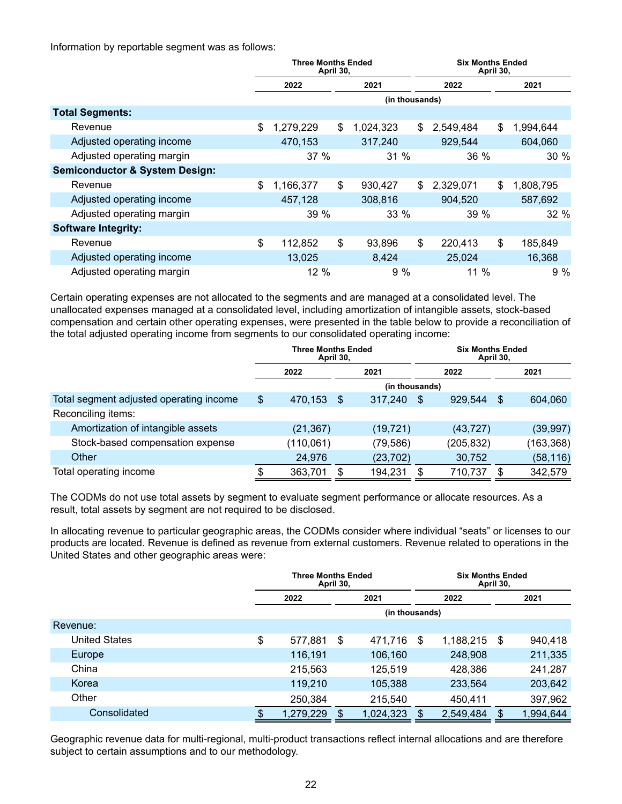Information by reportable segment was as follows:

|                                           | <b>Three Months Ended</b> | April 30, |                |    | <b>Six Months Ended</b><br>April 30, |    |           |
|-------------------------------------------|---------------------------|-----------|----------------|----|--------------------------------------|----|-----------|
|                                           | 2021<br>2022              |           |                |    | 2022                                 |    | 2021      |
|                                           |                           |           | (in thousands) |    |                                      |    |           |
| <b>Total Segments:</b>                    |                           |           |                |    |                                      |    |           |
| Revenue                                   | \$<br>1,279,229           | \$        | 1,024,323      | \$ | 2,549,484                            | \$ | 1,994,644 |
| Adjusted operating income                 | 470,153                   |           | 317,240        |    | 929,544                              |    | 604,060   |
| Adjusted operating margin                 | 37 %                      |           | 31 %           |    | 36 %                                 |    | 30 %      |
| <b>Semiconductor &amp; System Design:</b> |                           |           |                |    |                                      |    |           |
| Revenue                                   | \$<br>1,166,377           | \$        | 930,427        | \$ | 2,329,071                            | \$ | 1,808,795 |
| Adjusted operating income                 | 457,128                   |           | 308,816        |    | 904,520                              |    | 587,692   |
| Adjusted operating margin                 | 39 %                      |           | 33%            |    | 39 %                                 |    | 32 %      |
| <b>Software Integrity:</b>                |                           |           |                |    |                                      |    |           |
| Revenue                                   | \$<br>112,852             | \$        | 93,896         | \$ | 220,413                              | \$ | 185,849   |
| Adjusted operating income                 | 13,025                    |           | 8,424          |    | 25,024                               |    | 16,368    |
| Adjusted operating margin                 | 12 %                      |           | %<br>9         |    | %<br>11                              |    | 9%        |

Certain operating expenses are not allocated to the segments and are managed at a consolidated level. The unallocated expenses managed at a consolidated level, including amortization of intangible assets, stock-based compensation and certain other operating expenses, were presented in the table below to provide a reconciliation of the total adjusted operating income from segments to our consolidated operating income:

|                                         |      | <b>Three Months Ended</b> | April 30, |                | <b>Six Months Ended</b> | April 30, |            |
|-----------------------------------------|------|---------------------------|-----------|----------------|-------------------------|-----------|------------|
|                                         | 2022 |                           |           | 2021           | 2022                    |           | 2021       |
|                                         |      |                           |           | (in thousands) |                         |           |            |
| Total segment adjusted operating income | \$   | 470.153                   | - \$      | 317,240        | \$<br>929.544           | S.        | 604,060    |
| Reconciling items:                      |      |                           |           |                |                         |           |            |
| Amortization of intangible assets       |      | (21, 367)                 |           | (19, 721)      | (43, 727)               |           | (39, 997)  |
| Stock-based compensation expense        |      | (110, 061)                |           | (79, 586)      | (205, 832)              |           | (163, 368) |
| Other                                   |      | 24,976                    |           | (23, 702)      | 30,752                  |           | (58, 116)  |
| Total operating income                  |      | 363,701                   |           | 194,231        | 710,737                 |           | 342,579    |

The CODMs do not use total assets by segment to evaluate segment performance or allocate resources. As a result, total assets by segment are not required to be disclosed.

In allocating revenue to particular geographic areas, the CODMs consider where individual "seats" or licenses to our products are located. Revenue is defined as revenue from external customers. Revenue related to operations in the United States and other geographic areas were:

|                      |    | <b>Three Months Ended</b> | April 30,     |                |    | <b>Six Months Ended</b> |   |           |
|----------------------|----|---------------------------|---------------|----------------|----|-------------------------|---|-----------|
|                      |    | 2022<br>2021              |               |                |    | 2022                    |   | 2021      |
|                      |    |                           |               | (in thousands) |    |                         |   |           |
| Revenue:             |    |                           |               |                |    |                         |   |           |
| <b>United States</b> | \$ | 577,881                   | \$            | 471,716        | \$ | 1,188,215               | S | 940,418   |
| Europe               |    | 116,191                   |               | 106,160        |    | 248,908                 |   | 211,335   |
| China                |    | 215,563                   |               | 125,519        |    | 428,386                 |   | 241,287   |
| Korea                |    | 119,210                   |               | 105,388        |    | 233,564                 |   | 203,642   |
| Other                |    | 250,384                   |               | 215,540        |    | 450,411                 |   | 397,962   |
| Consolidated         | ጥ  | 1,279,229                 | $\mathbf{\$}$ | 1,024,323      |    | 2,549,484               |   | 1,994,644 |

Geographic revenue data for multi-regional, multi-product transactions reflect internal allocations and are therefore subject to certain assumptions and to our methodology.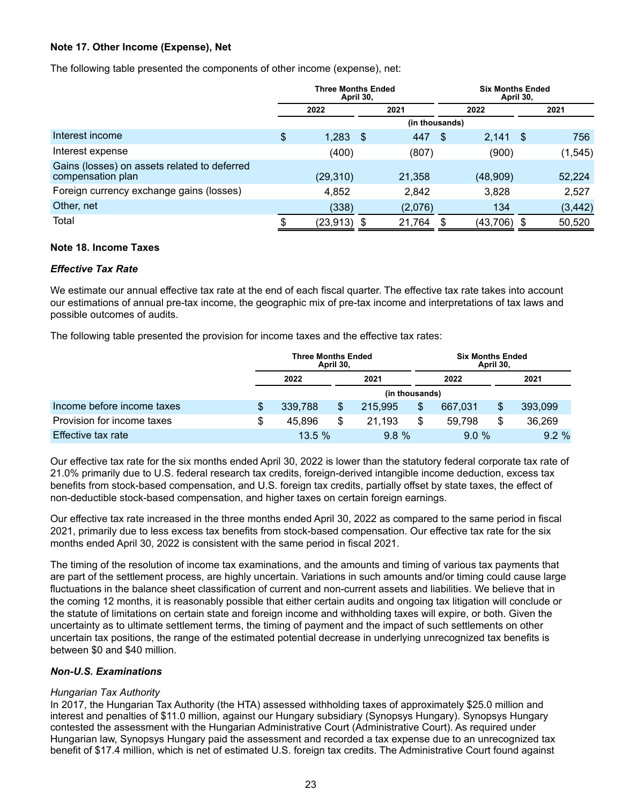## **Note 17. Other Income (Expense), Net**

The following table presented the components of other income (expense), net:

|                                                                   | <b>Three Months Ended</b><br>April 30, |      |                | <b>Six Months Ended</b><br>April 30, |          |      |          |
|-------------------------------------------------------------------|----------------------------------------|------|----------------|--------------------------------------|----------|------|----------|
|                                                                   | 2022                                   |      | 2021           |                                      | 2022     |      | 2021     |
|                                                                   |                                        |      | (in thousands) |                                      |          |      |          |
| Interest income                                                   | \$<br>1,283                            | - \$ | 447            | \$                                   | 2,141    | - \$ | 756      |
| Interest expense                                                  | (400)                                  |      | (807)          |                                      | (900)    |      | (1, 545) |
| Gains (losses) on assets related to deferred<br>compensation plan | (29, 310)                              |      | 21,358         |                                      | (48,909) |      | 52,224   |
| Foreign currency exchange gains (losses)                          | 4,852                                  |      | 2,842          |                                      | 3,828    |      | 2,527    |
| Other, net                                                        | (338)                                  |      | (2,076)        |                                      | 134      |      | (3, 442) |
| Total                                                             | (23,913)                               |      | 21,764         |                                      | (43,706) |      | 50,520   |

## **Note 18. Income Taxes**

#### *Effective Tax Rate*

We estimate our annual effective tax rate at the end of each fiscal quarter. The effective tax rate takes into account our estimations of annual pre-tax income, the geographic mix of pre-tax income and interpretations of tax laws and possible outcomes of audits.

The following table presented the provision for income taxes and the effective tax rates:

|                            | <b>Three Months Ended</b> | April 30, |                |         |         | <b>Six Months Ended</b><br>April 30, |          |  |
|----------------------------|---------------------------|-----------|----------------|---------|---------|--------------------------------------|----------|--|
|                            | 2022                      |           | 2021           |         | 2022    |                                      | 2021     |  |
|                            |                           |           | (in thousands) |         |         |                                      |          |  |
| Income before income taxes | \$<br>339,788             | \$        | 215,995        | S       | 667.031 | \$                                   | 393,099  |  |
| Provision for income taxes | \$<br>45.896              | \$        | 21.193         |         | 59.798  | \$                                   | 36,269   |  |
| Effective tax rate         | 13.5%                     |           | 9.8%           | $9.0\%$ |         |                                      | $9.2 \%$ |  |

Our effective tax rate for the six months ended April 30, 2022 is lower than the statutory federal corporate tax rate of 21.0% primarily due to U.S. federal research tax credits, foreign-derived intangible income deduction, excess tax benefits from stock-based compensation, and U.S. foreign tax credits, partially offset by state taxes, the effect of non-deductible stock-based compensation, and higher taxes on certain foreign earnings.

Our effective tax rate increased in the three months ended April 30, 2022 as compared to the same period in fiscal 2021, primarily due to less excess tax benefits from stock-based compensation. Our effective tax rate for the six months ended April 30, 2022 is consistent with the same period in fiscal 2021.

The timing of the resolution of income tax examinations, and the amounts and timing of various tax payments that are part of the settlement process, are highly uncertain. Variations in such amounts and/or timing could cause large fluctuations in the balance sheet classification of current and non-current assets and liabilities. We believe that in the coming 12 months, it is reasonably possible that either certain audits and ongoing tax litigation will conclude or the statute of limitations on certain state and foreign income and withholding taxes will expire, or both. Given the uncertainty as to ultimate settlement terms, the timing of payment and the impact of such settlements on other uncertain tax positions, the range of the estimated potential decrease in underlying unrecognized tax benefits is between \$0 and \$40 million.

#### *Non-U.S. Examinations*

#### *Hungarian Tax Authority*

In 2017, the Hungarian Tax Authority (the HTA) assessed withholding taxes of approximately \$25.0 million and interest and penalties of \$11.0 million, against our Hungary subsidiary (Synopsys Hungary). Synopsys Hungary contested the assessment with the Hungarian Administrative Court (Administrative Court). As required under Hungarian law, Synopsys Hungary paid the assessment and recorded a tax expense due to an unrecognized tax benefit of \$17.4 million, which is net of estimated U.S. foreign tax credits. The Administrative Court found against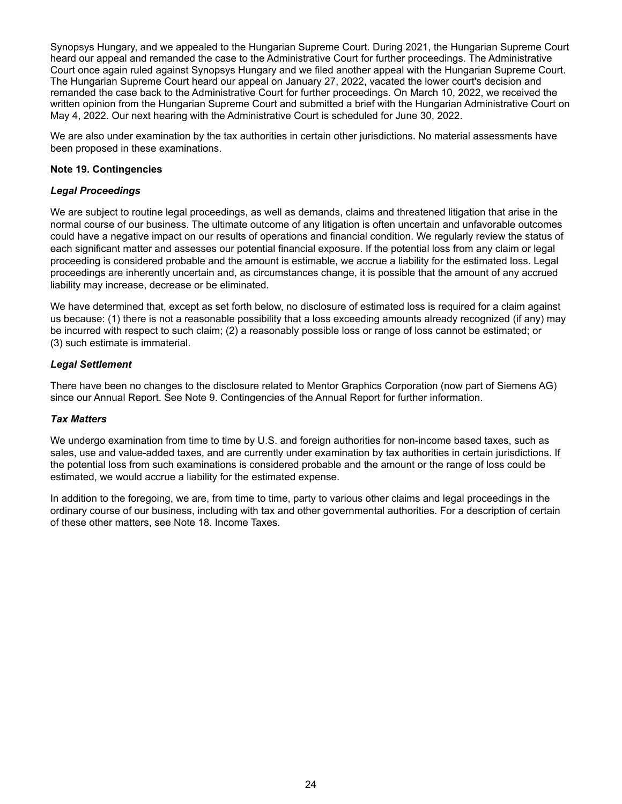Synopsys Hungary, and we appealed to the Hungarian Supreme Court. During 2021, the Hungarian Supreme Court heard our appeal and remanded the case to the Administrative Court for further proceedings. The Administrative Court once again ruled against Synopsys Hungary and we filed another appeal with the Hungarian Supreme Court. The Hungarian Supreme Court heard our appeal on January 27, 2022, vacated the lower court's decision and remanded the case back to the Administrative Court for further proceedings. On March 10, 2022, we received the written opinion from the Hungarian Supreme Court and submitted a brief with the Hungarian Administrative Court on May 4, 2022. Our next hearing with the Administrative Court is scheduled for June 30, 2022.

We are also under examination by the tax authorities in certain other jurisdictions. No material assessments have been proposed in these examinations.

#### **Note 19. Contingencies**

#### *Legal Proceedings*

We are subject to routine legal proceedings, as well as demands, claims and threatened litigation that arise in the normal course of our business. The ultimate outcome of any litigation is often uncertain and unfavorable outcomes could have a negative impact on our results of operations and financial condition. We regularly review the status of each significant matter and assesses our potential financial exposure. If the potential loss from any claim or legal proceeding is considered probable and the amount is estimable, we accrue a liability for the estimated loss. Legal proceedings are inherently uncertain and, as circumstances change, it is possible that the amount of any accrued liability may increase, decrease or be eliminated.

We have determined that, except as set forth below, no disclosure of estimated loss is required for a claim against us because: (1) there is not a reasonable possibility that a loss exceeding amounts already recognized (if any) may be incurred with respect to such claim; (2) a reasonably possible loss or range of loss cannot be estimated; or (3) such estimate is immaterial.

#### *Legal Settlement*

There have been no changes to the disclosure related to Mentor Graphics Corporation (now part of Siemens AG) since our Annual Report. See Note 9. Contingencies of the Annual Report for further information.

#### *Tax Matters*

We undergo examination from time to time by U.S. and foreign authorities for non-income based taxes, such as sales, use and value-added taxes, and are currently under examination by tax authorities in certain jurisdictions. If the potential loss from such examinations is considered probable and the amount or the range of loss could be estimated, we would accrue a liability for the estimated expense.

In addition to the foregoing, we are, from time to time, party to various other claims and legal proceedings in the ordinary course of our business, including with tax and other governmental authorities. For a description of certain of these other matters, see Note 18. Income Taxes*.*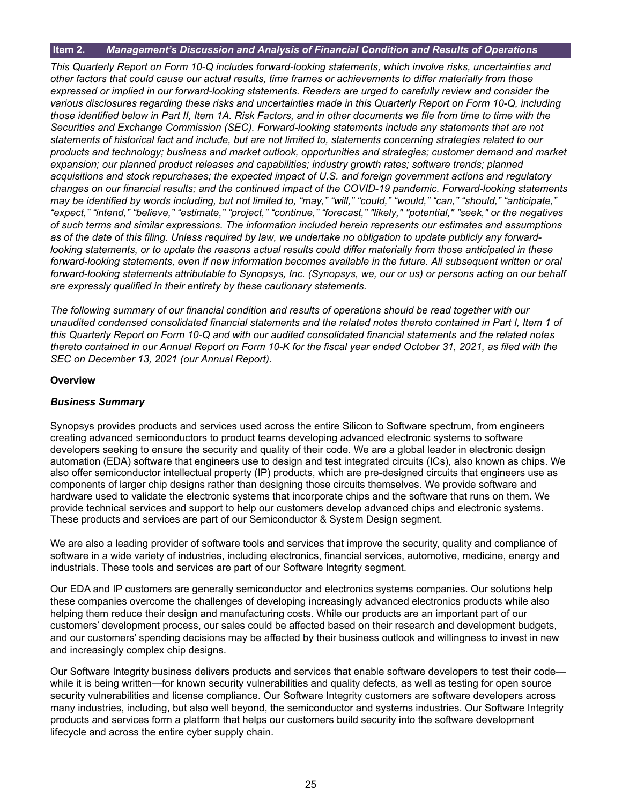#### <span id="page-26-0"></span>**Item 2.** *Management's Discussion and Analysis of Financial Condition and Results of Operations*

*This Quarterly Report on Form 10-Q includes forward-looking statements, which involve risks, uncertainties and other factors that could cause our actual results, time frames or achievements to differ materially from those expressed or implied in our forward-looking statements. Readers are urged to carefully review and consider the various disclosures regarding these risks and uncertainties made in this Quarterly Report on Form 10-Q, including those identified below in Part II, Item 1A. Risk Factors, and in other documents we file from time to time with the Securities and Exchange Commission (SEC). Forward-looking statements include any statements that are not statements of historical fact and include, but are not limited to, statements concerning strategies related to our products and technology; business and market outlook, opportunities and strategies; customer demand and market expansion; our planned product releases and capabilities; industry growth rates; software trends; planned acquisitions and stock repurchases; the expected impact of U.S. and foreign government actions and regulatory changes on our financial results; and the continued impact of the COVID-19 pandemic. Forward-looking statements may be identified by words including, but not limited to, "may," "will," "could," "would," "can," "should," "anticipate," "expect," "intend," "believe," "estimate," "project," "continue," "forecast," "likely," "potential," "seek," or the negatives of such terms and similar expressions. The information included herein represents our estimates and assumptions as of the date of this filing. Unless required by law, we undertake no obligation to update publicly any forwardlooking statements, or to update the reasons actual results could differ materially from those anticipated in these forward-looking statements, even if new information becomes available in the future. All subsequent written or oral forward-looking statements attributable to Synopsys, Inc. (Synopsys, we, our or us) or persons acting on our behalf are expressly qualified in their entirety by these cautionary statements.*

*The following summary of our financial condition and results of operations should be read together with our unaudited condensed consolidated financial statements and the related notes thereto contained in Part I, Item 1 of this Quarterly Report on Form 10-Q and with our audited consolidated financial statements and the related notes thereto contained in our Annual Report on Form 10-K for the fiscal year ended October 31, 2021, as filed with the SEC on December 13, 2021 (our Annual Report).*

#### **Overview**

#### *Business Summary*

Synopsys provides products and services used across the entire Silicon to Software spectrum, from engineers creating advanced semiconductors to product teams developing advanced electronic systems to software developers seeking to ensure the security and quality of their code. We are a global leader in electronic design automation (EDA) software that engineers use to design and test integrated circuits (ICs), also known as chips. We also offer semiconductor intellectual property (IP) products, which are pre-designed circuits that engineers use as components of larger chip designs rather than designing those circuits themselves. We provide software and hardware used to validate the electronic systems that incorporate chips and the software that runs on them. We provide technical services and support to help our customers develop advanced chips and electronic systems. These products and services are part of our Semiconductor & System Design segment.

We are also a leading provider of software tools and services that improve the security, quality and compliance of software in a wide variety of industries, including electronics, financial services, automotive, medicine, energy and industrials. These tools and services are part of our Software Integrity segment.

Our EDA and IP customers are generally semiconductor and electronics systems companies. Our solutions help these companies overcome the challenges of developing increasingly advanced electronics products while also helping them reduce their design and manufacturing costs. While our products are an important part of our customers' development process, our sales could be affected based on their research and development budgets, and our customers' spending decisions may be affected by their business outlook and willingness to invest in new and increasingly complex chip designs.

Our Software Integrity business delivers products and services that enable software developers to test their code while it is being written—for known security vulnerabilities and quality defects, as well as testing for open source security vulnerabilities and license compliance. Our Software Integrity customers are software developers across many industries, including, but also well beyond, the semiconductor and systems industries. Our Software Integrity products and services form a platform that helps our customers build security into the software development lifecycle and across the entire cyber supply chain.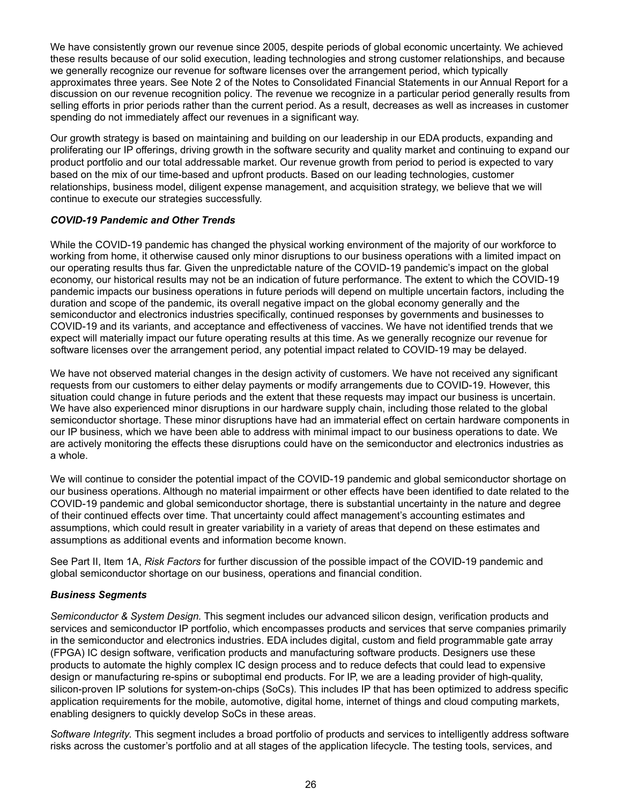We have consistently grown our revenue since 2005, despite periods of global economic uncertainty. We achieved these results because of our solid execution, leading technologies and strong customer relationships, and because we generally recognize our revenue for software licenses over the arrangement period, which typically approximates three years. See Note 2 of the Notes to Consolidated Financial Statements in our Annual Report for a discussion on our revenue recognition policy*.* The revenue we recognize in a particular period generally results from selling efforts in prior periods rather than the current period. As a result, decreases as well as increases in customer spending do not immediately affect our revenues in a significant way.

Our growth strategy is based on maintaining and building on our leadership in our EDA products, expanding and proliferating our IP offerings, driving growth in the software security and quality market and continuing to expand our product portfolio and our total addressable market. Our revenue growth from period to period is expected to vary based on the mix of our time-based and upfront products. Based on our leading technologies, customer relationships, business model, diligent expense management, and acquisition strategy, we believe that we will continue to execute our strategies successfully.

## *COVID-19 Pandemic and Other Trends*

While the COVID-19 pandemic has changed the physical working environment of the majority of our workforce to working from home, it otherwise caused only minor disruptions to our business operations with a limited impact on our operating results thus far. Given the unpredictable nature of the COVID-19 pandemic's impact on the global economy, our historical results may not be an indication of future performance. The extent to which the COVID-19 pandemic impacts our business operations in future periods will depend on multiple uncertain factors, including the duration and scope of the pandemic, its overall negative impact on the global economy generally and the semiconductor and electronics industries specifically, continued responses by governments and businesses to COVID-19 and its variants, and acceptance and effectiveness of vaccines. We have not identified trends that we expect will materially impact our future operating results at this time. As we generally recognize our revenue for software licenses over the arrangement period, any potential impact related to COVID-19 may be delayed.

We have not observed material changes in the design activity of customers. We have not received any significant requests from our customers to either delay payments or modify arrangements due to COVID-19. However, this situation could change in future periods and the extent that these requests may impact our business is uncertain. We have also experienced minor disruptions in our hardware supply chain, including those related to the global semiconductor shortage. These minor disruptions have had an immaterial effect on certain hardware components in our IP business, which we have been able to address with minimal impact to our business operations to date. We are actively monitoring the effects these disruptions could have on the semiconductor and electronics industries as a whole.

We will continue to consider the potential impact of the COVID-19 pandemic and global semiconductor shortage on our business operations. Although no material impairment or other effects have been identified to date related to the COVID-19 pandemic and global semiconductor shortage, there is substantial uncertainty in the nature and degree of their continued effects over time. That uncertainty could affect management's accounting estimates and assumptions, which could result in greater variability in a variety of areas that depend on these estimates and assumptions as additional events and information become known.

See Part II, Item 1A, *Risk Factors* for further discussion of the possible impact of the COVID-19 pandemic and global semiconductor shortage on our business, operations and financial condition.

## *Business Segments*

*Semiconductor & System Design.* This segment includes our advanced silicon design, verification products and services and semiconductor IP portfolio, which encompasses products and services that serve companies primarily in the semiconductor and electronics industries. EDA includes digital, custom and field programmable gate array (FPGA) IC design software, verification products and manufacturing software products. Designers use these products to automate the highly complex IC design process and to reduce defects that could lead to expensive design or manufacturing re-spins or suboptimal end products. For IP, we are a leading provider of high-quality, silicon-proven IP solutions for system-on-chips (SoCs). This includes IP that has been optimized to address specific application requirements for the mobile, automotive, digital home, internet of things and cloud computing markets, enabling designers to quickly develop SoCs in these areas.

*Software Integrity.* This segment includes a broad portfolio of products and services to intelligently address software risks across the customer's portfolio and at all stages of the application lifecycle. The testing tools, services, and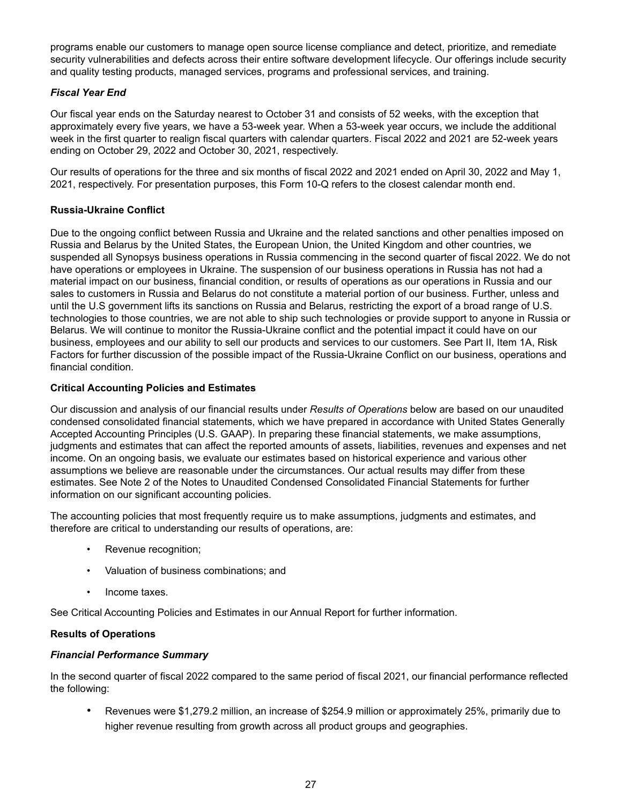programs enable our customers to manage open source license compliance and detect, prioritize, and remediate security vulnerabilities and defects across their entire software development lifecycle. Our offerings include security and quality testing products, managed services, programs and professional services, and training.

## *Fiscal Year End*

Our fiscal year ends on the Saturday nearest to October 31 and consists of 52 weeks, with the exception that approximately every five years, we have a 53-week year. When a 53-week year occurs, we include the additional week in the first quarter to realign fiscal quarters with calendar quarters. Fiscal 2022 and 2021 are 52-week years ending on October 29, 2022 and October 30, 2021, respectively.

Our results of operations for the three and six months of fiscal 2022 and 2021 ended on April 30, 2022 and May 1, 2021, respectively. For presentation purposes, this Form 10-Q refers to the closest calendar month end.

## **Russia-Ukraine Conflict**

Due to the ongoing conflict between Russia and Ukraine and the related sanctions and other penalties imposed on Russia and Belarus by the United States, the European Union, the United Kingdom and other countries, we suspended all Synopsys business operations in Russia commencing in the second quarter of fiscal 2022. We do not have operations or employees in Ukraine. The suspension of our business operations in Russia has not had a material impact on our business, financial condition, or results of operations as our operations in Russia and our sales to customers in Russia and Belarus do not constitute a material portion of our business. Further, unless and until the U.S government lifts its sanctions on Russia and Belarus, restricting the export of a broad range of U.S. technologies to those countries, we are not able to ship such technologies or provide support to anyone in Russia or Belarus. We will continue to monitor the Russia-Ukraine conflict and the potential impact it could have on our business, employees and our ability to sell our products and services to our customers. See Part II, Item 1A, Risk Factors for further discussion of the possible impact of the Russia-Ukraine Conflict on our business, operations and financial condition.

## **Critical Accounting Policies and Estimates**

Our discussion and analysis of our financial results under *Results of Operations* below are based on our unaudited condensed consolidated financial statements, which we have prepared in accordance with United States Generally Accepted Accounting Principles (U.S. GAAP). In preparing these financial statements, we make assumptions, judgments and estimates that can affect the reported amounts of assets, liabilities, revenues and expenses and net income. On an ongoing basis, we evaluate our estimates based on historical experience and various other assumptions we believe are reasonable under the circumstances. Our actual results may differ from these estimates. See Note 2 of the Notes to Unaudited Condensed Consolidated Financial Statements for further information on our significant accounting policies.

The accounting policies that most frequently require us to make assumptions, judgments and estimates, and therefore are critical to understanding our results of operations, are:

- Revenue recognition;
- Valuation of business combinations; and
- Income taxes.

See Critical Accounting Policies and Estimates in our Annual Report for further information.

## **Results of Operations**

## *Financial Performance Summary*

In the second quarter of fiscal 2022 compared to the same period of fiscal 2021, our financial performance reflected the following:

• Revenues were \$1,279.2 million, an increase of \$254.9 million or approximately 25%, primarily due to higher revenue resulting from growth across all product groups and geographies.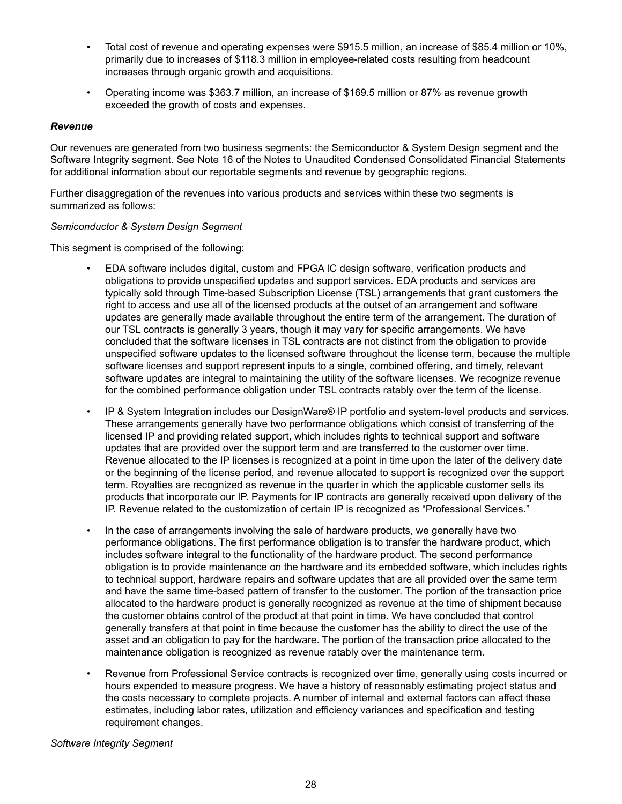- Total cost of revenue and operating expenses were \$915.5 million, an increase of \$85.4 million or 10%, primarily due to increases of \$118.3 million in employee-related costs resulting from headcount increases through organic growth and acquisitions.
- Operating income was \$363.7 million, an increase of \$169.5 million or 87% as revenue growth exceeded the growth of costs and expenses.

#### *Revenue*

Our revenues are generated from two business segments: the Semiconductor & System Design segment and the Software Integrity segment. See Note 16 of the Notes to Unaudited Condensed Consolidated Financial Statements for additional information about our reportable segments and revenue by geographic regions.

Further disaggregation of the revenues into various products and services within these two segments is summarized as follows:

#### *Semiconductor & System Design Segment*

This segment is comprised of the following:

- EDA software includes digital, custom and FPGA IC design software, verification products and obligations to provide unspecified updates and support services. EDA products and services are typically sold through Time-based Subscription License (TSL) arrangements that grant customers the right to access and use all of the licensed products at the outset of an arrangement and software updates are generally made available throughout the entire term of the arrangement. The duration of our TSL contracts is generally 3 years, though it may vary for specific arrangements. We have concluded that the software licenses in TSL contracts are not distinct from the obligation to provide unspecified software updates to the licensed software throughout the license term, because the multiple software licenses and support represent inputs to a single, combined offering, and timely, relevant software updates are integral to maintaining the utility of the software licenses. We recognize revenue for the combined performance obligation under TSL contracts ratably over the term of the license.
- IP & System Integration includes our DesignWare® IP portfolio and system-level products and services. These arrangements generally have two performance obligations which consist of transferring of the licensed IP and providing related support, which includes rights to technical support and software updates that are provided over the support term and are transferred to the customer over time. Revenue allocated to the IP licenses is recognized at a point in time upon the later of the delivery date or the beginning of the license period, and revenue allocated to support is recognized over the support term. Royalties are recognized as revenue in the quarter in which the applicable customer sells its products that incorporate our IP. Payments for IP contracts are generally received upon delivery of the IP. Revenue related to the customization of certain IP is recognized as "Professional Services."
- In the case of arrangements involving the sale of hardware products, we generally have two performance obligations. The first performance obligation is to transfer the hardware product, which includes software integral to the functionality of the hardware product. The second performance obligation is to provide maintenance on the hardware and its embedded software, which includes rights to technical support, hardware repairs and software updates that are all provided over the same term and have the same time-based pattern of transfer to the customer. The portion of the transaction price allocated to the hardware product is generally recognized as revenue at the time of shipment because the customer obtains control of the product at that point in time. We have concluded that control generally transfers at that point in time because the customer has the ability to direct the use of the asset and an obligation to pay for the hardware. The portion of the transaction price allocated to the maintenance obligation is recognized as revenue ratably over the maintenance term.
- Revenue from Professional Service contracts is recognized over time, generally using costs incurred or hours expended to measure progress. We have a history of reasonably estimating project status and the costs necessary to complete projects. A number of internal and external factors can affect these estimates, including labor rates, utilization and efficiency variances and specification and testing requirement changes.

*Software Integrity Segment*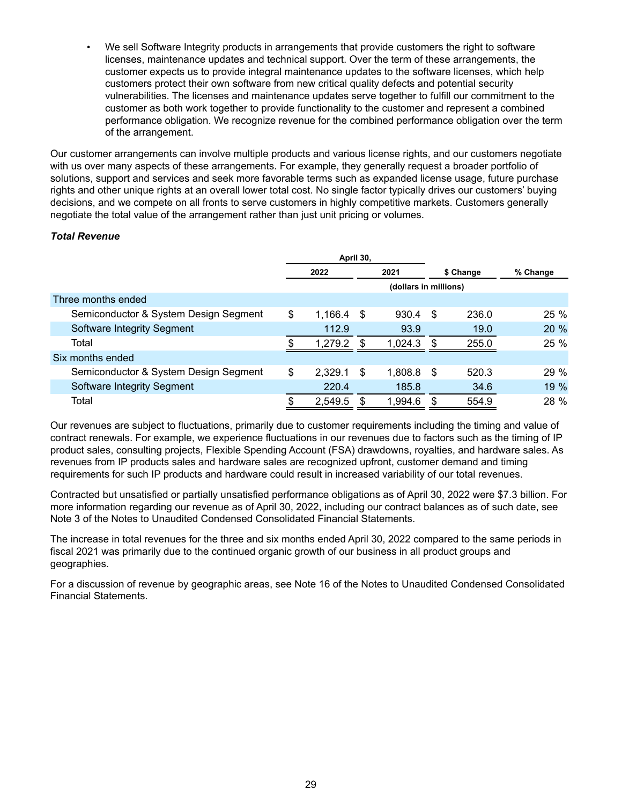• We sell Software Integrity products in arrangements that provide customers the right to software licenses, maintenance updates and technical support. Over the term of these arrangements, the customer expects us to provide integral maintenance updates to the software licenses, which help customers protect their own software from new critical quality defects and potential security vulnerabilities. The licenses and maintenance updates serve together to fulfill our commitment to the customer as both work together to provide functionality to the customer and represent a combined performance obligation. We recognize revenue for the combined performance obligation over the term of the arrangement.

Our customer arrangements can involve multiple products and various license rights, and our customers negotiate with us over many aspects of these arrangements. For example, they generally request a broader portfolio of solutions, support and services and seek more favorable terms such as expanded license usage, future purchase rights and other unique rights at an overall lower total cost. No single factor typically drives our customers' buying decisions, and we compete on all fronts to serve customers in highly competitive markets. Customers generally negotiate the total value of the arrangement rather than just unit pricing or volumes.

## *Total Revenue*

|                                       | April 30, |         |     |         |                       |           |          |
|---------------------------------------|-----------|---------|-----|---------|-----------------------|-----------|----------|
|                                       | 2022      |         |     | 2021    |                       | \$ Change | % Change |
|                                       |           |         |     |         | (dollars in millions) |           |          |
| Three months ended                    |           |         |     |         |                       |           |          |
| Semiconductor & System Design Segment | \$        | 1,166.4 | \$. | 930.4   | S                     | 236.0     | 25 %     |
| Software Integrity Segment            |           | 112.9   |     | 93.9    |                       | 19.0      | 20%      |
| Total                                 |           | 1,279.2 | S   | 1,024.3 | \$.                   | 255.0     | 25 %     |
| Six months ended                      |           |         |     |         |                       |           |          |
| Semiconductor & System Design Segment | \$        | 2,329.1 | S   | 1,808.8 | \$                    | 520.3     | 29 %     |
| Software Integrity Segment            |           | 220.4   |     | 185.8   |                       | 34.6      | 19%      |
| Total                                 |           | 2,549.5 |     | 1,994.6 | S                     | 554.9     | 28 %     |

Our revenues are subject to fluctuations, primarily due to customer requirements including the timing and value of contract renewals. For example, we experience fluctuations in our revenues due to factors such as the timing of IP product sales, consulting projects, Flexible Spending Account (FSA) drawdowns, royalties, and hardware sales. As revenues from IP products sales and hardware sales are recognized upfront, customer demand and timing requirements for such IP products and hardware could result in increased variability of our total revenues.

Contracted but unsatisfied or partially unsatisfied performance obligations as of April 30, 2022 were \$7.3 billion. For more information regarding our revenue as of April 30, 2022, including our contract balances as of such date, see Note 3 of the Notes to Unaudited Condensed Consolidated Financial Statements.

The increase in total revenues for the three and six months ended April 30, 2022 compared to the same periods in fiscal 2021 was primarily due to the continued organic growth of our business in all product groups and geographies.

For a discussion of revenue by geographic areas, see Note 16 of the Notes to Unaudited Condensed Consolidated Financial Statements.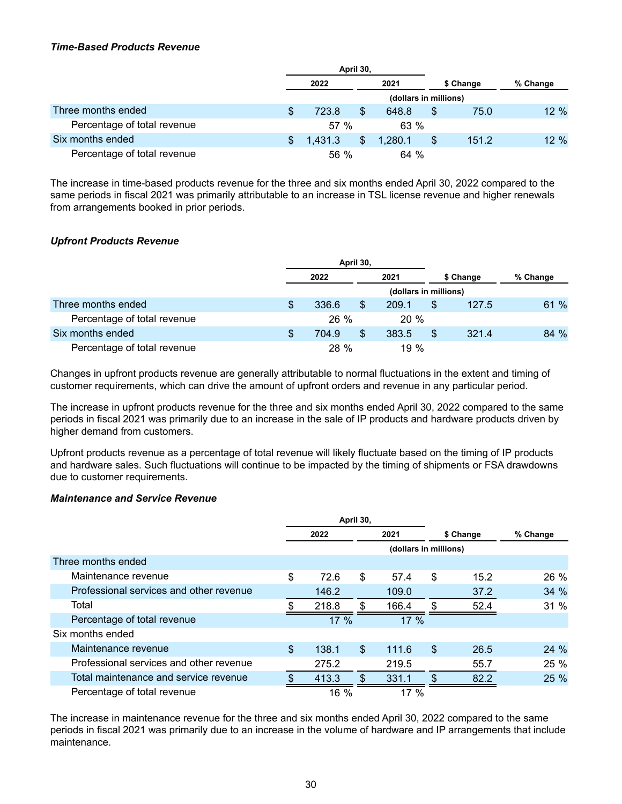## *Time-Based Products Revenue*

|                             |     |              | April 30, |                       |           |       |          |  |
|-----------------------------|-----|--------------|-----------|-----------------------|-----------|-------|----------|--|
|                             |     | 2022<br>2021 |           |                       | \$ Change |       | % Change |  |
|                             |     |              |           | (dollars in millions) |           |       |          |  |
| Three months ended          | \$  | 723.8        | S         | 648.8                 | S         | 75.0  | 12%      |  |
| Percentage of total revenue |     | 57%          |           | 63%                   |           |       |          |  |
| Six months ended            | \$. | 1.431.3      | \$.       | 1.280.1               | S         | 151.2 | 12%      |  |
| Percentage of total revenue |     | 56 %         |           | 64%                   |           |       |          |  |

The increase in time-based products revenue for the three and six months ended April 30, 2022 compared to the same periods in fiscal 2021 was primarily attributable to an increase in TSL license revenue and higher renewals from arrangements booked in prior periods.

#### *Upfront Products Revenue*

|                             |             | April 30, |                       |           |       |          |  |
|-----------------------------|-------------|-----------|-----------------------|-----------|-------|----------|--|
|                             | 2022        |           | 2021                  | \$ Change |       | % Change |  |
|                             |             |           | (dollars in millions) |           |       |          |  |
| Three months ended          | \$<br>336.6 | \$.       | 209.1                 | \$        | 127.5 | 61 %     |  |
| Percentage of total revenue | $26\%$      |           | $20\%$                |           |       |          |  |
| Six months ended            | \$<br>704.9 | \$        | 383.5                 | S         | 321.4 | 84 %     |  |
| Percentage of total revenue | $28 \%$     |           | 19 $%$                |           |       |          |  |

Changes in upfront products revenue are generally attributable to normal fluctuations in the extent and timing of customer requirements, which can drive the amount of upfront orders and revenue in any particular period.

The increase in upfront products revenue for the three and six months ended April 30, 2022 compared to the same periods in fiscal 2021 was primarily due to an increase in the sale of IP products and hardware products driven by higher demand from customers.

Upfront products revenue as a percentage of total revenue will likely fluctuate based on the timing of IP products and hardware sales. Such fluctuations will continue to be impacted by the timing of shipments or FSA drawdowns due to customer requirements.

#### *Maintenance and Service Revenue*

|                                         |      |       | April 30, |                       |    |           |          |
|-----------------------------------------|------|-------|-----------|-----------------------|----|-----------|----------|
|                                         | 2022 |       |           | 2021                  |    | \$ Change | % Change |
|                                         |      |       |           | (dollars in millions) |    |           |          |
| Three months ended                      |      |       |           |                       |    |           |          |
| Maintenance revenue                     | \$   | 72.6  | \$        | 57.4                  | \$ | 15.2      | 26 %     |
| Professional services and other revenue |      | 146.2 |           | 109.0                 |    | 37.2      | 34 %     |
| Total                                   | \$   | 218.8 | \$        | 166.4                 | \$ | 52.4      | 31 %     |
| Percentage of total revenue             |      | 17 %  |           | 17%                   |    |           |          |
| Six months ended                        |      |       |           |                       |    |           |          |
| Maintenance revenue                     | \$   | 138.1 | \$        | 111.6                 | \$ | 26.5      | 24 %     |
| Professional services and other revenue |      | 275.2 |           | 219.5                 |    | 55.7      | 25 %     |
| Total maintenance and service revenue   |      | 413.3 | \$        | 331.1                 |    | 82.2      | 25 %     |
| Percentage of total revenue             |      | 16 %  |           | 17 %                  |    |           |          |

The increase in maintenance revenue for the three and six months ended April 30, 2022 compared to the same periods in fiscal 2021 was primarily due to an increase in the volume of hardware and IP arrangements that include maintenance.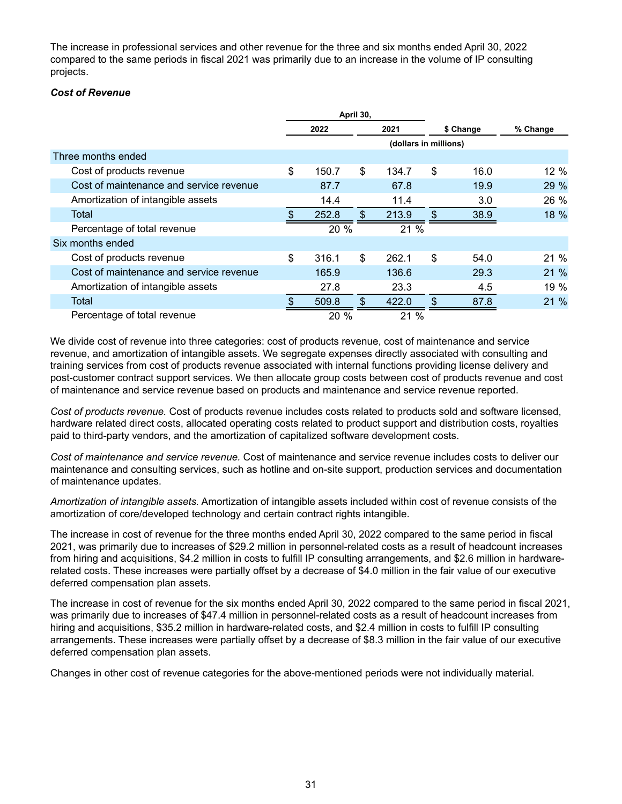The increase in professional services and other revenue for the three and six months ended April 30, 2022 compared to the same periods in fiscal 2021 was primarily due to an increase in the volume of IP consulting projects.

## *Cost of Revenue*

|                                         | April 30, |       |                |                       |    |           |          |
|-----------------------------------------|-----------|-------|----------------|-----------------------|----|-----------|----------|
|                                         |           | 2022  |                | 2021                  |    | \$ Change | % Change |
|                                         |           |       |                | (dollars in millions) |    |           |          |
| Three months ended                      |           |       |                |                       |    |           |          |
| Cost of products revenue                | \$        | 150.7 | \$             | 134.7                 | \$ | 16.0      | $12 \%$  |
| Cost of maintenance and service revenue |           | 87.7  |                | 67.8                  |    | 19.9      | 29 %     |
| Amortization of intangible assets       |           | 14.4  |                | 11.4                  |    | 3.0       | 26 %     |
| Total                                   | \$        | 252.8 | $\$\$          | 213.9                 | \$ | 38.9      | 18 %     |
| Percentage of total revenue             |           | 20 %  |                | 21 %                  |    |           |          |
| Six months ended                        |           |       |                |                       |    |           |          |
| Cost of products revenue                | \$        | 316.1 | \$             | 262.1                 | \$ | 54.0      | 21%      |
| Cost of maintenance and service revenue |           | 165.9 |                | 136.6                 |    | 29.3      | 21%      |
| Amortization of intangible assets       |           | 27.8  |                | 23.3                  |    | 4.5       | 19 %     |
| <b>Total</b>                            |           | 509.8 | $\mathfrak{S}$ | 422.0                 | \$ | 87.8      | 21 %     |
| Percentage of total revenue             |           | 20 %  |                | 21 %                  |    |           |          |

We divide cost of revenue into three categories: cost of products revenue, cost of maintenance and service revenue, and amortization of intangible assets. We segregate expenses directly associated with consulting and training services from cost of products revenue associated with internal functions providing license delivery and post-customer contract support services. We then allocate group costs between cost of products revenue and cost of maintenance and service revenue based on products and maintenance and service revenue reported.

*Cost of products revenue.* Cost of products revenue includes costs related to products sold and software licensed, hardware related direct costs, allocated operating costs related to product support and distribution costs, royalties paid to third-party vendors, and the amortization of capitalized software development costs.

*Cost of maintenance and service revenue.* Cost of maintenance and service revenue includes costs to deliver our maintenance and consulting services, such as hotline and on-site support, production services and documentation of maintenance updates.

*Amortization of intangible assets.* Amortization of intangible assets included within cost of revenue consists of the amortization of core/developed technology and certain contract rights intangible.

The increase in cost of revenue for the three months ended April 30, 2022 compared to the same period in fiscal 2021, was primarily due to increases of \$29.2 million in personnel-related costs as a result of headcount increases from hiring and acquisitions, \$4.2 million in costs to fulfill IP consulting arrangements, and \$2.6 million in hardwarerelated costs. These increases were partially offset by a decrease of \$4.0 million in the fair value of our executive deferred compensation plan assets.

The increase in cost of revenue for the six months ended April 30, 2022 compared to the same period in fiscal 2021, was primarily due to increases of \$47.4 million in personnel-related costs as a result of headcount increases from hiring and acquisitions, \$35.2 million in hardware-related costs, and \$2.4 million in costs to fulfill IP consulting arrangements. These increases were partially offset by a decrease of \$8.3 million in the fair value of our executive deferred compensation plan assets.

Changes in other cost of revenue categories for the above-mentioned periods were not individually material.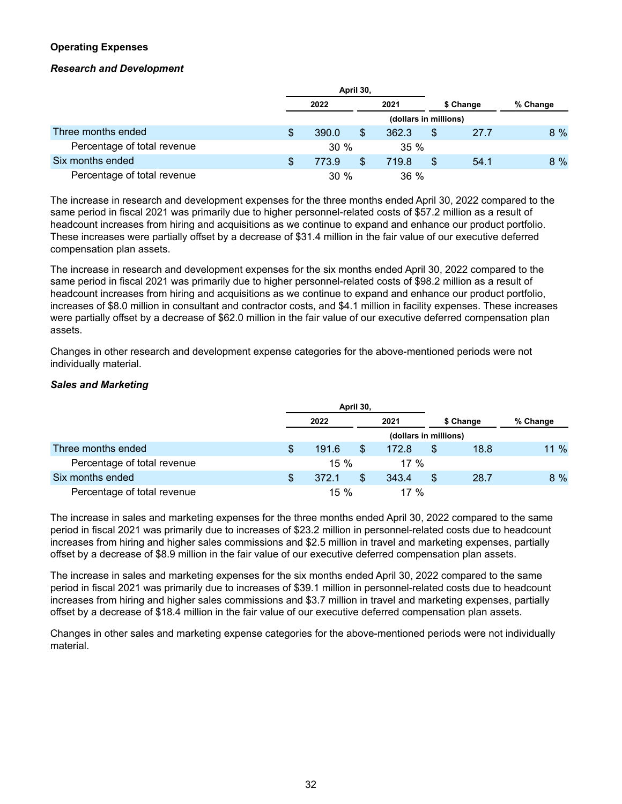## **Operating Expenses**

## *Research and Development*

|                             |    | April 30, |                       |        |    |           |          |
|-----------------------------|----|-----------|-----------------------|--------|----|-----------|----------|
|                             |    | 2022      |                       | 2021   |    | \$ Change | % Change |
|                             |    |           | (dollars in millions) |        |    |           |          |
| Three months ended          | \$ | 390.0     | \$.                   | 362.3  | \$ | 27.7      | 8%       |
| Percentage of total revenue |    | $30\%$    |                       | $35\%$ |    |           |          |
| Six months ended            | S  | 773.9     |                       | 719.8  |    | 54.1      | 8%       |
| Percentage of total revenue |    | 30%       |                       | 36%    |    |           |          |

The increase in research and development expenses for the three months ended April 30, 2022 compared to the same period in fiscal 2021 was primarily due to higher personnel-related costs of \$57.2 million as a result of headcount increases from hiring and acquisitions as we continue to expand and enhance our product portfolio. These increases were partially offset by a decrease of \$31.4 million in the fair value of our executive deferred compensation plan assets.

The increase in research and development expenses for the six months ended April 30, 2022 compared to the same period in fiscal 2021 was primarily due to higher personnel-related costs of \$98.2 million as a result of headcount increases from hiring and acquisitions as we continue to expand and enhance our product portfolio, increases of \$8.0 million in consultant and contractor costs, and \$4.1 million in facility expenses. These increases were partially offset by a decrease of \$62.0 million in the fair value of our executive deferred compensation plan assets.

Changes in other research and development expense categories for the above-mentioned periods were not individually material.

#### *Sales and Marketing*

|                             | April 30,   |                       |        |     |           |          |
|-----------------------------|-------------|-----------------------|--------|-----|-----------|----------|
|                             | 2022        |                       | 2021   |     | \$ Change | % Change |
|                             |             | (dollars in millions) |        |     |           |          |
| Three months ended          | \$<br>191.6 |                       | 172.8  | \$  | 18.8      | 11 %     |
| Percentage of total revenue | $15 \%$     |                       | 17 $%$ |     |           |          |
| Six months ended            | \$<br>372.1 | \$.                   | 343.4  | \$. | 28.7      | 8 %      |
| Percentage of total revenue | $15 \%$     |                       | 17 $%$ |     |           |          |

The increase in sales and marketing expenses for the three months ended April 30, 2022 compared to the same period in fiscal 2021 was primarily due to increases of \$23.2 million in personnel-related costs due to headcount increases from hiring and higher sales commissions and \$2.5 million in travel and marketing expenses, partially offset by a decrease of \$8.9 million in the fair value of our executive deferred compensation plan assets.

The increase in sales and marketing expenses for the six months ended April 30, 2022 compared to the same period in fiscal 2021 was primarily due to increases of \$39.1 million in personnel-related costs due to headcount increases from hiring and higher sales commissions and \$3.7 million in travel and marketing expenses, partially offset by a decrease of \$18.4 million in the fair value of our executive deferred compensation plan assets.

Changes in other sales and marketing expense categories for the above-mentioned periods were not individually material.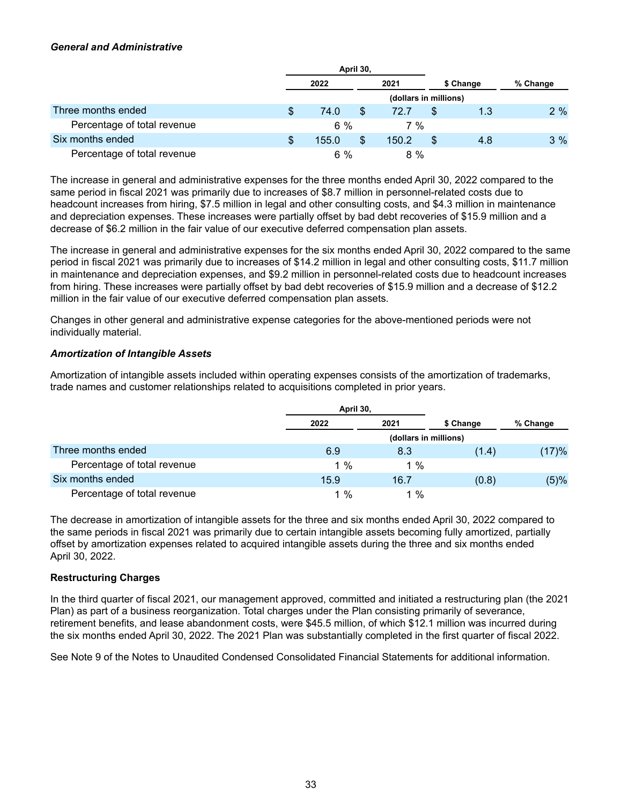#### *General and Administrative*

|                             | April 30,   |    |                       |     |           |          |
|-----------------------------|-------------|----|-----------------------|-----|-----------|----------|
|                             | 2022        |    | 2021                  |     | \$ Change | % Change |
|                             |             |    | (dollars in millions) |     |           |          |
| Three months ended          | \$<br>74.0  | \$ | 72.7                  | \$. | 1.3       | 2%       |
| Percentage of total revenue | $6\%$       |    | $7\%$                 |     |           |          |
| Six months ended            | \$<br>155.0 |    | 150.2                 | \$. | 4.8       | 3%       |
| Percentage of total revenue | $6\%$       |    | $8\%$                 |     |           |          |

The increase in general and administrative expenses for the three months ended April 30, 2022 compared to the same period in fiscal 2021 was primarily due to increases of \$8.7 million in personnel-related costs due to headcount increases from hiring, \$7.5 million in legal and other consulting costs, and \$4.3 million in maintenance and depreciation expenses. These increases were partially offset by bad debt recoveries of \$15.9 million and a decrease of \$6.2 million in the fair value of our executive deferred compensation plan assets.

The increase in general and administrative expenses for the six months ended April 30, 2022 compared to the same period in fiscal 2021 was primarily due to increases of \$14.2 million in legal and other consulting costs, \$11.7 million in maintenance and depreciation expenses, and \$9.2 million in personnel-related costs due to headcount increases from hiring. These increases were partially offset by bad debt recoveries of \$15.9 million and a decrease of \$12.2 million in the fair value of our executive deferred compensation plan assets.

Changes in other general and administrative expense categories for the above-mentioned periods were not individually material.

## *Amortization of Intangible Assets*

Amortization of intangible assets included within operating expenses consists of the amortization of trademarks, trade names and customer relationships related to acquisitions completed in prior years.

|                             |        | April 30,             |           |          |  |  |  |  |  |  |
|-----------------------------|--------|-----------------------|-----------|----------|--|--|--|--|--|--|
|                             | 2022   | 2021                  | \$ Change | % Change |  |  |  |  |  |  |
|                             |        | (dollars in millions) |           |          |  |  |  |  |  |  |
| Three months ended          | 6.9    | 8.3                   | (1.4)     | (17)%    |  |  |  |  |  |  |
| Percentage of total revenue | $1\%$  | 1 %                   |           |          |  |  |  |  |  |  |
| Six months ended            | 15.9   | 16.7                  | (0.8)     | (5)%     |  |  |  |  |  |  |
| Percentage of total revenue | %<br>- | 1 $%$                 |           |          |  |  |  |  |  |  |

The decrease in amortization of intangible assets for the three and six months ended April 30, 2022 compared to the same periods in fiscal 2021 was primarily due to certain intangible assets becoming fully amortized, partially offset by amortization expenses related to acquired intangible assets during the three and six months ended April 30, 2022.

## **Restructuring Charges**

In the third quarter of fiscal 2021, our management approved, committed and initiated a restructuring plan (the 2021 Plan) as part of a business reorganization. Total charges under the Plan consisting primarily of severance, retirement benefits, and lease abandonment costs, were \$45.5 million, of which \$12.1 million was incurred during the six months ended April 30, 2022. The 2021 Plan was substantially completed in the first quarter of fiscal 2022.

See Note 9 of the Notes to Unaudited Condensed Consolidated Financial Statements for additional information.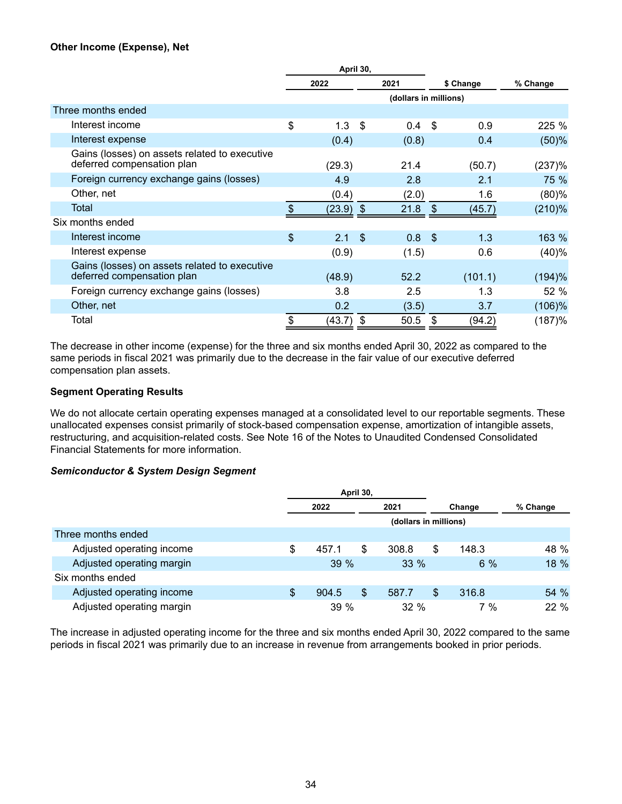## **Other Income (Expense), Net**

|                                                                             | April 30,    |                |                       |                           |           |           |
|-----------------------------------------------------------------------------|--------------|----------------|-----------------------|---------------------------|-----------|-----------|
|                                                                             | 2022         |                | 2021                  |                           | \$ Change | % Change  |
|                                                                             |              |                | (dollars in millions) |                           |           |           |
| Three months ended                                                          |              |                |                       |                           |           |           |
| Interest income                                                             | \$<br>1.3    | \$             | 0.4                   | \$                        | 0.9       | 225 %     |
| Interest expense                                                            | (0.4)        |                | (0.8)                 |                           | 0.4       | (50)%     |
| Gains (losses) on assets related to executive<br>deferred compensation plan | (29.3)       |                | 21.4                  |                           | (50.7)    | (237)%    |
| Foreign currency exchange gains (losses)                                    | 4.9          |                | 2.8                   |                           | 2.1       | 75 %      |
| Other, net                                                                  | (0.4)        |                | (2.0)                 |                           | 1.6       | (80)%     |
| Total                                                                       | \$<br>(23.9) | $\frac{3}{2}$  | 21.8                  | $\boldsymbol{\mathsf{S}}$ | (45.7)    | $(210)\%$ |
| Six months ended                                                            |              |                |                       |                           |           |           |
| Interest income                                                             | \$<br>2.1    | $\mathfrak{S}$ | 0.8 <sup>5</sup>      |                           | 1.3       | 163 %     |
| Interest expense                                                            | (0.9)        |                | (1.5)                 |                           | 0.6       | (40)%     |
| Gains (losses) on assets related to executive<br>deferred compensation plan | (48.9)       |                | 52.2                  |                           | (101.1)   | (194)%    |
| Foreign currency exchange gains (losses)                                    | 3.8          |                | 2.5                   |                           | 1.3       | 52 %      |
| Other, net                                                                  | 0.2          |                | (3.5)                 |                           | 3.7       | $(106)\%$ |
| Total                                                                       | \$<br>(43.7) | \$             | 50.5                  | \$                        | (94.2)    | (187)%    |

The decrease in other income (expense) for the three and six months ended April 30, 2022 as compared to the same periods in fiscal 2021 was primarily due to the decrease in the fair value of our executive deferred compensation plan assets.

#### **Segment Operating Results**

We do not allocate certain operating expenses managed at a consolidated level to our reportable segments. These unallocated expenses consist primarily of stock-based compensation expense, amortization of intangible assets, restructuring, and acquisition-related costs. See Note 16 of the Notes to Unaudited Condensed Consolidated Financial Statements for more information.

#### *Semiconductor & System Design Segment*

|                           | April 30,    |    |                       |    |          |      |
|---------------------------|--------------|----|-----------------------|----|----------|------|
|                           | 2021<br>2022 |    | Change                |    | % Change |      |
|                           |              |    | (dollars in millions) |    |          |      |
| Three months ended        |              |    |                       |    |          |      |
| Adjusted operating income | \$<br>457.1  | \$ | 308.8                 | \$ | 148.3    | 48 % |
| Adjusted operating margin | 39%          |    | $33\%$                |    | $6\%$    | 18 % |
| Six months ended          |              |    |                       |    |          |      |
| Adjusted operating income | \$<br>904.5  | S  | 587.7                 | S  | 316.8    | 54 % |
| Adjusted operating margin | 39 %         |    | 32%                   |    | $7\%$    | 22%  |

The increase in adjusted operating income for the three and six months ended April 30, 2022 compared to the same periods in fiscal 2021 was primarily due to an increase in revenue from arrangements booked in prior periods.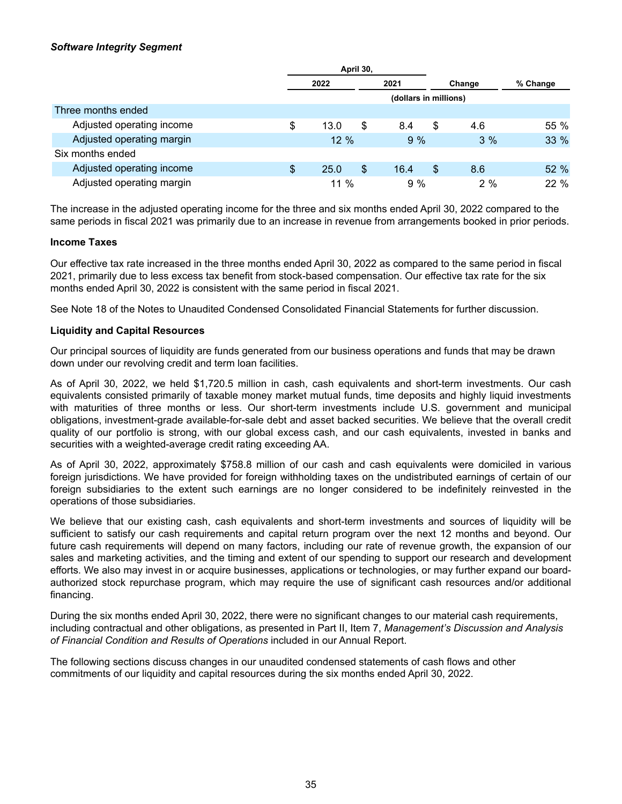#### *Software Integrity Segment*

|                           | April 30,    |    |                       |        |     |          |
|---------------------------|--------------|----|-----------------------|--------|-----|----------|
|                           | 2021<br>2022 |    |                       | Change |     | % Change |
|                           |              |    | (dollars in millions) |        |     |          |
| Three months ended        |              |    |                       |        |     |          |
| Adjusted operating income | \$<br>13.0   | \$ | 8.4                   | \$     | 4.6 | 55 %     |
| Adjusted operating margin | $12\%$       |    | $9\%$                 |        | 3%  | 33 %     |
| Six months ended          |              |    |                       |        |     |          |
| Adjusted operating income | \$<br>25.0   | \$ | 16.4                  | \$     | 8.6 | 52 %     |
| Adjusted operating margin | 11 $%$       |    | $9\%$                 |        | 2%  | $22 \%$  |

The increase in the adjusted operating income for the three and six months ended April 30, 2022 compared to the same periods in fiscal 2021 was primarily due to an increase in revenue from arrangements booked in prior periods.

#### **Income Taxes**

Our effective tax rate increased in the three months ended April 30, 2022 as compared to the same period in fiscal 2021, primarily due to less excess tax benefit from stock-based compensation. Our effective tax rate for the six months ended April 30, 2022 is consistent with the same period in fiscal 2021.

See Note 18 of the Notes to Unaudited Condensed Consolidated Financial Statements for further discussion.

#### **Liquidity and Capital Resources**

Our principal sources of liquidity are funds generated from our business operations and funds that may be drawn down under our revolving credit and term loan facilities.

As of April 30, 2022, we held \$1,720.5 million in cash, cash equivalents and short-term investments. Our cash equivalents consisted primarily of taxable money market mutual funds, time deposits and highly liquid investments with maturities of three months or less. Our short-term investments include U.S. government and municipal obligations, investment-grade available-for-sale debt and asset backed securities. We believe that the overall credit quality of our portfolio is strong, with our global excess cash, and our cash equivalents, invested in banks and securities with a weighted-average credit rating exceeding AA.

As of April 30, 2022, approximately \$758.8 million of our cash and cash equivalents were domiciled in various foreign jurisdictions. We have provided for foreign withholding taxes on the undistributed earnings of certain of our foreign subsidiaries to the extent such earnings are no longer considered to be indefinitely reinvested in the operations of those subsidiaries.

We believe that our existing cash, cash equivalents and short-term investments and sources of liquidity will be sufficient to satisfy our cash requirements and capital return program over the next 12 months and beyond. Our future cash requirements will depend on many factors, including our rate of revenue growth, the expansion of our sales and marketing activities, and the timing and extent of our spending to support our research and development efforts. We also may invest in or acquire businesses, applications or technologies, or may further expand our boardauthorized stock repurchase program, which may require the use of significant cash resources and/or additional financing.

During the six months ended April 30, 2022, there were no significant changes to our material cash requirements, including contractual and other obligations, as presented in Part II, Item 7, *Management's Discussion and Analysis of Financial Condition and Results of Operations* included in our Annual Report.

The following sections discuss changes in our unaudited condensed statements of cash flows and other commitments of our liquidity and capital resources during the six months ended April 30, 2022.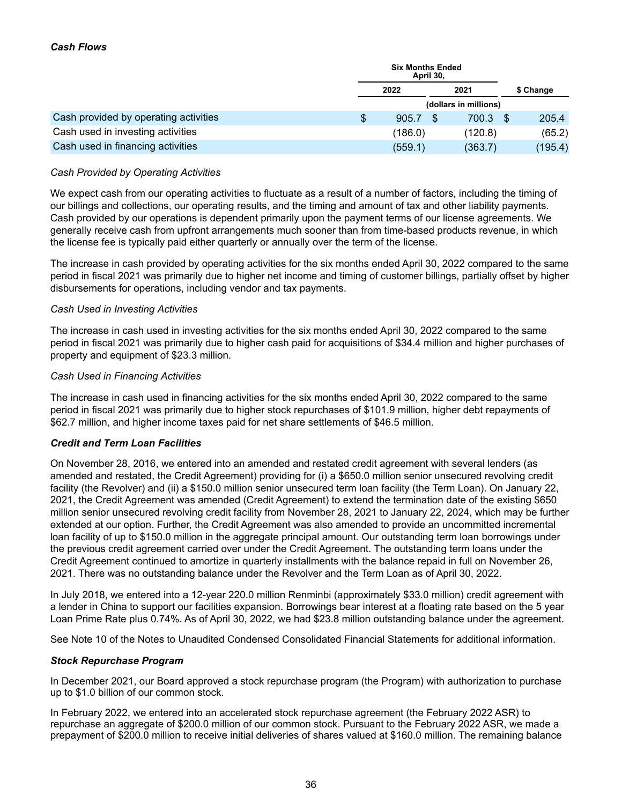## *Cash Flows*

|                                       | <b>Six Months Ended</b><br>April 30. |     |                       |  |         |
|---------------------------------------|--------------------------------------|-----|-----------------------|--|---------|
|                                       | 2022<br>2021                         |     | \$ Change             |  |         |
|                                       |                                      |     | (dollars in millions) |  |         |
| Cash provided by operating activities | 905.7                                | \$. | 700.3                 |  | 205.4   |
| Cash used in investing activities     | (186.0)                              |     | (120.8)               |  | (65.2)  |
| Cash used in financing activities     | (559.1)                              |     | (363.7)               |  | (195.4) |

#### *Cash Provided by Operating Activities*

We expect cash from our operating activities to fluctuate as a result of a number of factors, including the timing of our billings and collections, our operating results, and the timing and amount of tax and other liability payments. Cash provided by our operations is dependent primarily upon the payment terms of our license agreements. We generally receive cash from upfront arrangements much sooner than from time-based products revenue, in which the license fee is typically paid either quarterly or annually over the term of the license.

The increase in cash provided by operating activities for the six months ended April 30, 2022 compared to the same period in fiscal 2021 was primarily due to higher net income and timing of customer billings, partially offset by higher disbursements for operations, including vendor and tax payments.

#### *Cash Used in Investing Activities*

The increase in cash used in investing activities for the six months ended April 30, 2022 compared to the same period in fiscal 2021 was primarily due to higher cash paid for acquisitions of \$34.4 million and higher purchases of property and equipment of \$23.3 million.

#### *Cash Used in Financing Activities*

The increase in cash used in financing activities for the six months ended April 30, 2022 compared to the same period in fiscal 2021 was primarily due to higher stock repurchases of \$101.9 million, higher debt repayments of \$62.7 million, and higher income taxes paid for net share settlements of \$46.5 million.

#### *Credit and Term Loan Facilities*

On November 28, 2016, we entered into an amended and restated credit agreement with several lenders (as amended and restated, the Credit Agreement) providing for (i) a \$650.0 million senior unsecured revolving credit facility (the Revolver) and (ii) a \$150.0 million senior unsecured term loan facility (the Term Loan). On January 22, 2021, the Credit Agreement was amended (Credit Agreement) to extend the termination date of the existing \$650 million senior unsecured revolving credit facility from November 28, 2021 to January 22, 2024, which may be further extended at our option. Further, the Credit Agreement was also amended to provide an uncommitted incremental loan facility of up to \$150.0 million in the aggregate principal amount. Our outstanding term loan borrowings under the previous credit agreement carried over under the Credit Agreement. The outstanding term loans under the Credit Agreement continued to amortize in quarterly installments with the balance repaid in full on November 26, 2021. There was no outstanding balance under the Revolver and the Term Loan as of April 30, 2022.

In July 2018, we entered into a 12-year 220.0 million Renminbi (approximately \$33.0 million) credit agreement with a lender in China to support our facilities expansion. Borrowings bear interest at a floating rate based on the 5 year Loan Prime Rate plus 0.74%. As of April 30, 2022, we had \$23.8 million outstanding balance under the agreement.

See Note 10 of the Notes to Unaudited Condensed Consolidated Financial Statements for additional information.

#### *Stock Repurchase Program*

In December 2021, our Board approved a stock repurchase program (the Program) with authorization to purchase up to \$1.0 billion of our common stock.

In February 2022, we entered into an accelerated stock repurchase agreement (the February 2022 ASR) to repurchase an aggregate of \$200.0 million of our common stock. Pursuant to the February 2022 ASR, we made a prepayment of \$200.0 million to receive initial deliveries of shares valued at \$160.0 million. The remaining balance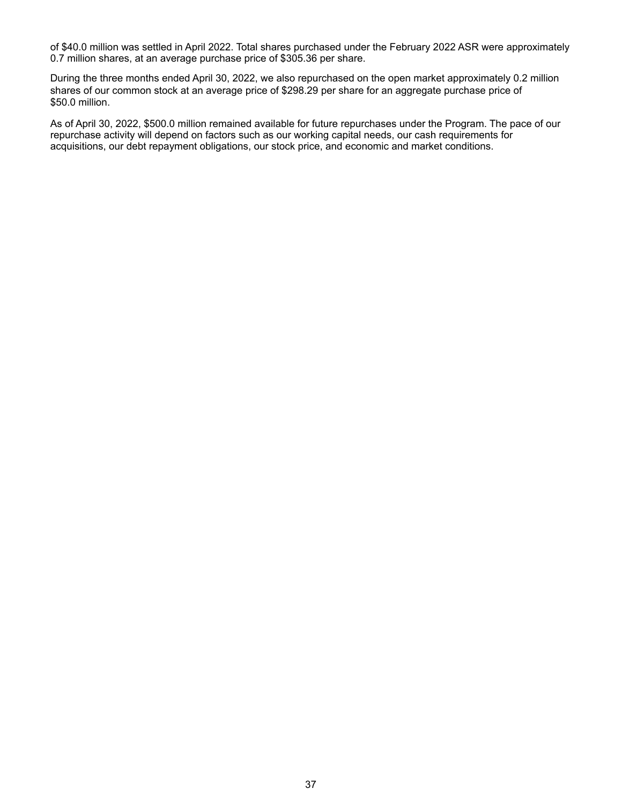of \$40.0 million was settled in April 2022. Total shares purchased under the February 2022 ASR were approximately 0.7 million shares, at an average purchase price of \$305.36 per share.

During the three months ended April 30, 2022, we also repurchased on the open market approximately 0.2 million shares of our common stock at an average price of \$298.29 per share for an aggregate purchase price of \$50.0 million.

As of April 30, 2022, \$500.0 million remained available for future repurchases under the Program. The pace of our repurchase activity will depend on factors such as our working capital needs, our cash requirements for acquisitions, our debt repayment obligations, our stock price, and economic and market conditions.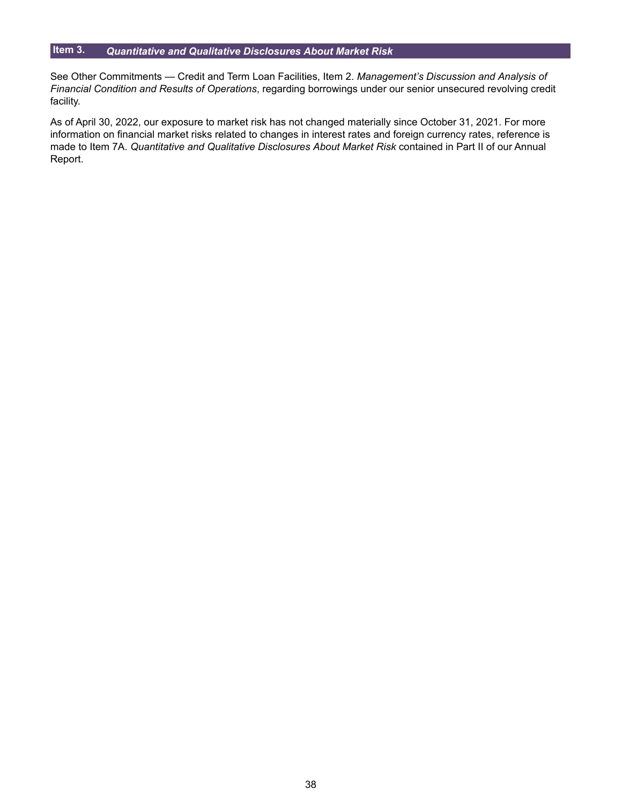## <span id="page-39-0"></span>**Item 3.** *Quantitative and Qualitative Disclosures About Market Risk*

See Other Commitments — Credit and Term Loan Facilities, Item 2. *Management's Discussion and Analysis of Financial Condition and Results of Operations*, regarding borrowings under our senior unsecured revolving credit facility.

As of April 30, 2022, our exposure to market risk has not changed materially since October 31, 2021. For more information on financial market risks related to changes in interest rates and foreign currency rates, reference is made to Item 7A. *Quantitative and Qualitative Disclosures About Market Risk* contained in Part II of our Annual Report.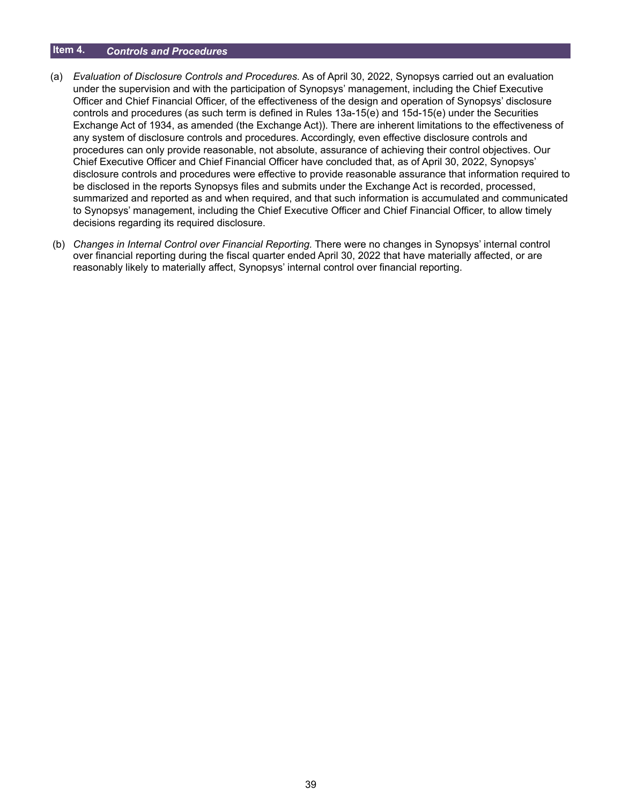## <span id="page-40-0"></span>**Item 4.** *Controls and Procedures*

- (a) *Evaluation of Disclosure Controls and Procedures.* As of April 30, 2022, Synopsys carried out an evaluation under the supervision and with the participation of Synopsys' management, including the Chief Executive Officer and Chief Financial Officer, of the effectiveness of the design and operation of Synopsys' disclosure controls and procedures (as such term is defined in Rules 13a-15(e) and 15d-15(e) under the Securities Exchange Act of 1934, as amended (the Exchange Act)). There are inherent limitations to the effectiveness of any system of disclosure controls and procedures. Accordingly, even effective disclosure controls and procedures can only provide reasonable, not absolute, assurance of achieving their control objectives. Our Chief Executive Officer and Chief Financial Officer have concluded that, as of April 30, 2022, Synopsys' disclosure controls and procedures were effective to provide reasonable assurance that information required to be disclosed in the reports Synopsys files and submits under the Exchange Act is recorded, processed, summarized and reported as and when required, and that such information is accumulated and communicated to Synopsys' management, including the Chief Executive Officer and Chief Financial Officer, to allow timely decisions regarding its required disclosure.
- (b) *Changes in Internal Control over Financial Reporting.* There were no changes in Synopsys' internal control over financial reporting during the fiscal quarter ended April 30, 2022 that have materially affected, or are reasonably likely to materially affect, Synopsys' internal control over financial reporting.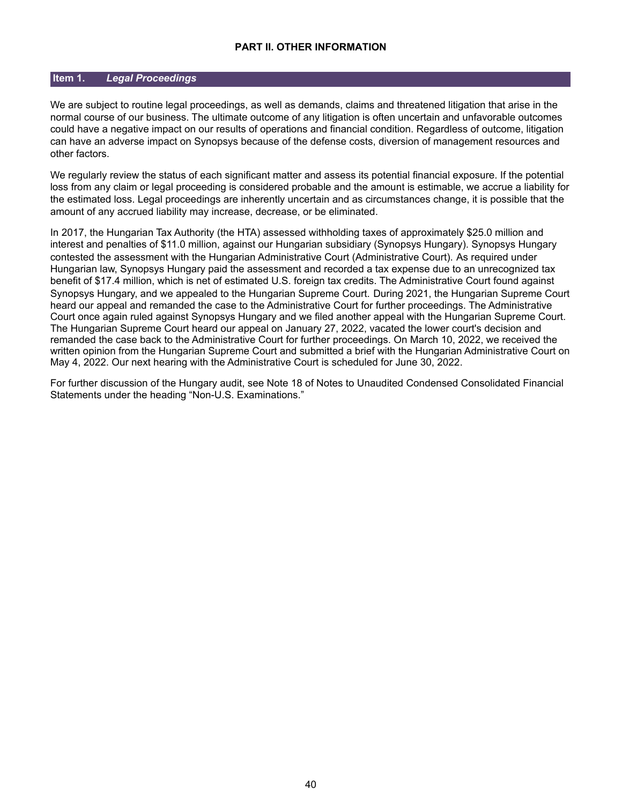#### <span id="page-41-0"></span>**Item 1.** *Legal Proceedings*

We are subject to routine legal proceedings, as well as demands, claims and threatened litigation that arise in the normal course of our business. The ultimate outcome of any litigation is often uncertain and unfavorable outcomes could have a negative impact on our results of operations and financial condition. Regardless of outcome, litigation can have an adverse impact on Synopsys because of the defense costs, diversion of management resources and other factors.

We regularly review the status of each significant matter and assess its potential financial exposure. If the potential loss from any claim or legal proceeding is considered probable and the amount is estimable, we accrue a liability for the estimated loss. Legal proceedings are inherently uncertain and as circumstances change, it is possible that the amount of any accrued liability may increase, decrease, or be eliminated.

In 2017, the Hungarian Tax Authority (the HTA) assessed withholding taxes of approximately \$25.0 million and interest and penalties of \$11.0 million, against our Hungarian subsidiary (Synopsys Hungary). Synopsys Hungary contested the assessment with the Hungarian Administrative Court (Administrative Court). As required under Hungarian law, Synopsys Hungary paid the assessment and recorded a tax expense due to an unrecognized tax benefit of \$17.4 million, which is net of estimated U.S. foreign tax credits. The Administrative Court found against Synopsys Hungary, and we appealed to the Hungarian Supreme Court. During 2021, the Hungarian Supreme Court heard our appeal and remanded the case to the Administrative Court for further proceedings. The Administrative Court once again ruled against Synopsys Hungary and we filed another appeal with the Hungarian Supreme Court. The Hungarian Supreme Court heard our appeal on January 27, 2022, vacated the lower court's decision and remanded the case back to the Administrative Court for further proceedings. On March 10, 2022, we received the written opinion from the Hungarian Supreme Court and submitted a brief with the Hungarian Administrative Court on May 4, 2022. Our next hearing with the Administrative Court is scheduled for June 30, 2022.

For further discussion of the Hungary audit, see Note 18 of Notes to Unaudited Condensed Consolidated Financial Statements under the heading "Non-U.S. Examinations."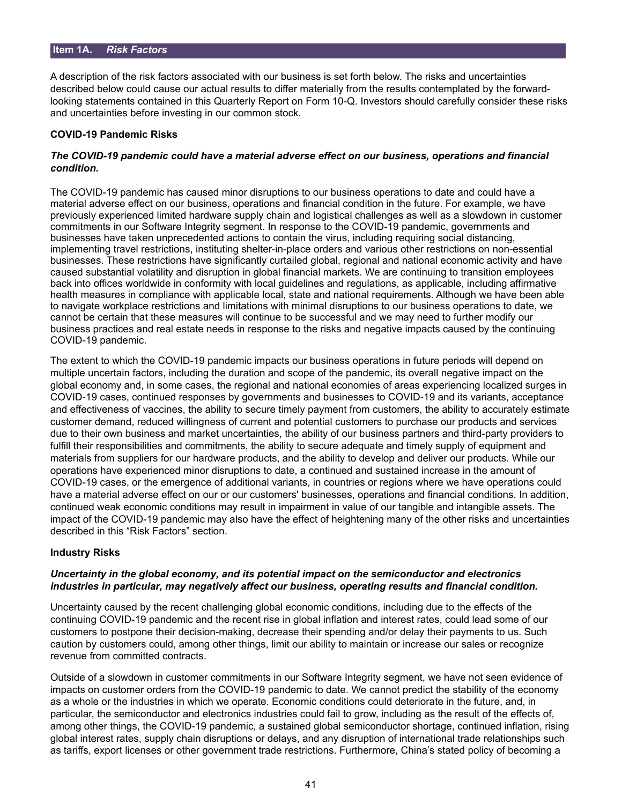#### <span id="page-42-0"></span>**Item 1A.** *Risk Factors*

A description of the risk factors associated with our business is set forth below. The risks and uncertainties described below could cause our actual results to differ materially from the results contemplated by the forwardlooking statements contained in this Quarterly Report on Form 10-Q. Investors should carefully consider these risks and uncertainties before investing in our common stock.

#### **COVID-19 Pandemic Risks**

#### *The COVID-19 pandemic could have a material adverse effect on our business, operations and financial condition.*

The COVID-19 pandemic has caused minor disruptions to our business operations to date and could have a material adverse effect on our business, operations and financial condition in the future. For example, we have previously experienced limited hardware supply chain and logistical challenges as well as a slowdown in customer commitments in our Software Integrity segment. In response to the COVID-19 pandemic, governments and businesses have taken unprecedented actions to contain the virus, including requiring social distancing, implementing travel restrictions, instituting shelter-in-place orders and various other restrictions on non-essential businesses. These restrictions have significantly curtailed global, regional and national economic activity and have caused substantial volatility and disruption in global financial markets. We are continuing to transition employees back into offices worldwide in conformity with local guidelines and regulations, as applicable, including affirmative health measures in compliance with applicable local, state and national requirements. Although we have been able to navigate workplace restrictions and limitations with minimal disruptions to our business operations to date, we cannot be certain that these measures will continue to be successful and we may need to further modify our business practices and real estate needs in response to the risks and negative impacts caused by the continuing COVID-19 pandemic.

The extent to which the COVID-19 pandemic impacts our business operations in future periods will depend on multiple uncertain factors, including the duration and scope of the pandemic, its overall negative impact on the global economy and, in some cases, the regional and national economies of areas experiencing localized surges in COVID-19 cases, continued responses by governments and businesses to COVID-19 and its variants, acceptance and effectiveness of vaccines, the ability to secure timely payment from customers, the ability to accurately estimate customer demand, reduced willingness of current and potential customers to purchase our products and services due to their own business and market uncertainties, the ability of our business partners and third-party providers to fulfill their responsibilities and commitments, the ability to secure adequate and timely supply of equipment and materials from suppliers for our hardware products, and the ability to develop and deliver our products. While our operations have experienced minor disruptions to date, a continued and sustained increase in the amount of COVID-19 cases, or the emergence of additional variants, in countries or regions where we have operations could have a material adverse effect on our or our customers' businesses, operations and financial conditions. In addition, continued weak economic conditions may result in impairment in value of our tangible and intangible assets. The impact of the COVID-19 pandemic may also have the effect of heightening many of the other risks and uncertainties described in this "Risk Factors" section.

#### **Industry Risks**

#### *Uncertainty in the global economy, and its potential impact on the semiconductor and electronics industries in particular, may negatively affect our business, operating results and financial condition.*

Uncertainty caused by the recent challenging global economic conditions, including due to the effects of the continuing COVID-19 pandemic and the recent rise in global inflation and interest rates, could lead some of our customers to postpone their decision-making, decrease their spending and/or delay their payments to us. Such caution by customers could, among other things, limit our ability to maintain or increase our sales or recognize revenue from committed contracts.

Outside of a slowdown in customer commitments in our Software Integrity segment, we have not seen evidence of impacts on customer orders from the COVID-19 pandemic to date. We cannot predict the stability of the economy as a whole or the industries in which we operate. Economic conditions could deteriorate in the future, and, in particular, the semiconductor and electronics industries could fail to grow, including as the result of the effects of, among other things, the COVID-19 pandemic, a sustained global semiconductor shortage, continued inflation, rising global interest rates, supply chain disruptions or delays, and any disruption of international trade relationships such as tariffs, export licenses or other government trade restrictions. Furthermore, China's stated policy of becoming a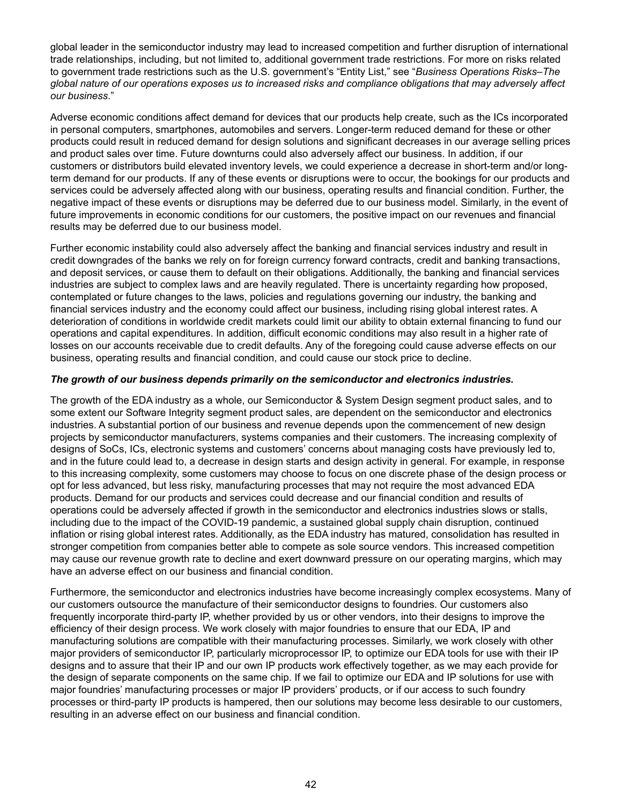global leader in the semiconductor industry may lead to increased competition and further disruption of international trade relationships, including, but not limited to, additional government trade restrictions. For more on risks related to government trade restrictions such as the U.S. government's "Entity List," see "*Business Operations Risks–The global nature of our operations exposes us to increased risks and compliance obligations that may adversely affect our business*."

Adverse economic conditions affect demand for devices that our products help create, such as the ICs incorporated in personal computers, smartphones, automobiles and servers. Longer-term reduced demand for these or other products could result in reduced demand for design solutions and significant decreases in our average selling prices and product sales over time. Future downturns could also adversely affect our business. In addition, if our customers or distributors build elevated inventory levels, we could experience a decrease in short-term and/or longterm demand for our products. If any of these events or disruptions were to occur, the bookings for our products and services could be adversely affected along with our business, operating results and financial condition. Further, the negative impact of these events or disruptions may be deferred due to our business model. Similarly, in the event of future improvements in economic conditions for our customers, the positive impact on our revenues and financial results may be deferred due to our business model.

Further economic instability could also adversely affect the banking and financial services industry and result in credit downgrades of the banks we rely on for foreign currency forward contracts, credit and banking transactions, and deposit services, or cause them to default on their obligations. Additionally, the banking and financial services industries are subject to complex laws and are heavily regulated. There is uncertainty regarding how proposed, contemplated or future changes to the laws, policies and regulations governing our industry, the banking and financial services industry and the economy could affect our business, including rising global interest rates. A deterioration of conditions in worldwide credit markets could limit our ability to obtain external financing to fund our operations and capital expenditures. In addition, difficult economic conditions may also result in a higher rate of losses on our accounts receivable due to credit defaults. Any of the foregoing could cause adverse effects on our business, operating results and financial condition, and could cause our stock price to decline.

## *The growth of our business depends primarily on the semiconductor and electronics industries.*

The growth of the EDA industry as a whole, our Semiconductor & System Design segment product sales, and to some extent our Software Integrity segment product sales, are dependent on the semiconductor and electronics industries. A substantial portion of our business and revenue depends upon the commencement of new design projects by semiconductor manufacturers, systems companies and their customers. The increasing complexity of designs of SoCs, ICs, electronic systems and customers' concerns about managing costs have previously led to, and in the future could lead to, a decrease in design starts and design activity in general. For example, in response to this increasing complexity, some customers may choose to focus on one discrete phase of the design process or opt for less advanced, but less risky, manufacturing processes that may not require the most advanced EDA products. Demand for our products and services could decrease and our financial condition and results of operations could be adversely affected if growth in the semiconductor and electronics industries slows or stalls, including due to the impact of the COVID-19 pandemic, a sustained global supply chain disruption, continued inflation or rising global interest rates. Additionally, as the EDA industry has matured, consolidation has resulted in stronger competition from companies better able to compete as sole source vendors. This increased competition may cause our revenue growth rate to decline and exert downward pressure on our operating margins, which may have an adverse effect on our business and financial condition.

Furthermore, the semiconductor and electronics industries have become increasingly complex ecosystems. Many of our customers outsource the manufacture of their semiconductor designs to foundries. Our customers also frequently incorporate third-party IP, whether provided by us or other vendors, into their designs to improve the efficiency of their design process. We work closely with major foundries to ensure that our EDA, IP and manufacturing solutions are compatible with their manufacturing processes. Similarly, we work closely with other major providers of semiconductor IP, particularly microprocessor IP, to optimize our EDA tools for use with their IP designs and to assure that their IP and our own IP products work effectively together, as we may each provide for the design of separate components on the same chip. If we fail to optimize our EDA and IP solutions for use with major foundries' manufacturing processes or major IP providers' products, or if our access to such foundry processes or third-party IP products is hampered, then our solutions may become less desirable to our customers, resulting in an adverse effect on our business and financial condition.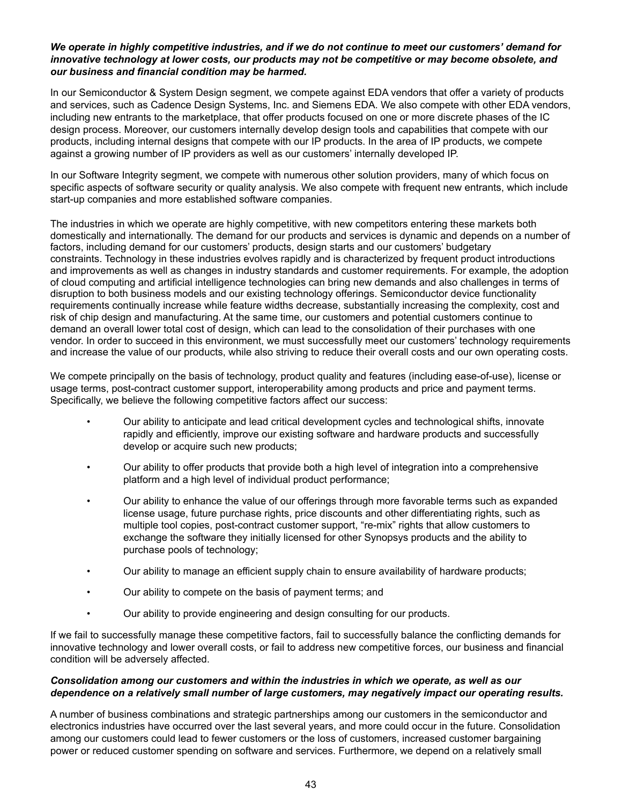#### *We operate in highly competitive industries, and if we do not continue to meet our customers' demand for innovative technology at lower costs, our products may not be competitive or may become obsolete, and our business and financial condition may be harmed.*

In our Semiconductor & System Design segment, we compete against EDA vendors that offer a variety of products and services, such as Cadence Design Systems, Inc. and Siemens EDA. We also compete with other EDA vendors, including new entrants to the marketplace, that offer products focused on one or more discrete phases of the IC design process. Moreover, our customers internally develop design tools and capabilities that compete with our products, including internal designs that compete with our IP products. In the area of IP products, we compete against a growing number of IP providers as well as our customers' internally developed IP.

In our Software Integrity segment, we compete with numerous other solution providers, many of which focus on specific aspects of software security or quality analysis. We also compete with frequent new entrants, which include start-up companies and more established software companies.

The industries in which we operate are highly competitive, with new competitors entering these markets both domestically and internationally. The demand for our products and services is dynamic and depends on a number of factors, including demand for our customers' products, design starts and our customers' budgetary constraints. Technology in these industries evolves rapidly and is characterized by frequent product introductions and improvements as well as changes in industry standards and customer requirements. For example, the adoption of cloud computing and artificial intelligence technologies can bring new demands and also challenges in terms of disruption to both business models and our existing technology offerings. Semiconductor device functionality requirements continually increase while feature widths decrease, substantially increasing the complexity, cost and risk of chip design and manufacturing. At the same time, our customers and potential customers continue to demand an overall lower total cost of design, which can lead to the consolidation of their purchases with one vendor. In order to succeed in this environment, we must successfully meet our customers' technology requirements and increase the value of our products, while also striving to reduce their overall costs and our own operating costs.

We compete principally on the basis of technology, product quality and features (including ease-of-use), license or usage terms, post-contract customer support, interoperability among products and price and payment terms. Specifically, we believe the following competitive factors affect our success:

- Our ability to anticipate and lead critical development cycles and technological shifts, innovate rapidly and efficiently, improve our existing software and hardware products and successfully develop or acquire such new products;
- Our ability to offer products that provide both a high level of integration into a comprehensive platform and a high level of individual product performance;
- Our ability to enhance the value of our offerings through more favorable terms such as expanded license usage, future purchase rights, price discounts and other differentiating rights, such as multiple tool copies, post-contract customer support, "re-mix" rights that allow customers to exchange the software they initially licensed for other Synopsys products and the ability to purchase pools of technology;
- Our ability to manage an efficient supply chain to ensure availability of hardware products;
- Our ability to compete on the basis of payment terms; and
- Our ability to provide engineering and design consulting for our products.

If we fail to successfully manage these competitive factors, fail to successfully balance the conflicting demands for innovative technology and lower overall costs, or fail to address new competitive forces, our business and financial condition will be adversely affected.

#### *Consolidation among our customers and within the industries in which we operate, as well as our dependence on a relatively small number of large customers, may negatively impact our operating results.*

A number of business combinations and strategic partnerships among our customers in the semiconductor and electronics industries have occurred over the last several years, and more could occur in the future. Consolidation among our customers could lead to fewer customers or the loss of customers, increased customer bargaining power or reduced customer spending on software and services. Furthermore, we depend on a relatively small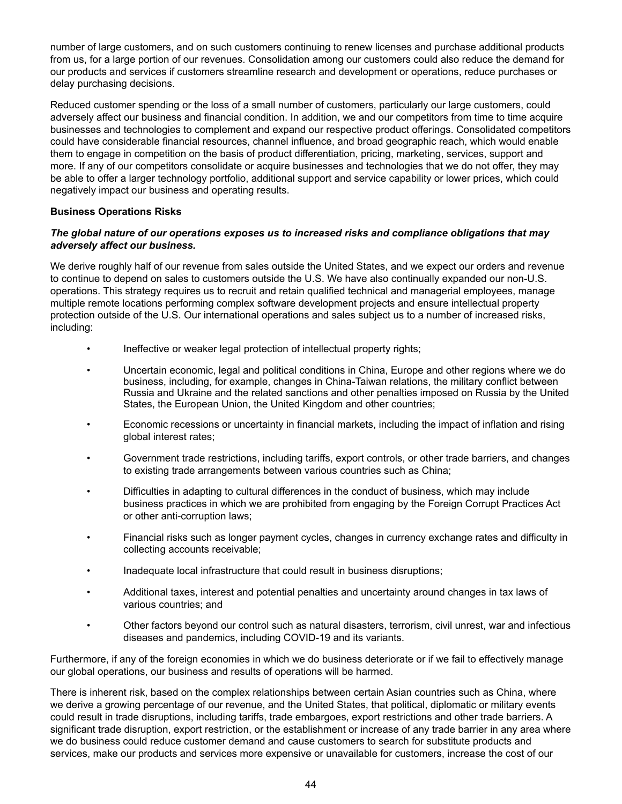number of large customers, and on such customers continuing to renew licenses and purchase additional products from us, for a large portion of our revenues. Consolidation among our customers could also reduce the demand for our products and services if customers streamline research and development or operations, reduce purchases or delay purchasing decisions.

Reduced customer spending or the loss of a small number of customers, particularly our large customers, could adversely affect our business and financial condition. In addition, we and our competitors from time to time acquire businesses and technologies to complement and expand our respective product offerings. Consolidated competitors could have considerable financial resources, channel influence, and broad geographic reach, which would enable them to engage in competition on the basis of product differentiation, pricing, marketing, services, support and more. If any of our competitors consolidate or acquire businesses and technologies that we do not offer, they may be able to offer a larger technology portfolio, additional support and service capability or lower prices, which could negatively impact our business and operating results.

## **Business Operations Risks**

## *The global nature of our operations exposes us to increased risks and compliance obligations that may adversely affect our business.*

We derive roughly half of our revenue from sales outside the United States, and we expect our orders and revenue to continue to depend on sales to customers outside the U.S. We have also continually expanded our non-U.S. operations. This strategy requires us to recruit and retain qualified technical and managerial employees, manage multiple remote locations performing complex software development projects and ensure intellectual property protection outside of the U.S. Our international operations and sales subject us to a number of increased risks, including:

- Ineffective or weaker legal protection of intellectual property rights;
- Uncertain economic, legal and political conditions in China, Europe and other regions where we do business, including, for example, changes in China-Taiwan relations, the military conflict between Russia and Ukraine and the related sanctions and other penalties imposed on Russia by the United States, the European Union, the United Kingdom and other countries;
- Economic recessions or uncertainty in financial markets, including the impact of inflation and rising global interest rates;
- Government trade restrictions, including tariffs, export controls, or other trade barriers, and changes to existing trade arrangements between various countries such as China;
- Difficulties in adapting to cultural differences in the conduct of business, which may include business practices in which we are prohibited from engaging by the Foreign Corrupt Practices Act or other anti-corruption laws;
- Financial risks such as longer payment cycles, changes in currency exchange rates and difficulty in collecting accounts receivable;
- Inadequate local infrastructure that could result in business disruptions;
- Additional taxes, interest and potential penalties and uncertainty around changes in tax laws of various countries; and
- Other factors beyond our control such as natural disasters, terrorism, civil unrest, war and infectious diseases and pandemics, including COVID-19 and its variants.

Furthermore, if any of the foreign economies in which we do business deteriorate or if we fail to effectively manage our global operations, our business and results of operations will be harmed.

There is inherent risk, based on the complex relationships between certain Asian countries such as China, where we derive a growing percentage of our revenue, and the United States, that political, diplomatic or military events could result in trade disruptions, including tariffs, trade embargoes, export restrictions and other trade barriers. A significant trade disruption, export restriction, or the establishment or increase of any trade barrier in any area where we do business could reduce customer demand and cause customers to search for substitute products and services, make our products and services more expensive or unavailable for customers, increase the cost of our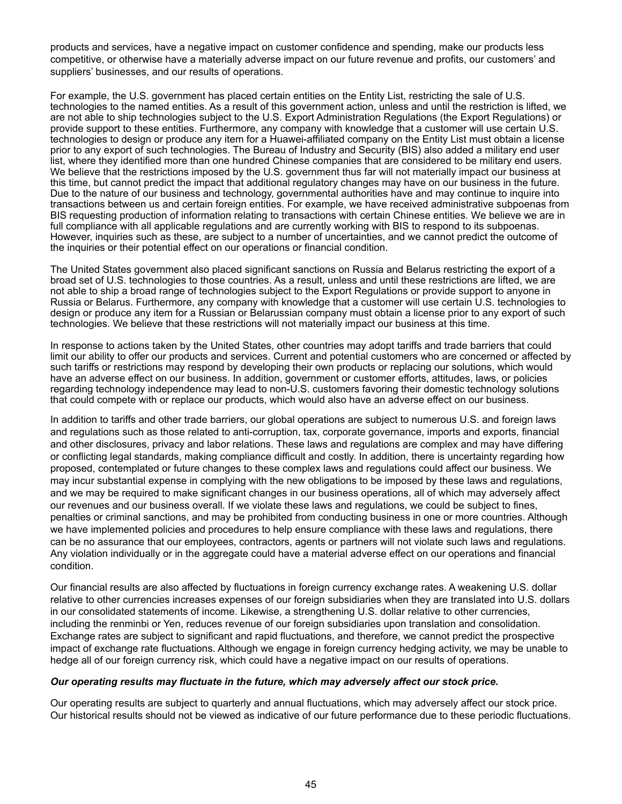products and services, have a negative impact on customer confidence and spending, make our products less competitive, or otherwise have a materially adverse impact on our future revenue and profits, our customers' and suppliers' businesses, and our results of operations.

For example, the U.S. government has placed certain entities on the Entity List, restricting the sale of U.S. technologies to the named entities. As a result of this government action, unless and until the restriction is lifted, we are not able to ship technologies subject to the U.S. Export Administration Regulations (the Export Regulations) or provide support to these entities. Furthermore, any company with knowledge that a customer will use certain U.S. technologies to design or produce any item for a Huawei-affiliated company on the Entity List must obtain a license prior to any export of such technologies. The Bureau of Industry and Security (BIS) also added a military end user list, where they identified more than one hundred Chinese companies that are considered to be military end users. We believe that the restrictions imposed by the U.S. government thus far will not materially impact our business at this time, but cannot predict the impact that additional regulatory changes may have on our business in the future. Due to the nature of our business and technology, governmental authorities have and may continue to inquire into transactions between us and certain foreign entities. For example, we have received administrative subpoenas from BIS requesting production of information relating to transactions with certain Chinese entities. We believe we are in full compliance with all applicable regulations and are currently working with BIS to respond to its subpoenas. However, inquiries such as these, are subject to a number of uncertainties, and we cannot predict the outcome of the inquiries or their potential effect on our operations or financial condition.

The United States government also placed significant sanctions on Russia and Belarus restricting the export of a broad set of U.S. technologies to those countries. As a result, unless and until these restrictions are lifted, we are not able to ship a broad range of technologies subject to the Export Regulations or provide support to anyone in Russia or Belarus. Furthermore, any company with knowledge that a customer will use certain U.S. technologies to design or produce any item for a Russian or Belarussian company must obtain a license prior to any export of such technologies. We believe that these restrictions will not materially impact our business at this time.

In response to actions taken by the United States, other countries may adopt tariffs and trade barriers that could limit our ability to offer our products and services. Current and potential customers who are concerned or affected by such tariffs or restrictions may respond by developing their own products or replacing our solutions, which would have an adverse effect on our business. In addition, government or customer efforts, attitudes, laws, or policies regarding technology independence may lead to non-U.S. customers favoring their domestic technology solutions that could compete with or replace our products, which would also have an adverse effect on our business.

In addition to tariffs and other trade barriers, our global operations are subject to numerous U.S. and foreign laws and regulations such as those related to anti-corruption, tax, corporate governance, imports and exports, financial and other disclosures, privacy and labor relations. These laws and regulations are complex and may have differing or conflicting legal standards, making compliance difficult and costly. In addition, there is uncertainty regarding how proposed, contemplated or future changes to these complex laws and regulations could affect our business. We may incur substantial expense in complying with the new obligations to be imposed by these laws and regulations, and we may be required to make significant changes in our business operations, all of which may adversely affect our revenues and our business overall. If we violate these laws and regulations, we could be subject to fines, penalties or criminal sanctions, and may be prohibited from conducting business in one or more countries. Although we have implemented policies and procedures to help ensure compliance with these laws and regulations, there can be no assurance that our employees, contractors, agents or partners will not violate such laws and regulations. Any violation individually or in the aggregate could have a material adverse effect on our operations and financial condition.

Our financial results are also affected by fluctuations in foreign currency exchange rates. A weakening U.S. dollar relative to other currencies increases expenses of our foreign subsidiaries when they are translated into U.S. dollars in our consolidated statements of income. Likewise, a strengthening U.S. dollar relative to other currencies, including the renminbi or Yen, reduces revenue of our foreign subsidiaries upon translation and consolidation. Exchange rates are subject to significant and rapid fluctuations, and therefore, we cannot predict the prospective impact of exchange rate fluctuations. Although we engage in foreign currency hedging activity, we may be unable to hedge all of our foreign currency risk, which could have a negative impact on our results of operations.

#### *Our operating results may fluctuate in the future, which may adversely affect our stock price.*

Our operating results are subject to quarterly and annual fluctuations, which may adversely affect our stock price. Our historical results should not be viewed as indicative of our future performance due to these periodic fluctuations.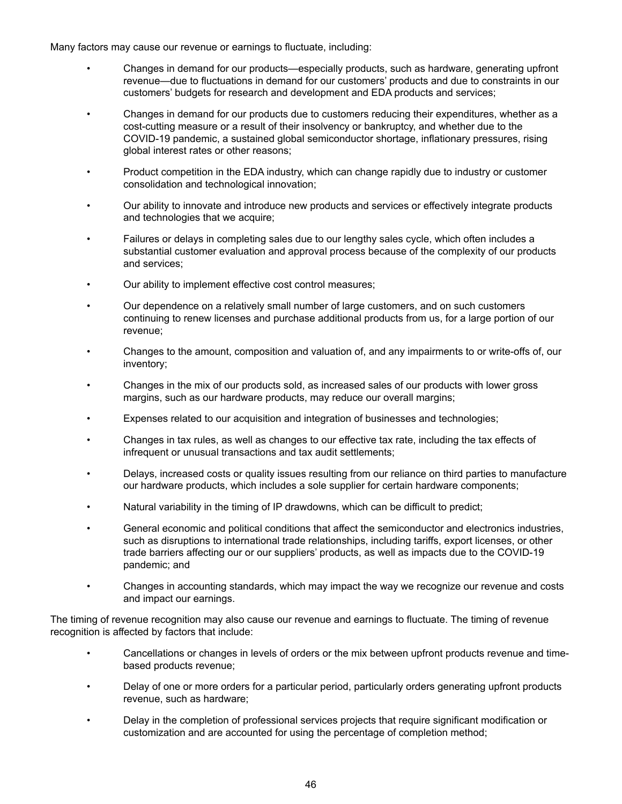Many factors may cause our revenue or earnings to fluctuate, including:

- Changes in demand for our products—especially products, such as hardware, generating upfront revenue—due to fluctuations in demand for our customers' products and due to constraints in our customers' budgets for research and development and EDA products and services;
- Changes in demand for our products due to customers reducing their expenditures, whether as a cost-cutting measure or a result of their insolvency or bankruptcy, and whether due to the COVID-19 pandemic, a sustained global semiconductor shortage, inflationary pressures, rising global interest rates or other reasons;
- Product competition in the EDA industry, which can change rapidly due to industry or customer consolidation and technological innovation;
- Our ability to innovate and introduce new products and services or effectively integrate products and technologies that we acquire;
- Failures or delays in completing sales due to our lengthy sales cycle, which often includes a substantial customer evaluation and approval process because of the complexity of our products and services;
- Our ability to implement effective cost control measures;
- Our dependence on a relatively small number of large customers, and on such customers continuing to renew licenses and purchase additional products from us, for a large portion of our revenue;
- Changes to the amount, composition and valuation of, and any impairments to or write-offs of, our inventory;
- Changes in the mix of our products sold, as increased sales of our products with lower gross margins, such as our hardware products, may reduce our overall margins;
- Expenses related to our acquisition and integration of businesses and technologies;
- Changes in tax rules, as well as changes to our effective tax rate, including the tax effects of infrequent or unusual transactions and tax audit settlements;
- Delays, increased costs or quality issues resulting from our reliance on third parties to manufacture our hardware products, which includes a sole supplier for certain hardware components;
- Natural variability in the timing of IP drawdowns, which can be difficult to predict;
- General economic and political conditions that affect the semiconductor and electronics industries, such as disruptions to international trade relationships, including tariffs, export licenses, or other trade barriers affecting our or our suppliers' products, as well as impacts due to the COVID-19 pandemic; and
- Changes in accounting standards, which may impact the way we recognize our revenue and costs and impact our earnings.

The timing of revenue recognition may also cause our revenue and earnings to fluctuate. The timing of revenue recognition is affected by factors that include:

- Cancellations or changes in levels of orders or the mix between upfront products revenue and timebased products revenue;
- Delay of one or more orders for a particular period, particularly orders generating upfront products revenue, such as hardware;
- Delay in the completion of professional services projects that require significant modification or customization and are accounted for using the percentage of completion method;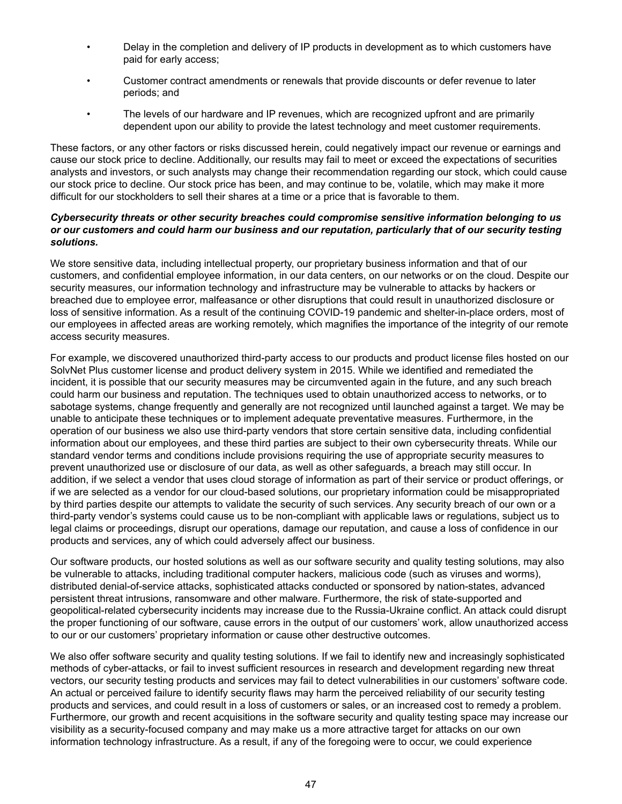- Delay in the completion and delivery of IP products in development as to which customers have paid for early access;
- Customer contract amendments or renewals that provide discounts or defer revenue to later periods; and
- The levels of our hardware and IP revenues, which are recognized upfront and are primarily dependent upon our ability to provide the latest technology and meet customer requirements.

These factors, or any other factors or risks discussed herein, could negatively impact our revenue or earnings and cause our stock price to decline. Additionally, our results may fail to meet or exceed the expectations of securities analysts and investors, or such analysts may change their recommendation regarding our stock, which could cause our stock price to decline. Our stock price has been, and may continue to be, volatile, which may make it more difficult for our stockholders to sell their shares at a time or a price that is favorable to them.

#### *Cybersecurity threats or other security breaches could compromise sensitive information belonging to us or our customers and could harm our business and our reputation, particularly that of our security testing solutions.*

We store sensitive data, including intellectual property, our proprietary business information and that of our customers, and confidential employee information, in our data centers, on our networks or on the cloud. Despite our security measures, our information technology and infrastructure may be vulnerable to attacks by hackers or breached due to employee error, malfeasance or other disruptions that could result in unauthorized disclosure or loss of sensitive information. As a result of the continuing COVID-19 pandemic and shelter-in-place orders, most of our employees in affected areas are working remotely, which magnifies the importance of the integrity of our remote access security measures.

For example, we discovered unauthorized third-party access to our products and product license files hosted on our SolvNet Plus customer license and product delivery system in 2015. While we identified and remediated the incident, it is possible that our security measures may be circumvented again in the future, and any such breach could harm our business and reputation. The techniques used to obtain unauthorized access to networks, or to sabotage systems, change frequently and generally are not recognized until launched against a target. We may be unable to anticipate these techniques or to implement adequate preventative measures. Furthermore, in the operation of our business we also use third-party vendors that store certain sensitive data, including confidential information about our employees, and these third parties are subject to their own cybersecurity threats. While our standard vendor terms and conditions include provisions requiring the use of appropriate security measures to prevent unauthorized use or disclosure of our data, as well as other safeguards, a breach may still occur. In addition, if we select a vendor that uses cloud storage of information as part of their service or product offerings, or if we are selected as a vendor for our cloud-based solutions, our proprietary information could be misappropriated by third parties despite our attempts to validate the security of such services. Any security breach of our own or a third-party vendor's systems could cause us to be non-compliant with applicable laws or regulations, subject us to legal claims or proceedings, disrupt our operations, damage our reputation, and cause a loss of confidence in our products and services, any of which could adversely affect our business.

Our software products, our hosted solutions as well as our software security and quality testing solutions, may also be vulnerable to attacks, including traditional computer hackers, malicious code (such as viruses and worms), distributed denial-of-service attacks, sophisticated attacks conducted or sponsored by nation-states, advanced persistent threat intrusions, ransomware and other malware. Furthermore, the risk of state-supported and geopolitical-related cybersecurity incidents may increase due to the Russia-Ukraine conflict. An attack could disrupt the proper functioning of our software, cause errors in the output of our customers' work, allow unauthorized access to our or our customers' proprietary information or cause other destructive outcomes.

We also offer software security and quality testing solutions. If we fail to identify new and increasingly sophisticated methods of cyber-attacks, or fail to invest sufficient resources in research and development regarding new threat vectors, our security testing products and services may fail to detect vulnerabilities in our customers' software code. An actual or perceived failure to identify security flaws may harm the perceived reliability of our security testing products and services, and could result in a loss of customers or sales, or an increased cost to remedy a problem. Furthermore, our growth and recent acquisitions in the software security and quality testing space may increase our visibility as a security-focused company and may make us a more attractive target for attacks on our own information technology infrastructure. As a result, if any of the foregoing were to occur, we could experience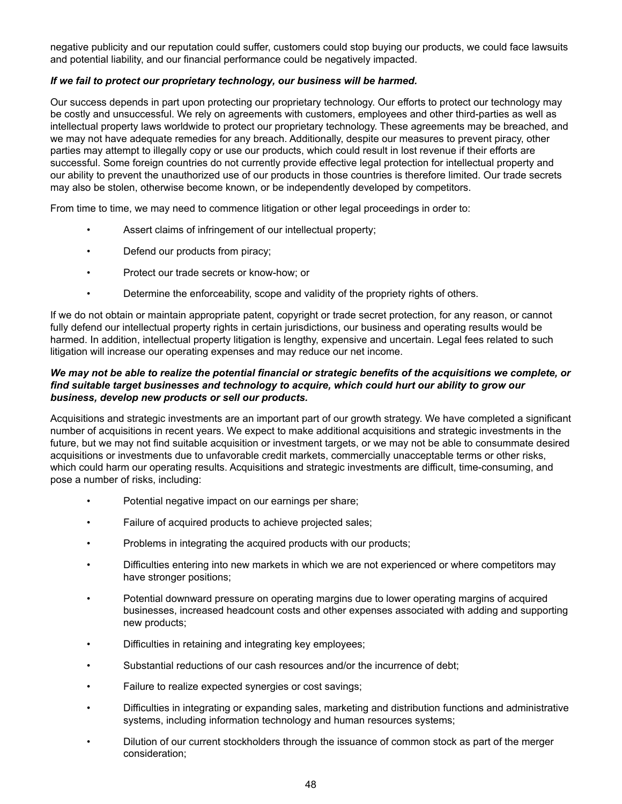negative publicity and our reputation could suffer, customers could stop buying our products, we could face lawsuits and potential liability, and our financial performance could be negatively impacted.

## *If we fail to protect our proprietary technology, our business will be harmed.*

Our success depends in part upon protecting our proprietary technology. Our efforts to protect our technology may be costly and unsuccessful. We rely on agreements with customers, employees and other third-parties as well as intellectual property laws worldwide to protect our proprietary technology. These agreements may be breached, and we may not have adequate remedies for any breach. Additionally, despite our measures to prevent piracy, other parties may attempt to illegally copy or use our products, which could result in lost revenue if their efforts are successful. Some foreign countries do not currently provide effective legal protection for intellectual property and our ability to prevent the unauthorized use of our products in those countries is therefore limited. Our trade secrets may also be stolen, otherwise become known, or be independently developed by competitors.

From time to time, we may need to commence litigation or other legal proceedings in order to:

- Assert claims of infringement of our intellectual property;
- Defend our products from piracy;
- Protect our trade secrets or know-how; or
- Determine the enforceability, scope and validity of the propriety rights of others.

If we do not obtain or maintain appropriate patent, copyright or trade secret protection, for any reason, or cannot fully defend our intellectual property rights in certain jurisdictions, our business and operating results would be harmed. In addition, intellectual property litigation is lengthy, expensive and uncertain. Legal fees related to such litigation will increase our operating expenses and may reduce our net income.

#### *We may not be able to realize the potential financial or strategic benefits of the acquisitions we complete, or find suitable target businesses and technology to acquire, which could hurt our ability to grow our business, develop new products or sell our products.*

Acquisitions and strategic investments are an important part of our growth strategy. We have completed a significant number of acquisitions in recent years. We expect to make additional acquisitions and strategic investments in the future, but we may not find suitable acquisition or investment targets, or we may not be able to consummate desired acquisitions or investments due to unfavorable credit markets, commercially unacceptable terms or other risks, which could harm our operating results. Acquisitions and strategic investments are difficult, time-consuming, and pose a number of risks, including:

- Potential negative impact on our earnings per share;
- Failure of acquired products to achieve projected sales;
- Problems in integrating the acquired products with our products;
- Difficulties entering into new markets in which we are not experienced or where competitors may have stronger positions;
- Potential downward pressure on operating margins due to lower operating margins of acquired businesses, increased headcount costs and other expenses associated with adding and supporting new products;
- Difficulties in retaining and integrating key employees;
- Substantial reductions of our cash resources and/or the incurrence of debt;
- Failure to realize expected synergies or cost savings;
- Difficulties in integrating or expanding sales, marketing and distribution functions and administrative systems, including information technology and human resources systems;
- Dilution of our current stockholders through the issuance of common stock as part of the merger consideration;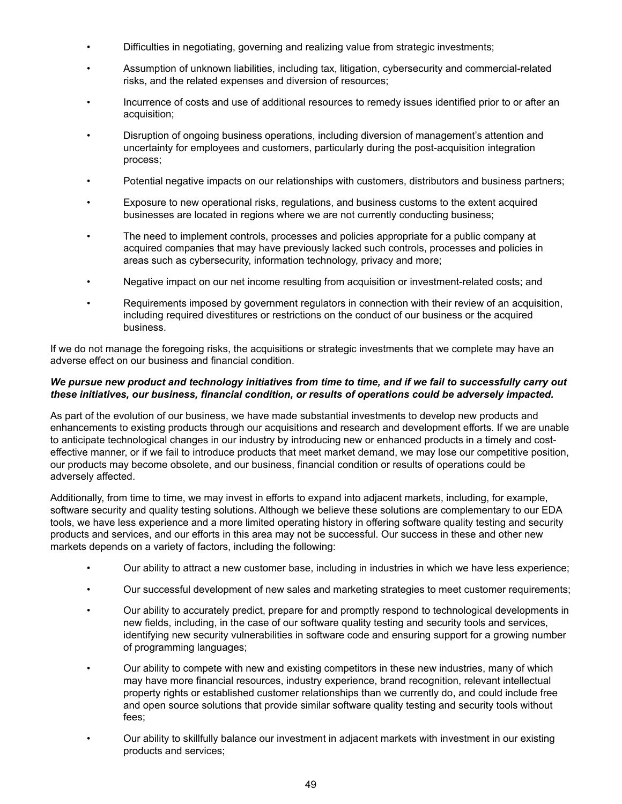- Difficulties in negotiating, governing and realizing value from strategic investments;
- Assumption of unknown liabilities, including tax, litigation, cybersecurity and commercial-related risks, and the related expenses and diversion of resources;
- Incurrence of costs and use of additional resources to remedy issues identified prior to or after an acquisition;
- Disruption of ongoing business operations, including diversion of management's attention and uncertainty for employees and customers, particularly during the post-acquisition integration process;
- Potential negative impacts on our relationships with customers, distributors and business partners;
- Exposure to new operational risks, regulations, and business customs to the extent acquired businesses are located in regions where we are not currently conducting business;
- The need to implement controls, processes and policies appropriate for a public company at acquired companies that may have previously lacked such controls, processes and policies in areas such as cybersecurity, information technology, privacy and more;
- Negative impact on our net income resulting from acquisition or investment-related costs; and
- Requirements imposed by government regulators in connection with their review of an acquisition, including required divestitures or restrictions on the conduct of our business or the acquired business.

If we do not manage the foregoing risks, the acquisitions or strategic investments that we complete may have an adverse effect on our business and financial condition.

#### *We pursue new product and technology initiatives from time to time, and if we fail to successfully carry out these initiatives, our business, financial condition, or results of operations could be adversely impacted.*

As part of the evolution of our business, we have made substantial investments to develop new products and enhancements to existing products through our acquisitions and research and development efforts. If we are unable to anticipate technological changes in our industry by introducing new or enhanced products in a timely and costeffective manner, or if we fail to introduce products that meet market demand, we may lose our competitive position, our products may become obsolete, and our business, financial condition or results of operations could be adversely affected.

Additionally, from time to time, we may invest in efforts to expand into adjacent markets, including, for example, software security and quality testing solutions. Although we believe these solutions are complementary to our EDA tools, we have less experience and a more limited operating history in offering software quality testing and security products and services, and our efforts in this area may not be successful. Our success in these and other new markets depends on a variety of factors, including the following:

- Our ability to attract a new customer base, including in industries in which we have less experience;
- Our successful development of new sales and marketing strategies to meet customer requirements;
- Our ability to accurately predict, prepare for and promptly respond to technological developments in new fields, including, in the case of our software quality testing and security tools and services, identifying new security vulnerabilities in software code and ensuring support for a growing number of programming languages;
- Our ability to compete with new and existing competitors in these new industries, many of which may have more financial resources, industry experience, brand recognition, relevant intellectual property rights or established customer relationships than we currently do, and could include free and open source solutions that provide similar software quality testing and security tools without fees;
- Our ability to skillfully balance our investment in adjacent markets with investment in our existing products and services;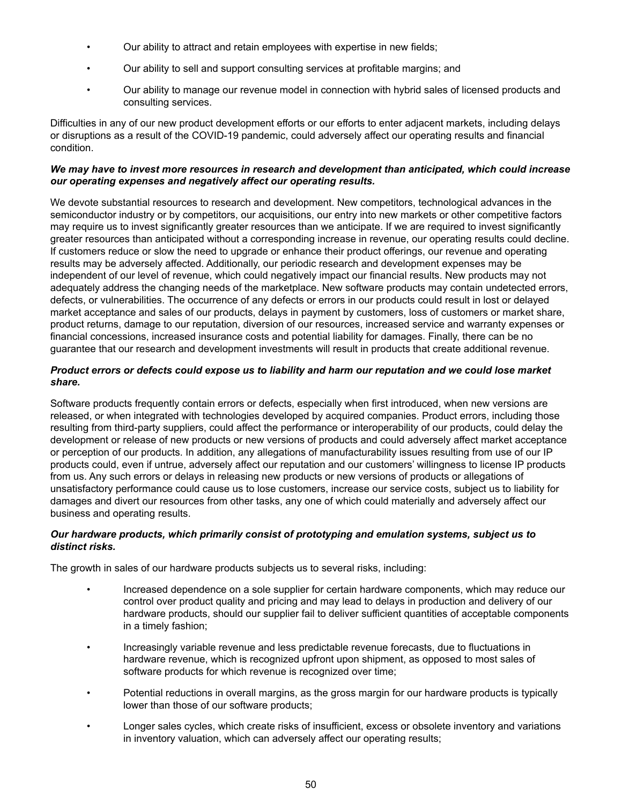- Our ability to attract and retain employees with expertise in new fields;
- Our ability to sell and support consulting services at profitable margins; and
- Our ability to manage our revenue model in connection with hybrid sales of licensed products and consulting services.

Difficulties in any of our new product development efforts or our efforts to enter adjacent markets, including delays or disruptions as a result of the COVID-19 pandemic, could adversely affect our operating results and financial condition.

## *We may have to invest more resources in research and development than anticipated, which could increase our operating expenses and negatively affect our operating results.*

We devote substantial resources to research and development. New competitors, technological advances in the semiconductor industry or by competitors, our acquisitions, our entry into new markets or other competitive factors may require us to invest significantly greater resources than we anticipate. If we are required to invest significantly greater resources than anticipated without a corresponding increase in revenue, our operating results could decline. If customers reduce or slow the need to upgrade or enhance their product offerings, our revenue and operating results may be adversely affected. Additionally, our periodic research and development expenses may be independent of our level of revenue, which could negatively impact our financial results. New products may not adequately address the changing needs of the marketplace. New software products may contain undetected errors, defects, or vulnerabilities. The occurrence of any defects or errors in our products could result in lost or delayed market acceptance and sales of our products, delays in payment by customers, loss of customers or market share, product returns, damage to our reputation, diversion of our resources, increased service and warranty expenses or financial concessions, increased insurance costs and potential liability for damages. Finally, there can be no guarantee that our research and development investments will result in products that create additional revenue.

## *Product errors or defects could expose us to liability and harm our reputation and we could lose market share.*

Software products frequently contain errors or defects, especially when first introduced, when new versions are released, or when integrated with technologies developed by acquired companies. Product errors, including those resulting from third-party suppliers, could affect the performance or interoperability of our products, could delay the development or release of new products or new versions of products and could adversely affect market acceptance or perception of our products. In addition, any allegations of manufacturability issues resulting from use of our IP products could, even if untrue, adversely affect our reputation and our customers' willingness to license IP products from us. Any such errors or delays in releasing new products or new versions of products or allegations of unsatisfactory performance could cause us to lose customers, increase our service costs, subject us to liability for damages and divert our resources from other tasks, any one of which could materially and adversely affect our business and operating results.

#### *Our hardware products, which primarily consist of prototyping and emulation systems, subject us to distinct risks.*

The growth in sales of our hardware products subjects us to several risks, including:

- Increased dependence on a sole supplier for certain hardware components, which may reduce our control over product quality and pricing and may lead to delays in production and delivery of our hardware products, should our supplier fail to deliver sufficient quantities of acceptable components in a timely fashion;
- Increasingly variable revenue and less predictable revenue forecasts, due to fluctuations in hardware revenue, which is recognized upfront upon shipment, as opposed to most sales of software products for which revenue is recognized over time;
- Potential reductions in overall margins, as the gross margin for our hardware products is typically lower than those of our software products;
- Longer sales cycles, which create risks of insufficient, excess or obsolete inventory and variations in inventory valuation, which can adversely affect our operating results;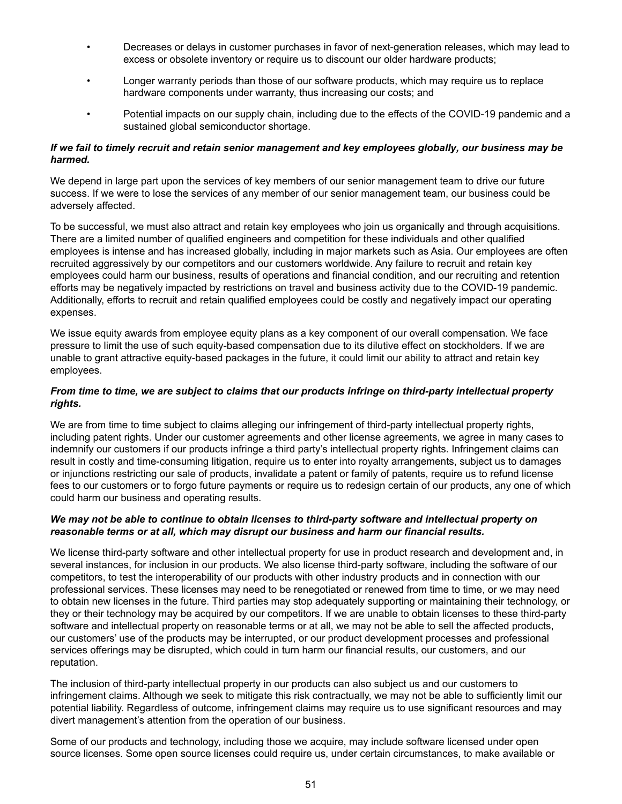- Decreases or delays in customer purchases in favor of next-generation releases, which may lead to excess or obsolete inventory or require us to discount our older hardware products;
- Longer warranty periods than those of our software products, which may require us to replace hardware components under warranty, thus increasing our costs; and
- Potential impacts on our supply chain, including due to the effects of the COVID-19 pandemic and a sustained global semiconductor shortage.

#### *If we fail to timely recruit and retain senior management and key employees globally, our business may be harmed.*

We depend in large part upon the services of key members of our senior management team to drive our future success. If we were to lose the services of any member of our senior management team, our business could be adversely affected.

To be successful, we must also attract and retain key employees who join us organically and through acquisitions. There are a limited number of qualified engineers and competition for these individuals and other qualified employees is intense and has increased globally, including in major markets such as Asia. Our employees are often recruited aggressively by our competitors and our customers worldwide. Any failure to recruit and retain key employees could harm our business, results of operations and financial condition, and our recruiting and retention efforts may be negatively impacted by restrictions on travel and business activity due to the COVID-19 pandemic. Additionally, efforts to recruit and retain qualified employees could be costly and negatively impact our operating expenses.

We issue equity awards from employee equity plans as a key component of our overall compensation. We face pressure to limit the use of such equity-based compensation due to its dilutive effect on stockholders. If we are unable to grant attractive equity-based packages in the future, it could limit our ability to attract and retain key employees.

## *From time to time, we are subject to claims that our products infringe on third-party intellectual property rights.*

We are from time to time subject to claims alleging our infringement of third-party intellectual property rights, including patent rights. Under our customer agreements and other license agreements, we agree in many cases to indemnify our customers if our products infringe a third party's intellectual property rights. Infringement claims can result in costly and time-consuming litigation, require us to enter into royalty arrangements, subject us to damages or injunctions restricting our sale of products, invalidate a patent or family of patents, require us to refund license fees to our customers or to forgo future payments or require us to redesign certain of our products, any one of which could harm our business and operating results.

#### *We may not be able to continue to obtain licenses to third-party software and intellectual property on reasonable terms or at all, which may disrupt our business and harm our financial results.*

We license third-party software and other intellectual property for use in product research and development and, in several instances, for inclusion in our products. We also license third-party software, including the software of our competitors, to test the interoperability of our products with other industry products and in connection with our professional services. These licenses may need to be renegotiated or renewed from time to time, or we may need to obtain new licenses in the future. Third parties may stop adequately supporting or maintaining their technology, or they or their technology may be acquired by our competitors. If we are unable to obtain licenses to these third-party software and intellectual property on reasonable terms or at all, we may not be able to sell the affected products, our customers' use of the products may be interrupted, or our product development processes and professional services offerings may be disrupted, which could in turn harm our financial results, our customers, and our reputation.

The inclusion of third-party intellectual property in our products can also subject us and our customers to infringement claims. Although we seek to mitigate this risk contractually, we may not be able to sufficiently limit our potential liability. Regardless of outcome, infringement claims may require us to use significant resources and may divert management's attention from the operation of our business.

Some of our products and technology, including those we acquire, may include software licensed under open source licenses. Some open source licenses could require us, under certain circumstances, to make available or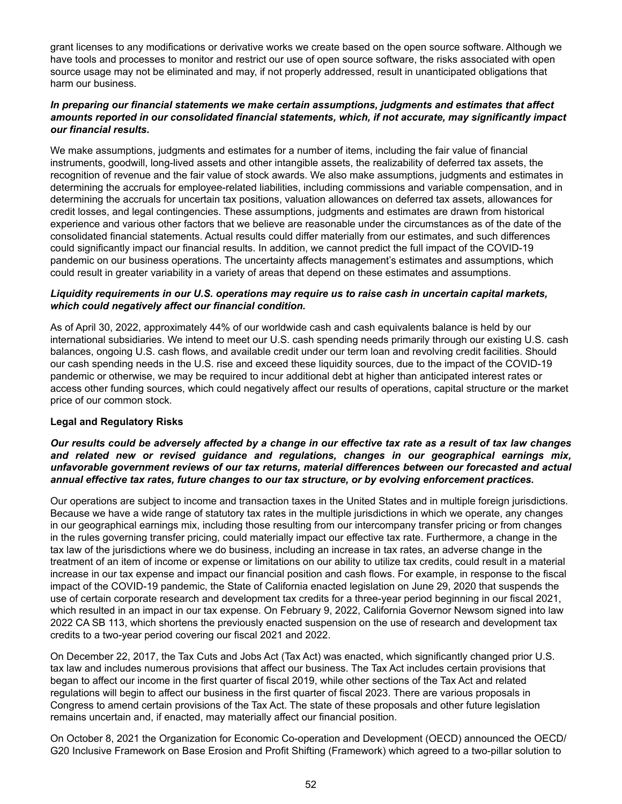grant licenses to any modifications or derivative works we create based on the open source software. Although we have tools and processes to monitor and restrict our use of open source software, the risks associated with open source usage may not be eliminated and may, if not properly addressed, result in unanticipated obligations that harm our business.

#### *In preparing our financial statements we make certain assumptions, judgments and estimates that affect amounts reported in our consolidated financial statements, which, if not accurate, may significantly impact our financial results.*

We make assumptions, judgments and estimates for a number of items, including the fair value of financial instruments, goodwill, long-lived assets and other intangible assets, the realizability of deferred tax assets, the recognition of revenue and the fair value of stock awards. We also make assumptions, judgments and estimates in determining the accruals for employee-related liabilities, including commissions and variable compensation, and in determining the accruals for uncertain tax positions, valuation allowances on deferred tax assets, allowances for credit losses, and legal contingencies. These assumptions, judgments and estimates are drawn from historical experience and various other factors that we believe are reasonable under the circumstances as of the date of the consolidated financial statements. Actual results could differ materially from our estimates, and such differences could significantly impact our financial results. In addition, we cannot predict the full impact of the COVID-19 pandemic on our business operations. The uncertainty affects management's estimates and assumptions, which could result in greater variability in a variety of areas that depend on these estimates and assumptions.

## *Liquidity requirements in our U.S. operations may require us to raise cash in uncertain capital markets, which could negatively affect our financial condition.*

As of April 30, 2022, approximately 44% of our worldwide cash and cash equivalents balance is held by our international subsidiaries. We intend to meet our U.S. cash spending needs primarily through our existing U.S. cash balances, ongoing U.S. cash flows, and available credit under our term loan and revolving credit facilities. Should our cash spending needs in the U.S. rise and exceed these liquidity sources, due to the impact of the COVID-19 pandemic or otherwise, we may be required to incur additional debt at higher than anticipated interest rates or access other funding sources, which could negatively affect our results of operations, capital structure or the market price of our common stock.

## **Legal and Regulatory Risks**

#### *Our results could be adversely affected by a change in our effective tax rate as a result of tax law changes and related new or revised guidance and regulations, changes in our geographical earnings mix, unfavorable government reviews of our tax returns, material differences between our forecasted and actual annual effective tax rates, future changes to our tax structure, or by evolving enforcement practices.*

Our operations are subject to income and transaction taxes in the United States and in multiple foreign jurisdictions. Because we have a wide range of statutory tax rates in the multiple jurisdictions in which we operate, any changes in our geographical earnings mix, including those resulting from our intercompany transfer pricing or from changes in the rules governing transfer pricing, could materially impact our effective tax rate. Furthermore, a change in the tax law of the jurisdictions where we do business, including an increase in tax rates, an adverse change in the treatment of an item of income or expense or limitations on our ability to utilize tax credits, could result in a material increase in our tax expense and impact our financial position and cash flows. For example, in response to the fiscal impact of the COVID-19 pandemic, the State of California enacted legislation on June 29, 2020 that suspends the use of certain corporate research and development tax credits for a three-year period beginning in our fiscal 2021, which resulted in an impact in our tax expense. On February 9, 2022, California Governor Newsom signed into law 2022 CA SB 113, which shortens the previously enacted suspension on the use of research and development tax credits to a two-year period covering our fiscal 2021 and 2022.

On December 22, 2017, the Tax Cuts and Jobs Act (Tax Act) was enacted, which significantly changed prior U.S. tax law and includes numerous provisions that affect our business. The Tax Act includes certain provisions that began to affect our income in the first quarter of fiscal 2019, while other sections of the Tax Act and related regulations will begin to affect our business in the first quarter of fiscal 2023. There are various proposals in Congress to amend certain provisions of the Tax Act. The state of these proposals and other future legislation remains uncertain and, if enacted, may materially affect our financial position.

On October 8, 2021 the Organization for Economic Co-operation and Development (OECD) announced the OECD/ G20 Inclusive Framework on Base Erosion and Profit Shifting (Framework) which agreed to a two-pillar solution to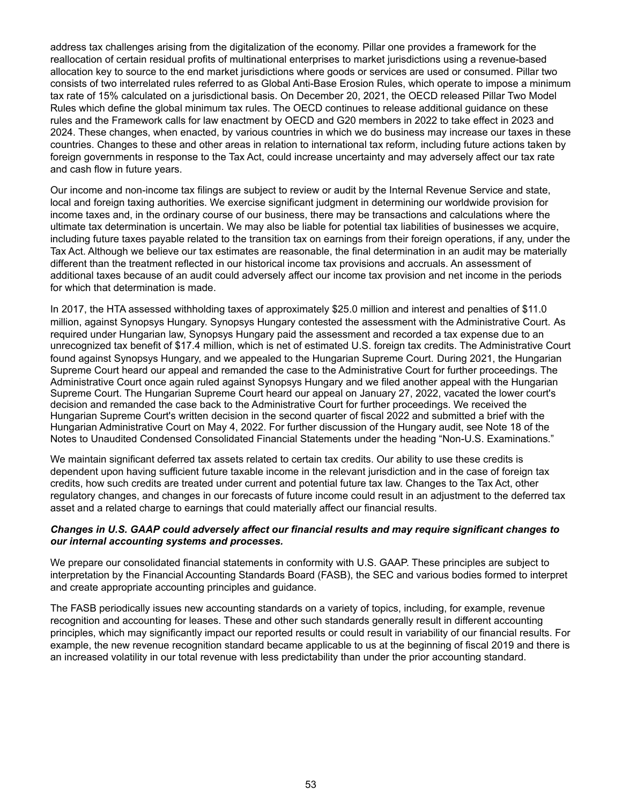address tax challenges arising from the digitalization of the economy. Pillar one provides a framework for the reallocation of certain residual profits of multinational enterprises to market jurisdictions using a revenue-based allocation key to source to the end market jurisdictions where goods or services are used or consumed. Pillar two consists of two interrelated rules referred to as Global Anti-Base Erosion Rules, which operate to impose a minimum tax rate of 15% calculated on a jurisdictional basis. On December 20, 2021, the OECD released Pillar Two Model Rules which define the global minimum tax rules. The OECD continues to release additional guidance on these rules and the Framework calls for law enactment by OECD and G20 members in 2022 to take effect in 2023 and 2024. These changes, when enacted, by various countries in which we do business may increase our taxes in these countries. Changes to these and other areas in relation to international tax reform, including future actions taken by foreign governments in response to the Tax Act, could increase uncertainty and may adversely affect our tax rate and cash flow in future years.

Our income and non-income tax filings are subject to review or audit by the Internal Revenue Service and state, local and foreign taxing authorities. We exercise significant judgment in determining our worldwide provision for income taxes and, in the ordinary course of our business, there may be transactions and calculations where the ultimate tax determination is uncertain. We may also be liable for potential tax liabilities of businesses we acquire, including future taxes payable related to the transition tax on earnings from their foreign operations, if any, under the Tax Act. Although we believe our tax estimates are reasonable, the final determination in an audit may be materially different than the treatment reflected in our historical income tax provisions and accruals. An assessment of additional taxes because of an audit could adversely affect our income tax provision and net income in the periods for which that determination is made.

In 2017, the HTA assessed withholding taxes of approximately \$25.0 million and interest and penalties of \$11.0 million, against Synopsys Hungary. Synopsys Hungary contested the assessment with the Administrative Court. As required under Hungarian law, Synopsys Hungary paid the assessment and recorded a tax expense due to an unrecognized tax benefit of \$17.4 million, which is net of estimated U.S. foreign tax credits. The Administrative Court found against Synopsys Hungary, and we appealed to the Hungarian Supreme Court. During 2021, the Hungarian Supreme Court heard our appeal and remanded the case to the Administrative Court for further proceedings. The Administrative Court once again ruled against Synopsys Hungary and we filed another appeal with the Hungarian Supreme Court. The Hungarian Supreme Court heard our appeal on January 27, 2022, vacated the lower court's decision and remanded the case back to the Administrative Court for further proceedings. We received the Hungarian Supreme Court's written decision in the second quarter of fiscal 2022 and submitted a brief with the Hungarian Administrative Court on May 4, 2022. For further discussion of the Hungary audit, see Note 18 of the Notes to Unaudited Condensed Consolidated Financial Statements under the heading "Non-U.S. Examinations."

We maintain significant deferred tax assets related to certain tax credits. Our ability to use these credits is dependent upon having sufficient future taxable income in the relevant jurisdiction and in the case of foreign tax credits, how such credits are treated under current and potential future tax law. Changes to the Tax Act, other regulatory changes, and changes in our forecasts of future income could result in an adjustment to the deferred tax asset and a related charge to earnings that could materially affect our financial results.

#### *Changes in U.S. GAAP could adversely affect our financial results and may require significant changes to our internal accounting systems and processes.*

We prepare our consolidated financial statements in conformity with U.S. GAAP. These principles are subject to interpretation by the Financial Accounting Standards Board (FASB), the SEC and various bodies formed to interpret and create appropriate accounting principles and guidance.

The FASB periodically issues new accounting standards on a variety of topics, including, for example, revenue recognition and accounting for leases. These and other such standards generally result in different accounting principles, which may significantly impact our reported results or could result in variability of our financial results. For example, the new revenue recognition standard became applicable to us at the beginning of fiscal 2019 and there is an increased volatility in our total revenue with less predictability than under the prior accounting standard.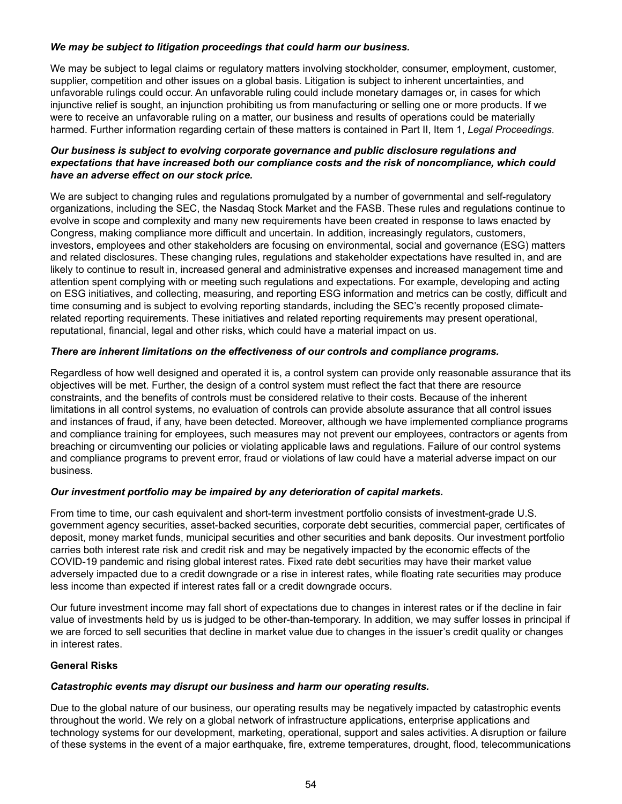## *We may be subject to litigation proceedings that could harm our business.*

We may be subject to legal claims or regulatory matters involving stockholder, consumer, employment, customer, supplier, competition and other issues on a global basis. Litigation is subject to inherent uncertainties, and unfavorable rulings could occur. An unfavorable ruling could include monetary damages or, in cases for which injunctive relief is sought, an injunction prohibiting us from manufacturing or selling one or more products. If we were to receive an unfavorable ruling on a matter, our business and results of operations could be materially harmed. Further information regarding certain of these matters is contained in Part II, Item 1, *Legal Proceedings*.

## *Our business is subject to evolving corporate governance and public disclosure regulations and expectations that have increased both our compliance costs and the risk of noncompliance, which could have an adverse effect on our stock price.*

We are subject to changing rules and regulations promulgated by a number of governmental and self-regulatory organizations, including the SEC, the Nasdaq Stock Market and the FASB. These rules and regulations continue to evolve in scope and complexity and many new requirements have been created in response to laws enacted by Congress, making compliance more difficult and uncertain. In addition, increasingly regulators, customers, investors, employees and other stakeholders are focusing on environmental, social and governance (ESG) matters and related disclosures. These changing rules, regulations and stakeholder expectations have resulted in, and are likely to continue to result in, increased general and administrative expenses and increased management time and attention spent complying with or meeting such regulations and expectations. For example, developing and acting on ESG initiatives, and collecting, measuring, and reporting ESG information and metrics can be costly, difficult and time consuming and is subject to evolving reporting standards, including the SEC's recently proposed climaterelated reporting requirements. These initiatives and related reporting requirements may present operational, reputational, financial, legal and other risks, which could have a material impact on us.

## *There are inherent limitations on the effectiveness of our controls and compliance programs.*

Regardless of how well designed and operated it is, a control system can provide only reasonable assurance that its objectives will be met. Further, the design of a control system must reflect the fact that there are resource constraints, and the benefits of controls must be considered relative to their costs. Because of the inherent limitations in all control systems, no evaluation of controls can provide absolute assurance that all control issues and instances of fraud, if any, have been detected. Moreover, although we have implemented compliance programs and compliance training for employees, such measures may not prevent our employees, contractors or agents from breaching or circumventing our policies or violating applicable laws and regulations. Failure of our control systems and compliance programs to prevent error, fraud or violations of law could have a material adverse impact on our business.

## *Our investment portfolio may be impaired by any deterioration of capital markets.*

From time to time, our cash equivalent and short-term investment portfolio consists of investment-grade U.S. government agency securities, asset-backed securities, corporate debt securities, commercial paper, certificates of deposit, money market funds, municipal securities and other securities and bank deposits. Our investment portfolio carries both interest rate risk and credit risk and may be negatively impacted by the economic effects of the COVID-19 pandemic and rising global interest rates. Fixed rate debt securities may have their market value adversely impacted due to a credit downgrade or a rise in interest rates, while floating rate securities may produce less income than expected if interest rates fall or a credit downgrade occurs.

Our future investment income may fall short of expectations due to changes in interest rates or if the decline in fair value of investments held by us is judged to be other-than-temporary. In addition, we may suffer losses in principal if we are forced to sell securities that decline in market value due to changes in the issuer's credit quality or changes in interest rates.

## **General Risks**

# *Catastrophic events may disrupt our business and harm our operating results.*

Due to the global nature of our business, our operating results may be negatively impacted by catastrophic events throughout the world. We rely on a global network of infrastructure applications, enterprise applications and technology systems for our development, marketing, operational, support and sales activities. A disruption or failure of these systems in the event of a major earthquake, fire, extreme temperatures, drought, flood, telecommunications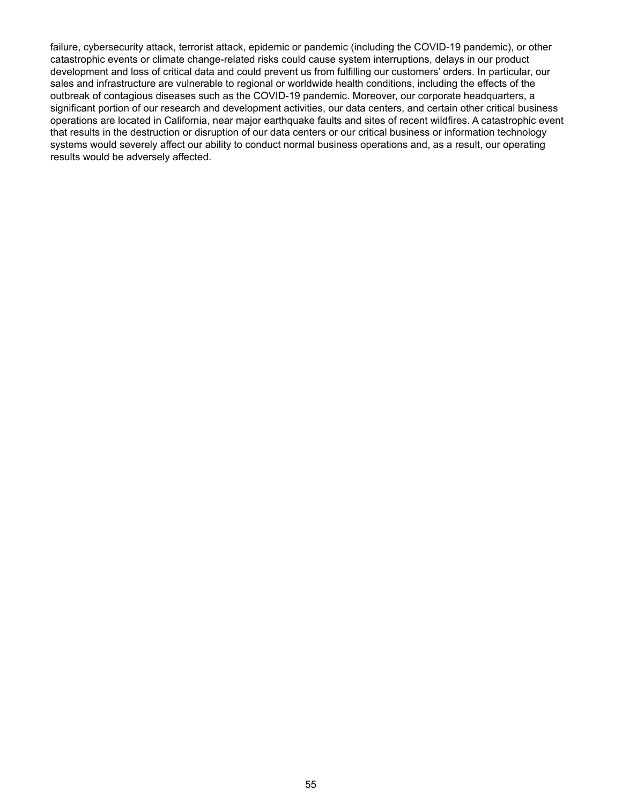failure, cybersecurity attack, terrorist attack, epidemic or pandemic (including the COVID-19 pandemic), or other catastrophic events or climate change-related risks could cause system interruptions, delays in our product development and loss of critical data and could prevent us from fulfilling our customers' orders. In particular, our sales and infrastructure are vulnerable to regional or worldwide health conditions, including the effects of the outbreak of contagious diseases such as the COVID-19 pandemic. Moreover, our corporate headquarters, a significant portion of our research and development activities, our data centers, and certain other critical business operations are located in California, near major earthquake faults and sites of recent wildfires. A catastrophic event that results in the destruction or disruption of our data centers or our critical business or information technology systems would severely affect our ability to conduct normal business operations and, as a result, our operating results would be adversely affected.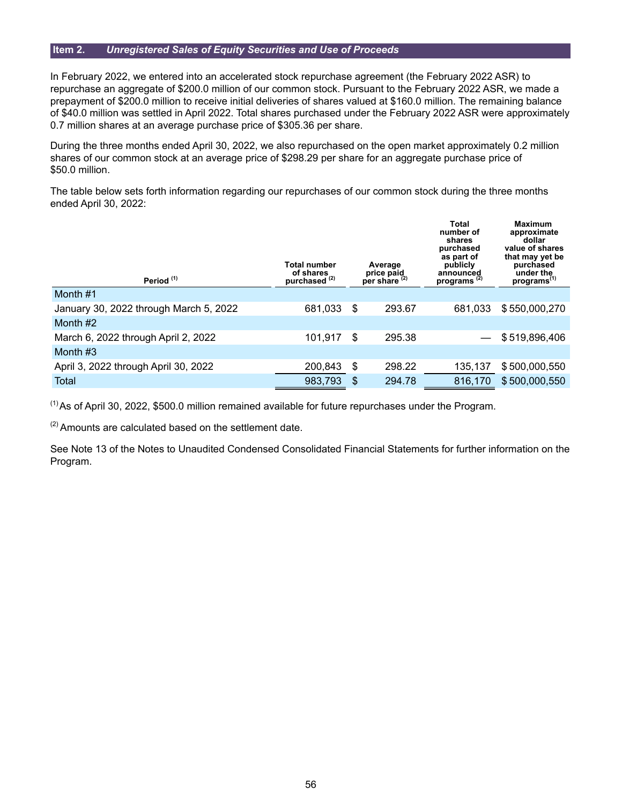#### <span id="page-57-0"></span>**Item 2.** *Unregistered Sales of Equity Securities and Use of Proceeds*

In February 2022, we entered into an accelerated stock repurchase agreement (the February 2022 ASR) to repurchase an aggregate of \$200.0 million of our common stock. Pursuant to the February 2022 ASR, we made a prepayment of \$200.0 million to receive initial deliveries of shares valued at \$160.0 million. The remaining balance of \$40.0 million was settled in April 2022. Total shares purchased under the February 2022 ASR were approximately 0.7 million shares at an average purchase price of \$305.36 per share.

During the three months ended April 30, 2022, we also repurchased on the open market approximately 0.2 million shares of our common stock at an average price of \$298.29 per share for an aggregate purchase price of \$50.0 million.

The table below sets forth information regarding our repurchases of our common stock during the three months ended April 30, 2022:

| Period <sup>(1)</sup>                  | Total number<br>of shares<br>purchased <sup>(2)</sup> | Average<br>price paid<br>per share <sup>(2)</sup> |        | Total<br>number of<br>shares<br>purchased<br>as part of<br>publicly<br>announced<br>programs <sup>(2)</sup> | <b>Maximum</b><br>approximate<br>dollar<br>value of shares<br>that may yet be<br>purchased<br>under the<br>programs <sup>(1)</sup> |
|----------------------------------------|-------------------------------------------------------|---------------------------------------------------|--------|-------------------------------------------------------------------------------------------------------------|------------------------------------------------------------------------------------------------------------------------------------|
| Month #1                               |                                                       |                                                   |        |                                                                                                             |                                                                                                                                    |
| January 30, 2022 through March 5, 2022 | 681,033                                               | S                                                 | 293.67 | 681,033                                                                                                     | \$550,000,270                                                                                                                      |
| Month #2                               |                                                       |                                                   |        |                                                                                                             |                                                                                                                                    |
| March 6, 2022 through April 2, 2022    | 101,917                                               | \$                                                | 295.38 |                                                                                                             | \$519,896,406                                                                                                                      |
| Month #3                               |                                                       |                                                   |        |                                                                                                             |                                                                                                                                    |
| April 3, 2022 through April 30, 2022   | 200,843                                               | \$                                                | 298.22 | 135.137                                                                                                     | \$500,000,550                                                                                                                      |
| Total                                  | 983,793                                               | \$                                                | 294.78 | 816,170                                                                                                     | \$500,000,550                                                                                                                      |

 $<sup>(1)</sup>$ As of April 30, 2022, \$500.0 million remained available for future repurchases under the Program.</sup>

 $(2)$  Amounts are calculated based on the settlement date.

See Note 13 of the Notes to Unaudited Condensed Consolidated Financial Statements for further information on the Program.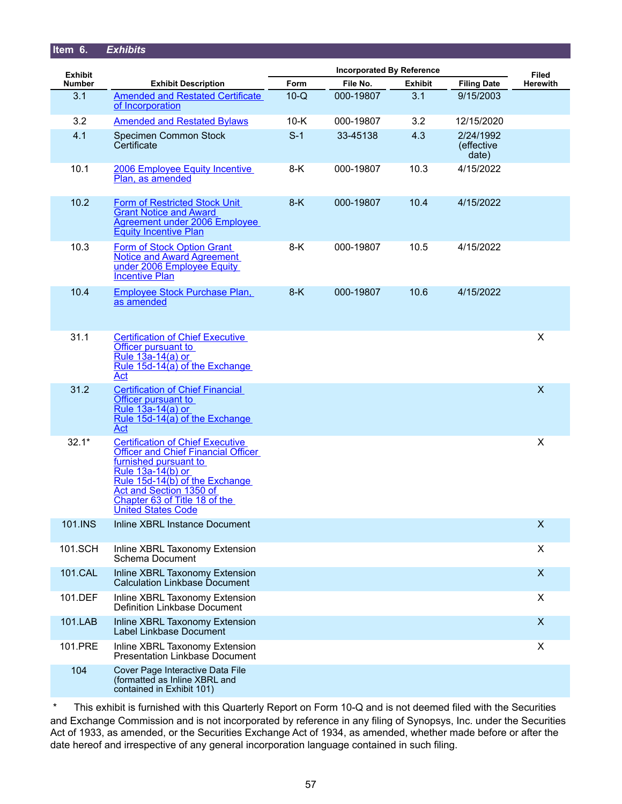<span id="page-58-0"></span>

| Item 6.                         | <b>Exhibits</b>                                                                                                                                                                                                                                                  |          |                                  |                |                                  |                           |
|---------------------------------|------------------------------------------------------------------------------------------------------------------------------------------------------------------------------------------------------------------------------------------------------------------|----------|----------------------------------|----------------|----------------------------------|---------------------------|
|                                 |                                                                                                                                                                                                                                                                  |          | <b>Incorporated By Reference</b> |                |                                  |                           |
| <b>Exhibit</b><br><b>Number</b> | <b>Exhibit Description</b>                                                                                                                                                                                                                                       | Form     | File No.                         | <b>Exhibit</b> | <b>Filing Date</b>               | Filed<br><b>Herewith</b>  |
| 3.1                             | <b>Amended and Restated Certificate</b><br>of Incorporation                                                                                                                                                                                                      | $10 - Q$ | 000-19807                        | 3.1            | 9/15/2003                        |                           |
| 3.2                             | <b>Amended and Restated Bylaws</b>                                                                                                                                                                                                                               | $10-K$   | 000-19807                        | 3.2            | 12/15/2020                       |                           |
| 4.1                             | Specimen Common Stock<br>Certificate                                                                                                                                                                                                                             | $S-1$    | 33-45138                         | 4.3            | 2/24/1992<br>(effective<br>date) |                           |
| 10.1                            | 2006 Employee Equity Incentive<br>Plan, as amended                                                                                                                                                                                                               | $8-K$    | 000-19807                        | 10.3           | 4/15/2022                        |                           |
| 10.2                            | Form of Restricted Stock Unit<br><b>Grant Notice and Award</b><br><b>Agreement under 2006 Employee</b><br><b>Equity Incentive Plan</b>                                                                                                                           | $8-K$    | 000-19807                        | 10.4           | 4/15/2022                        |                           |
| 10.3                            | Form of Stock Option Grant<br>Notice and Award Agreement<br>under 2006 Employee Equity<br><b>Incentive Plan</b>                                                                                                                                                  | $8-K$    | 000-19807                        | 10.5           | 4/15/2022                        |                           |
| 10.4                            | Employee Stock Purchase Plan,<br>as amended                                                                                                                                                                                                                      | $8-K$    | 000-19807                        | 10.6           | 4/15/2022                        |                           |
| 31.1                            | <b>Certification of Chief Executive</b><br>Officer pursuant to<br>Rule $13a-14(a)$ or<br>Rule $15d-14(a)$ of the Exchange<br>Act                                                                                                                                 |          |                                  |                |                                  | X                         |
| 31.2                            | <b>Certification of Chief Financial</b><br>Officer pursuant to<br>Rule $13a-14(a)$ or<br>Rule $15d-14(a)$ of the Exchange<br>Act                                                                                                                                 |          |                                  |                |                                  | $\boldsymbol{\mathsf{X}}$ |
| $32.1*$                         | <b>Certification of Chief Executive</b><br><b>Officer and Chief Financial Officer</b><br>furnished pursuant to<br>Rule $13a-14(b)$ or<br>Rule 15d-14(b) of the Exchange<br>Act and Section 1350 of<br>Chapter 63 of Title 18 of the<br><b>United States Code</b> |          |                                  |                |                                  | X                         |
| 101.INS                         | Inline XBRL Instance Document                                                                                                                                                                                                                                    |          |                                  |                |                                  | $\boldsymbol{\mathsf{X}}$ |
| 101.SCH                         | Inline XBRL Taxonomy Extension<br>Schema Document                                                                                                                                                                                                                |          |                                  |                |                                  | X                         |
| 101.CAL                         | Inline XBRL Taxonomy Extension<br><b>Calculation Linkbase Document</b>                                                                                                                                                                                           |          |                                  |                |                                  | X                         |
| 101.DEF                         | Inline XBRL Taxonomy Extension<br><b>Definition Linkbase Document</b>                                                                                                                                                                                            |          |                                  |                |                                  | X                         |
| 101.LAB                         | Inline XBRL Taxonomy Extension<br>Label Linkbase Document                                                                                                                                                                                                        |          |                                  |                |                                  | X                         |
| 101.PRE                         | Inline XBRL Taxonomy Extension<br><b>Presentation Linkbase Document</b>                                                                                                                                                                                          |          |                                  |                |                                  | X                         |
| 104                             | Cover Page Interactive Data File<br>(formatted as Inline XBRL and<br>contained in Exhibit 101)                                                                                                                                                                   |          |                                  |                |                                  |                           |

 \* This exhibit is furnished with this Quarterly Report on Form 10-Q and is not deemed filed with the Securities and Exchange Commission and is not incorporated by reference in any filing of Synopsys, Inc. under the Securities Act of 1933, as amended, or the Securities Exchange Act of 1934, as amended, whether made before or after the date hereof and irrespective of any general incorporation language contained in such filing.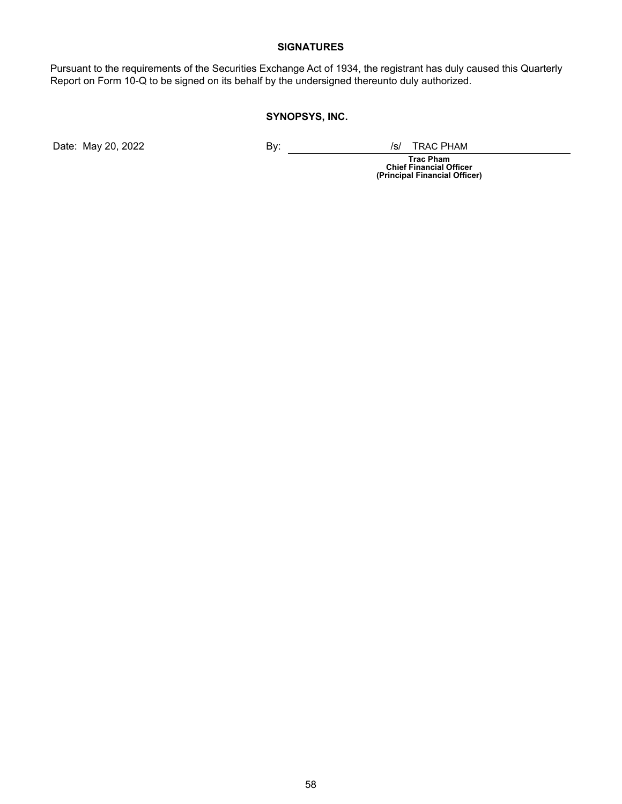## **SIGNATURES**

<span id="page-59-0"></span>Pursuant to the requirements of the Securities Exchange Act of 1934, the registrant has duly caused this Quarterly Report on Form 10-Q to be signed on its behalf by the undersigned thereunto duly authorized.

#### **SYNOPSYS, INC.**

Date: May 20, 2022 **By:** By: *Islamic By:* By: *Islamic By: Islamic PHAM* 

**Trac Pham Chief Financial Officer (Principal Financial Officer)**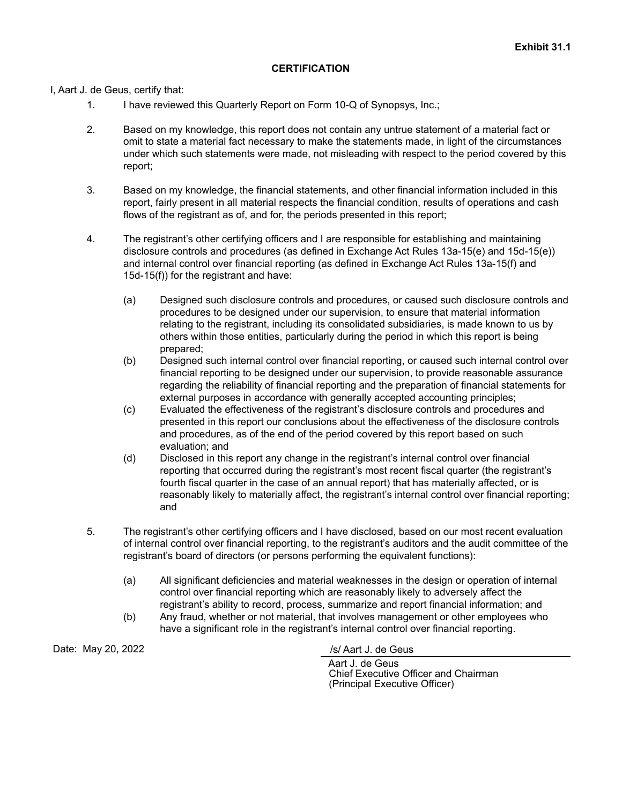## **CERTIFICATION**

<span id="page-60-0"></span>I, Aart J. de Geus, certify that:

- 1. I have reviewed this Quarterly Report on Form 10-Q of Synopsys, Inc.;
- 2. Based on my knowledge, this report does not contain any untrue statement of a material fact or omit to state a material fact necessary to make the statements made, in light of the circumstances under which such statements were made, not misleading with respect to the period covered by this report;
- 3. Based on my knowledge, the financial statements, and other financial information included in this report, fairly present in all material respects the financial condition, results of operations and cash flows of the registrant as of, and for, the periods presented in this report;
- 4. The registrant's other certifying officers and I are responsible for establishing and maintaining disclosure controls and procedures (as defined in Exchange Act Rules 13a-15(e) and 15d-15(e)) and internal control over financial reporting (as defined in Exchange Act Rules 13a-15(f) and 15d-15(f)) for the registrant and have:
	- (a) Designed such disclosure controls and procedures, or caused such disclosure controls and procedures to be designed under our supervision, to ensure that material information relating to the registrant, including its consolidated subsidiaries, is made known to us by others within those entities, particularly during the period in which this report is being prepared;
	- (b) Designed such internal control over financial reporting, or caused such internal control over financial reporting to be designed under our supervision, to provide reasonable assurance regarding the reliability of financial reporting and the preparation of financial statements for external purposes in accordance with generally accepted accounting principles;
	- (c) Evaluated the effectiveness of the registrant's disclosure controls and procedures and presented in this report our conclusions about the effectiveness of the disclosure controls and procedures, as of the end of the period covered by this report based on such evaluation; and
	- (d) Disclosed in this report any change in the registrant's internal control over financial reporting that occurred during the registrant's most recent fiscal quarter (the registrant's fourth fiscal quarter in the case of an annual report) that has materially affected, or is reasonably likely to materially affect, the registrant's internal control over financial reporting; and
- 5. The registrant's other certifying officers and I have disclosed, based on our most recent evaluation of internal control over financial reporting, to the registrant's auditors and the audit committee of the registrant's board of directors (or persons performing the equivalent functions):
	- (a) All significant deficiencies and material weaknesses in the design or operation of internal control over financial reporting which are reasonably likely to adversely affect the registrant's ability to record, process, summarize and report financial information; and
	- (b) Any fraud, whether or not material, that involves management or other employees who have a significant role in the registrant's internal control over financial reporting.

Date: May 20, 2022 /s/ Aart J. de Geus

 Aart J. de Geus Chief Executive Officer and Chairman (Principal Executive Officer)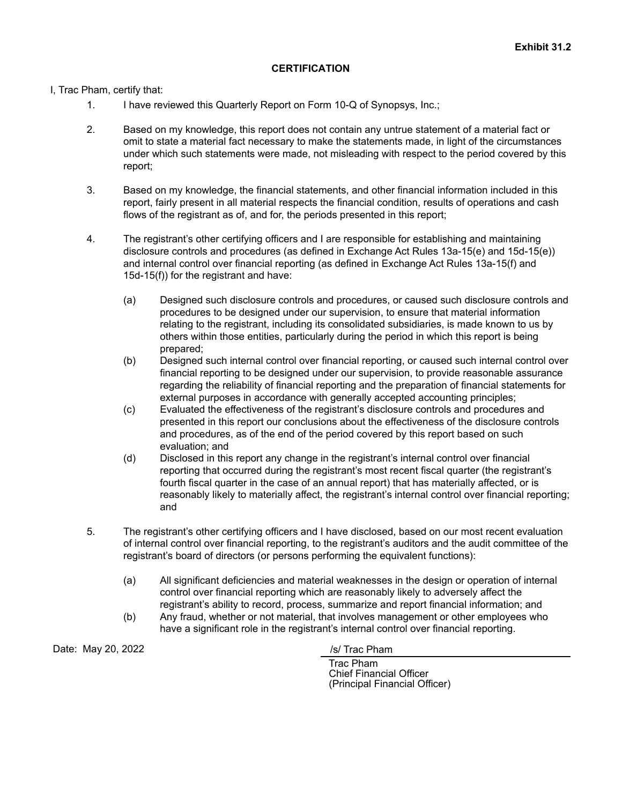#### **CERTIFICATION**

<span id="page-61-0"></span>I, Trac Pham, certify that:

- 1. I have reviewed this Quarterly Report on Form 10-Q of Synopsys, Inc.;
- 2. Based on my knowledge, this report does not contain any untrue statement of a material fact or omit to state a material fact necessary to make the statements made, in light of the circumstances under which such statements were made, not misleading with respect to the period covered by this report;
- 3. Based on my knowledge, the financial statements, and other financial information included in this report, fairly present in all material respects the financial condition, results of operations and cash flows of the registrant as of, and for, the periods presented in this report;
- 4. The registrant's other certifying officers and I are responsible for establishing and maintaining disclosure controls and procedures (as defined in Exchange Act Rules 13a-15(e) and 15d-15(e)) and internal control over financial reporting (as defined in Exchange Act Rules 13a-15(f) and 15d-15(f)) for the registrant and have:
	- (a) Designed such disclosure controls and procedures, or caused such disclosure controls and procedures to be designed under our supervision, to ensure that material information relating to the registrant, including its consolidated subsidiaries, is made known to us by others within those entities, particularly during the period in which this report is being prepared;
	- (b) Designed such internal control over financial reporting, or caused such internal control over financial reporting to be designed under our supervision, to provide reasonable assurance regarding the reliability of financial reporting and the preparation of financial statements for external purposes in accordance with generally accepted accounting principles;
	- (c) Evaluated the effectiveness of the registrant's disclosure controls and procedures and presented in this report our conclusions about the effectiveness of the disclosure controls and procedures, as of the end of the period covered by this report based on such evaluation; and
	- (d) Disclosed in this report any change in the registrant's internal control over financial reporting that occurred during the registrant's most recent fiscal quarter (the registrant's fourth fiscal quarter in the case of an annual report) that has materially affected, or is reasonably likely to materially affect, the registrant's internal control over financial reporting; and
- 5. The registrant's other certifying officers and I have disclosed, based on our most recent evaluation of internal control over financial reporting, to the registrant's auditors and the audit committee of the registrant's board of directors (or persons performing the equivalent functions):
	- (a) All significant deficiencies and material weaknesses in the design or operation of internal control over financial reporting which are reasonably likely to adversely affect the registrant's ability to record, process, summarize and report financial information; and
	- (b) Any fraud, whether or not material, that involves management or other employees who have a significant role in the registrant's internal control over financial reporting.

Date: May 20, 2022 /s/ Trac Pham

 Trac Pham Chief Financial Officer (Principal Financial Officer)